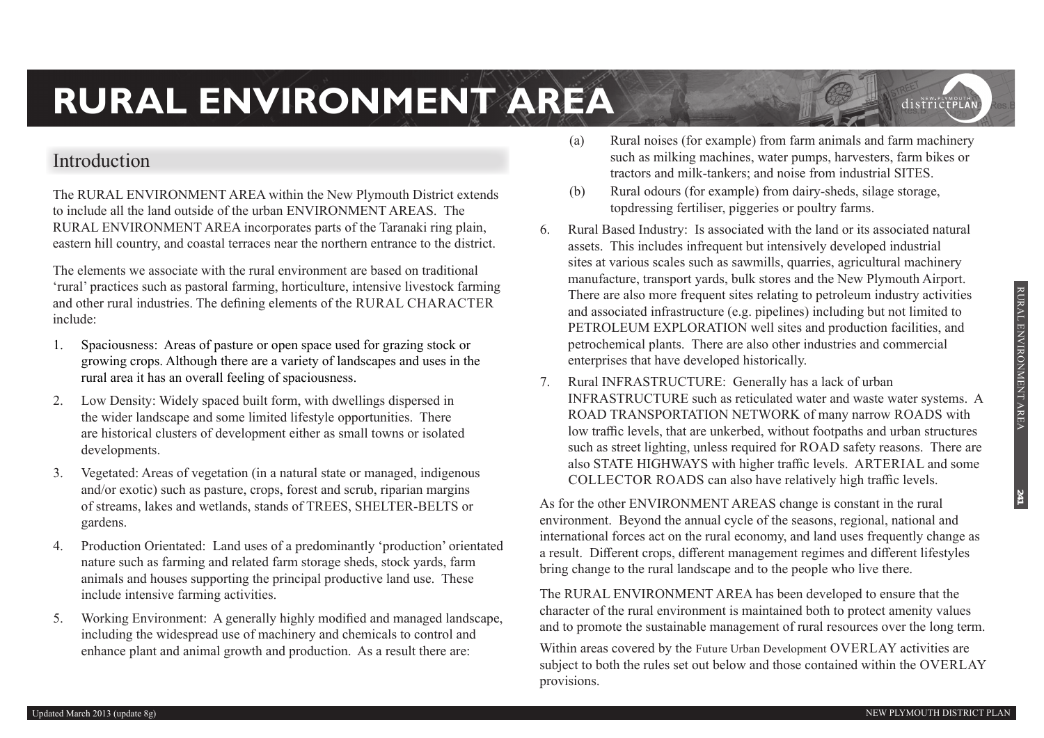## **Introduction**

The RURAL ENVIRONMENT AREA within the New Plymouth District extends to include all the land outside of the urban ENVIRONMENT AREAS. The RURAL ENVIRONMENT AREA incorporates parts of the Taranaki ring plain, eastern hill country, and coastal terraces near the northern entrance to the district.

The elements we associate with the rural environment are based on traditional 'rural' practices such as pastoral farming, horticulture, intensive livestock farming and other rural industries. The defining elements of the RURAL CHARACTER include:

- 1. Spaciousness: Areas of pasture or open space used for grazing stock or growing crops. Although there are a variety of landscapes and uses in the rural area it has an overall feeling of spaciousness.
- 2. Low Density: Widely spaced built form, with dwellings dispersed in the wider landscape and some limited lifestyle opportunities. There are historical clusters of development either as small towns or isolated developments.
- 3. Vegetated: Areas of vegetation (in a natural state or managed, indigenous and/or exotic) such as pasture, crops, forest and scrub, riparian margins of streams, lakes and wetlands, stands of TREES, SHELTER-BELTS or gardens.
- 4. Production Orientated: Land uses of a predominantly 'production' orientated nature such as farming and related farm storage sheds, stock yards, farm animals and houses supporting the principal productive land use. These include intensive farming activities.
- 5. Working Environment: A generally highly modified and managed landscape, including the widespread use of machinery and chemicals to control and enhance plant and animal growth and production. As a result there are:
- (a) Rural noises (for example) from farm animals and farm machinery such as milking machines, water pumps, harvesters, farm bikes or tractors and milk-tankers; and noise from industrial SITES.
- (b) Rural odours (for example) from dairy-sheds, silage storage, topdressing fertiliser, piggeries or poultry farms.
- 6. Rural Based Industry: Is associated with the land or its associated natural assets. This includes infrequent but intensively developed industrial sites at various scales such as sawmills, quarries, agricultural machinery manufacture, transport yards, bulk stores and the New Plymouth Airport. There are also more frequent sites relating to petroleum industry activities and associated infrastructure (e.g. pipelines) including but not limited to PETROLEUM EXPLORATION well sites and production facilities, and petrochemical plants. There are also other industries and commercial enterprises that have developed historically.
- 7. Rural INFRASTRUCTURE: Generally has a lack of urban INFRASTRUCTURE such as reticulated water and waste water systems. A ROAD TRANSPORTATION NETWORK of many narrow ROADS with low traffic levels, that are unkerbed, without footpaths and urban structures such as street lighting, unless required for ROAD safety reasons. There are also STATE HIGHWAYS with higher traffic levels. ARTERIAL and some COLLECTOR ROADS can also have relatively high traffic levels.

As for the other ENVIRONMENT AREAS change is constant in the rural environment. Beyond the annual cycle of the seasons, regional, national and international forces act on the rural economy, and land uses frequently change as a result. Different crops, different management regimes and different lifestyles bring change to the rural landscape and to the people who live there.

The RURAL ENVIRONMENT AREA has been developed to ensure that the character of the rural environment is maintained both to protect amenity values and to promote the sustainable management of rural resources over the long term.

Within areas covered by the Future Urban Development OVERLAY activities are subject to both the rules set out below and those contained within the OVERLAY provisions.

**241**

districtPLA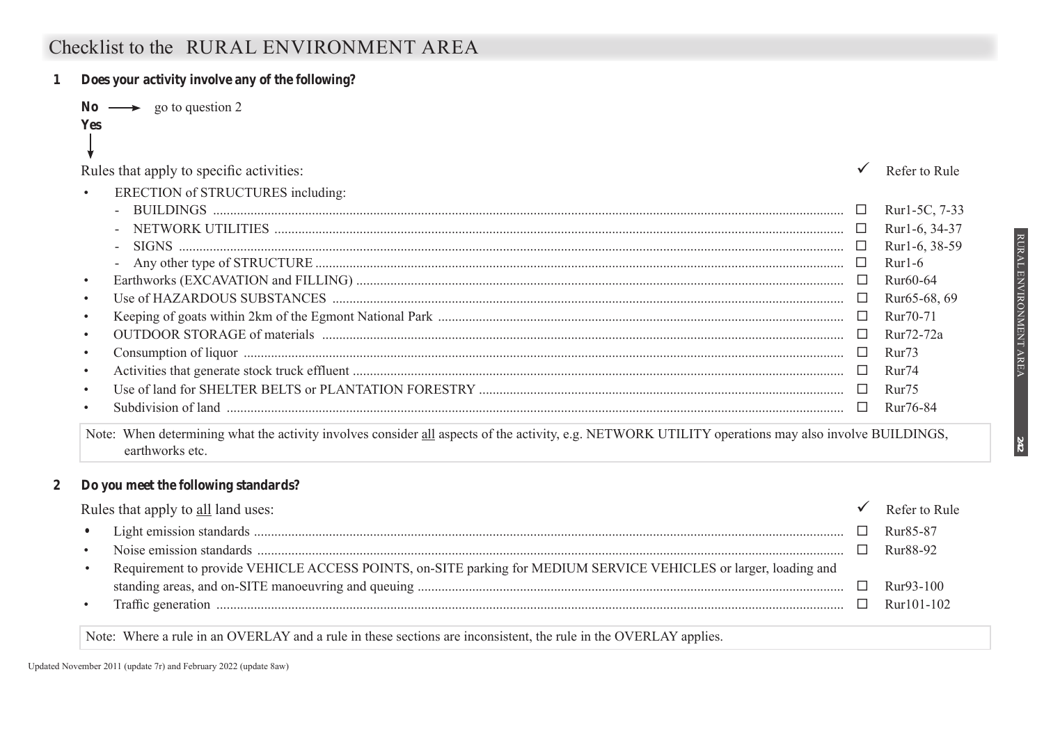## **Checklist to the RURAL ENVIRONMENT AREA**

| Does your activity involve any of the following? |                       |
|--------------------------------------------------|-----------------------|
| $\longrightarrow$ go to question 2               |                       |
| <b>Yes</b>                                       |                       |
|                                                  |                       |
| Rules that apply to specific activities:         | Refer to Rule         |
| ERECTION of STRUCTURES including:<br>$\bullet$   |                       |
|                                                  | Rur1-5C, 7-33         |
|                                                  | Rur1-6, 34-37         |
|                                                  | Rur1-6, 38-59         |
|                                                  | $Rur1-6$              |
| $\bullet$                                        | Rur <sub>60</sub> -64 |
|                                                  | Rur65-68, 69          |
|                                                  | Rur <sub>70</sub> -71 |
| $\bullet$                                        | Rur72-72a             |
|                                                  | Rur <sub>73</sub>     |
|                                                  | Rur <sub>74</sub>     |
|                                                  | Rur <sub>75</sub>     |
| $\bullet$                                        | Rur76-84              |

Note: When determining what the activity involves consider all aspects of the activity, e.g. NETWORK UTILITY operations may also involve BUILDINGS, earthworks etc.

#### **2 Do you meet the following standards?**

|           | Rules that apply to all land uses:                                                                               | Refer to Rule         |
|-----------|------------------------------------------------------------------------------------------------------------------|-----------------------|
| $\bullet$ |                                                                                                                  | Rur <sub>85</sub> -87 |
| $\bullet$ |                                                                                                                  | Rur88-92              |
| $\bullet$ | Requirement to provide VEHICLE ACCESS POINTS, on-SITE parking for MEDIUM SERVICE VEHICLES or larger, loading and |                       |
|           |                                                                                                                  | $Rur93-100$           |
| $\bullet$ |                                                                                                                  | $Rur101-102$          |

Note: Where a rule in an OVERLAY and a rule in these sections are inconsistent, the rule in the OVERLAY applies.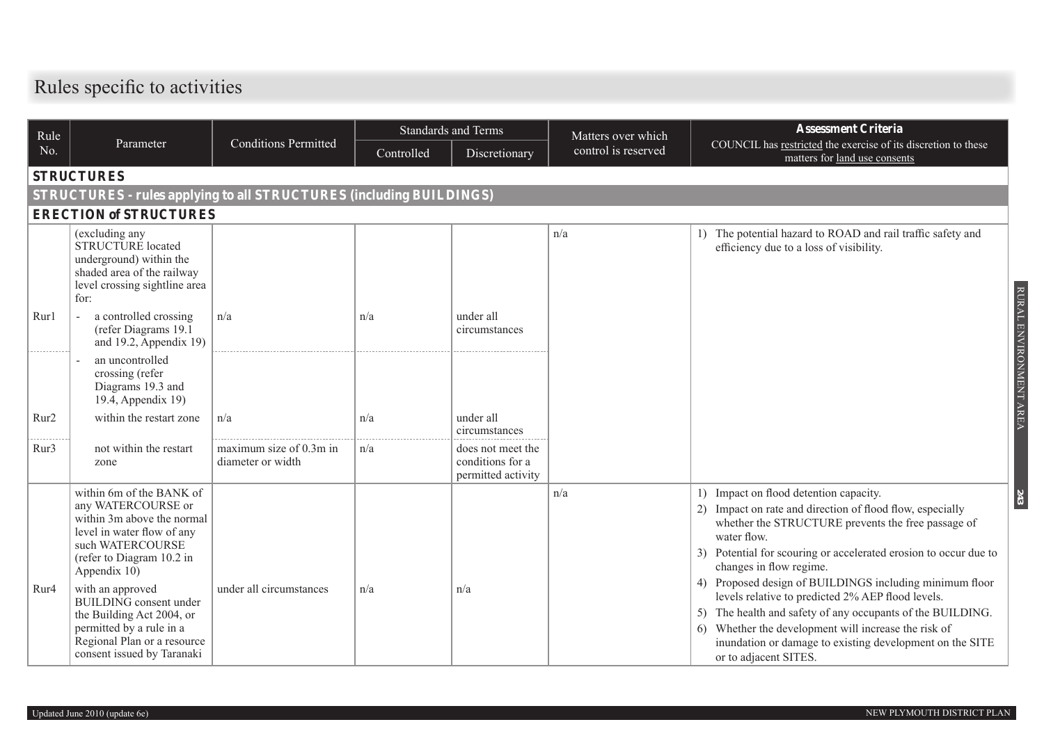# **Rules specific to activities**

| Rule             |                                                                                                                                                                                                 |                                              | <b>Standards and Terms</b> |                                                             | Matters over which  | <b>Assessment Criteria</b>                                                                                                                                                                                                                                                                                                      |  |  |  |  |  |  |
|------------------|-------------------------------------------------------------------------------------------------------------------------------------------------------------------------------------------------|----------------------------------------------|----------------------------|-------------------------------------------------------------|---------------------|---------------------------------------------------------------------------------------------------------------------------------------------------------------------------------------------------------------------------------------------------------------------------------------------------------------------------------|--|--|--|--|--|--|
| No.              | Parameter                                                                                                                                                                                       | <b>Conditions Permitted</b>                  | Controlled                 | Discretionary                                               | control is reserved | COUNCIL has restricted the exercise of its discretion to these<br>matters for land use consents                                                                                                                                                                                                                                 |  |  |  |  |  |  |
|                  | <b>STRUCTURES</b>                                                                                                                                                                               |                                              |                            |                                                             |                     |                                                                                                                                                                                                                                                                                                                                 |  |  |  |  |  |  |
|                  | <b>STRUCTURES - rules applying to all STRUCTURES (including BUILDINGS)</b>                                                                                                                      |                                              |                            |                                                             |                     |                                                                                                                                                                                                                                                                                                                                 |  |  |  |  |  |  |
|                  | <b>ERECTION of STRUCTURES</b>                                                                                                                                                                   |                                              |                            |                                                             |                     |                                                                                                                                                                                                                                                                                                                                 |  |  |  |  |  |  |
|                  | (excluding any<br><b>STRUCTURE</b> located<br>underground) within the<br>shaded area of the railway<br>level crossing sightline area<br>for:                                                    |                                              |                            |                                                             | n/a                 | The potential hazard to ROAD and rail traffic safety and<br>$\left  \cdot \right $<br>efficiency due to a loss of visibility.                                                                                                                                                                                                   |  |  |  |  |  |  |
| Rur1             | a controlled crossing<br>(refer Diagrams 19.1<br>and 19.2, Appendix 19)                                                                                                                         | n/a                                          | n/a                        | under all<br>circumstances                                  |                     |                                                                                                                                                                                                                                                                                                                                 |  |  |  |  |  |  |
|                  | an uncontrolled<br>crossing (refer<br>Diagrams 19.3 and<br>19.4, Appendix 19)                                                                                                                   |                                              |                            |                                                             |                     |                                                                                                                                                                                                                                                                                                                                 |  |  |  |  |  |  |
| Rur <sub>2</sub> | within the restart zone                                                                                                                                                                         | n/a                                          | n/a                        | under all<br>circumstances                                  |                     |                                                                                                                                                                                                                                                                                                                                 |  |  |  |  |  |  |
| Rur3             | not within the restart<br>zone                                                                                                                                                                  | maximum size of 0.3m in<br>diameter or width | n/a                        | does not meet the<br>conditions for a<br>permitted activity |                     |                                                                                                                                                                                                                                                                                                                                 |  |  |  |  |  |  |
| Rur4             | within 6m of the BANK of<br>any WATERCOURSE or<br>within 3m above the normal<br>level in water flow of any<br>such WATERCOURSE<br>(refer to Diagram 10.2 in<br>Appendix 10)<br>with an approved | under all circumstances                      | n/a                        | n/a                                                         | n/a                 | 1) Impact on flood detention capacity.<br>Impact on rate and direction of flood flow, especially<br>whether the STRUCTURE prevents the free passage of<br>water flow.<br>3) Potential for scouring or accelerated erosion to occur due to<br>changes in flow regime.<br>4) Proposed design of BUILDINGS including minimum floor |  |  |  |  |  |  |
|                  | <b>BUILDING</b> consent under<br>the Building Act 2004, or<br>permitted by a rule in a<br>Regional Plan or a resource<br>consent issued by Taranaki                                             |                                              |                            |                                                             |                     | levels relative to predicted 2% AEP flood levels.<br>The health and safety of any occupants of the BUILDING.<br>Whether the development will increase the risk of<br>6)<br>inundation or damage to existing development on the SITE<br>or to adjacent SITES.                                                                    |  |  |  |  |  |  |

RURAL ENVIRONMENT AREA

RURAL ENVIRONMENT AREA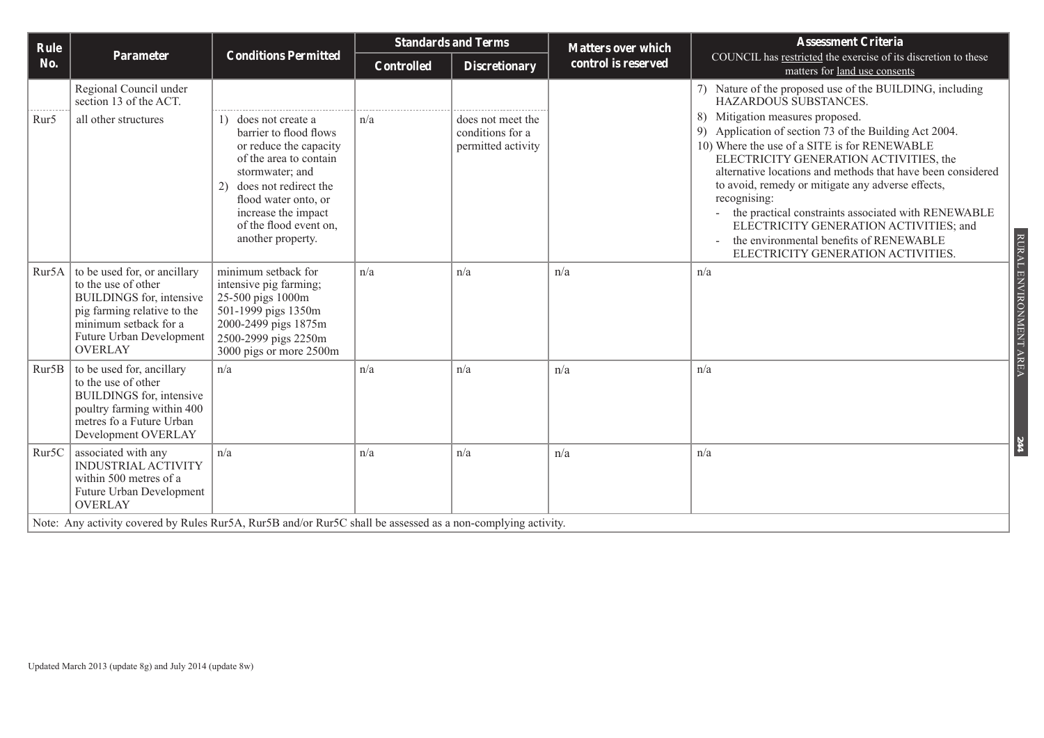|                                                                                                                                                                      |                                                                                                                                                                                                                                                    | <b>Standards and Terms</b>                |                                                             |                     | <b>Assessment Criteria</b>                                                                                                                                                                                                                                                                                                                                                                                                                                                                                 |  |
|----------------------------------------------------------------------------------------------------------------------------------------------------------------------|----------------------------------------------------------------------------------------------------------------------------------------------------------------------------------------------------------------------------------------------------|-------------------------------------------|-------------------------------------------------------------|---------------------|------------------------------------------------------------------------------------------------------------------------------------------------------------------------------------------------------------------------------------------------------------------------------------------------------------------------------------------------------------------------------------------------------------------------------------------------------------------------------------------------------------|--|
|                                                                                                                                                                      |                                                                                                                                                                                                                                                    | <b>Controlled</b><br><b>Discretionary</b> |                                                             | control is reserved | COUNCIL has restricted the exercise of its discretion to these<br>matters for land use consents                                                                                                                                                                                                                                                                                                                                                                                                            |  |
| Regional Council under<br>section 13 of the ACT.                                                                                                                     |                                                                                                                                                                                                                                                    |                                           |                                                             |                     | 7) Nature of the proposed use of the BUILDING, including<br>HAZARDOUS SUBSTANCES.                                                                                                                                                                                                                                                                                                                                                                                                                          |  |
| all other structures                                                                                                                                                 | 1) does not create a<br>barrier to flood flows<br>or reduce the capacity<br>of the area to contain<br>stormwater; and<br>does not redirect the<br>2)<br>flood water onto, or<br>increase the impact<br>of the flood event on,<br>another property. | n/a                                       | does not meet the<br>conditions for a<br>permitted activity |                     | 8) Mitigation measures proposed.<br>9) Application of section 73 of the Building Act 2004.<br>10) Where the use of a SITE is for RENEWABLE<br>ELECTRICITY GENERATION ACTIVITIES, the<br>alternative locations and methods that have been considered<br>to avoid, remedy or mitigate any adverse effects,<br>recognising:<br>the practical constraints associated with RENEWABLE<br>ELECTRICITY GENERATION ACTIVITIES; and<br>the environmental benefits of RENEWABLE<br>ELECTRICITY GENERATION ACTIVITIES. |  |
| to the use of other<br>BUILDINGS for, intensive<br>pig farming relative to the<br>minimum setback for a<br>Future Urban Development<br><b>OVERLAY</b>                | minimum setback for<br>intensive pig farming;<br>25-500 pigs 1000m<br>501-1999 pigs 1350m<br>2000-2499 pigs 1875m<br>2500-2999 pigs 2250m<br>3000 pigs or more 2500m                                                                               | n/a                                       | n/a                                                         | n/a                 | RURAL ENVIRONMENT AREA<br>n/a                                                                                                                                                                                                                                                                                                                                                                                                                                                                              |  |
| to be used for, ancillary<br>to the use of other<br><b>BUILDINGS</b> for, intensive<br>poultry farming within 400<br>metres fo a Future Urban<br>Development OVERLAY | n/a                                                                                                                                                                                                                                                | n/a                                       | n/a                                                         | n/a                 | n/a                                                                                                                                                                                                                                                                                                                                                                                                                                                                                                        |  |
| associated with any<br><b>INDUSTRIAL ACTIVITY</b><br>within 500 metres of a<br>Future Urban Development<br><b>OVERLAY</b>                                            | n/a                                                                                                                                                                                                                                                | n/a                                       | n/a                                                         | n/a                 | $H\bar{t}$<br>n/a                                                                                                                                                                                                                                                                                                                                                                                                                                                                                          |  |
| Rur5B<br>Rur5C                                                                                                                                                       | <b>Parameter</b><br>Rur5A to be used for, or ancillary                                                                                                                                                                                             | <b>Conditions Permitted</b>               |                                                             |                     | <b>Matters over which</b><br>Note: Any activity covered by Rules Rur5A, Rur5B and/or Rur5C shall be assessed as a non-complying activity.                                                                                                                                                                                                                                                                                                                                                                  |  |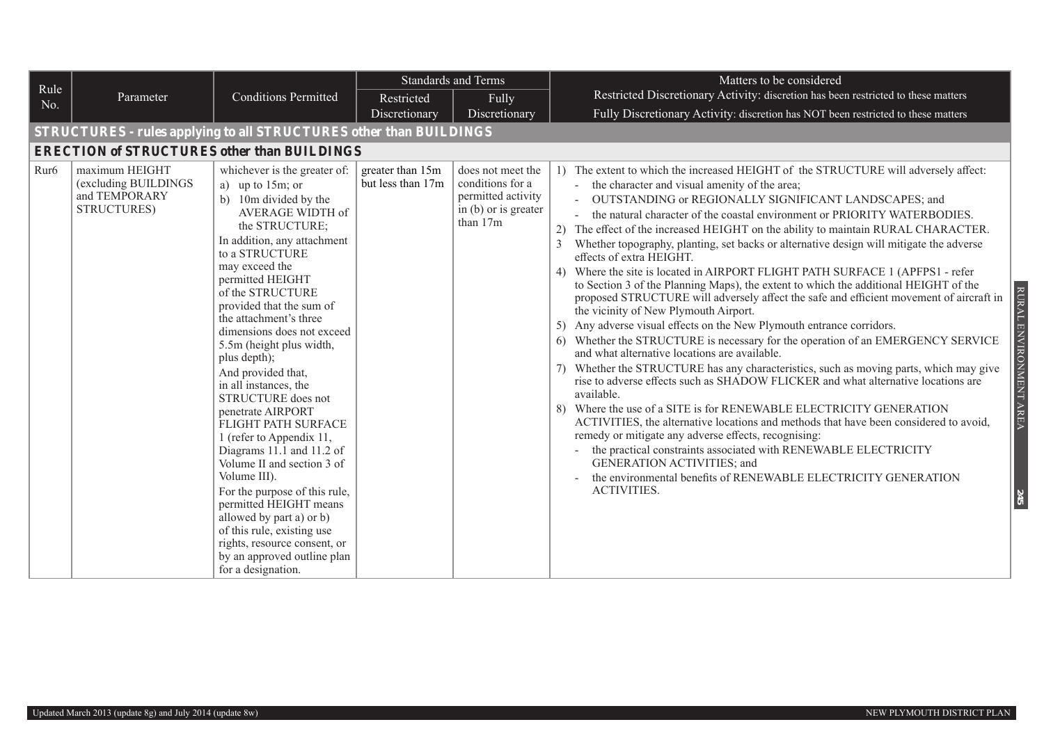|                  |                                                                           |                                                                                                                                                                                                                                                                                                                                                                                                                                                                                                                                                                                                                                                                                                                                                                                                 |                                       | <b>Standards and Terms</b>                                                                                       | Matters to be considered                                                                                                                                                                                                                                                                                                                                                                                                                                                                                                                                                                                                                                                                                                                                                                                                                                                                                                                                                                                                                                                                                                                                                                                                                                                                                                                                                                                                                                                                                                                                                                                                                                           |
|------------------|---------------------------------------------------------------------------|-------------------------------------------------------------------------------------------------------------------------------------------------------------------------------------------------------------------------------------------------------------------------------------------------------------------------------------------------------------------------------------------------------------------------------------------------------------------------------------------------------------------------------------------------------------------------------------------------------------------------------------------------------------------------------------------------------------------------------------------------------------------------------------------------|---------------------------------------|------------------------------------------------------------------------------------------------------------------|--------------------------------------------------------------------------------------------------------------------------------------------------------------------------------------------------------------------------------------------------------------------------------------------------------------------------------------------------------------------------------------------------------------------------------------------------------------------------------------------------------------------------------------------------------------------------------------------------------------------------------------------------------------------------------------------------------------------------------------------------------------------------------------------------------------------------------------------------------------------------------------------------------------------------------------------------------------------------------------------------------------------------------------------------------------------------------------------------------------------------------------------------------------------------------------------------------------------------------------------------------------------------------------------------------------------------------------------------------------------------------------------------------------------------------------------------------------------------------------------------------------------------------------------------------------------------------------------------------------------------------------------------------------------|
| Rule<br>No.      | Parameter                                                                 | <b>Conditions Permitted</b>                                                                                                                                                                                                                                                                                                                                                                                                                                                                                                                                                                                                                                                                                                                                                                     | Restricted                            | Fully                                                                                                            | Restricted Discretionary Activity: discretion has been restricted to these matters                                                                                                                                                                                                                                                                                                                                                                                                                                                                                                                                                                                                                                                                                                                                                                                                                                                                                                                                                                                                                                                                                                                                                                                                                                                                                                                                                                                                                                                                                                                                                                                 |
|                  |                                                                           |                                                                                                                                                                                                                                                                                                                                                                                                                                                                                                                                                                                                                                                                                                                                                                                                 | Discretionary                         | Discretionary                                                                                                    | Fully Discretionary Activity: discretion has NOT been restricted to these matters                                                                                                                                                                                                                                                                                                                                                                                                                                                                                                                                                                                                                                                                                                                                                                                                                                                                                                                                                                                                                                                                                                                                                                                                                                                                                                                                                                                                                                                                                                                                                                                  |
|                  | <b>STRUCTURES - rules applying to all STRUCTURES other than BUILDINGS</b> |                                                                                                                                                                                                                                                                                                                                                                                                                                                                                                                                                                                                                                                                                                                                                                                                 |                                       |                                                                                                                  |                                                                                                                                                                                                                                                                                                                                                                                                                                                                                                                                                                                                                                                                                                                                                                                                                                                                                                                                                                                                                                                                                                                                                                                                                                                                                                                                                                                                                                                                                                                                                                                                                                                                    |
|                  | <b>ERECTION of STRUCTURES other than BUILDINGS</b>                        |                                                                                                                                                                                                                                                                                                                                                                                                                                                                                                                                                                                                                                                                                                                                                                                                 |                                       |                                                                                                                  |                                                                                                                                                                                                                                                                                                                                                                                                                                                                                                                                                                                                                                                                                                                                                                                                                                                                                                                                                                                                                                                                                                                                                                                                                                                                                                                                                                                                                                                                                                                                                                                                                                                                    |
| Rur <sub>6</sub> | maximum HEIGHT<br>(excluding BUILDINGS<br>and TEMPORARY<br>STRUCTURES)    | whichever is the greater of:<br>a) up to $15m$ ; or<br>b) 10m divided by the<br>AVERAGE WIDTH of<br>the STRUCTURE;<br>In addition, any attachment<br>to a STRUCTURE<br>may exceed the<br>permitted HEIGHT<br>of the STRUCTURE<br>provided that the sum of<br>the attachment's three<br>dimensions does not exceed<br>5.5m (height plus width,<br>plus depth);<br>And provided that,<br>in all instances, the<br>STRUCTURE does not<br>penetrate AIRPORT<br>FLIGHT PATH SURFACE<br>1 (refer to Appendix 11,<br>Diagrams 11.1 and 11.2 of<br>Volume II and section 3 of<br>Volume III).<br>For the purpose of this rule,<br>permitted HEIGHT means<br>allowed by part a) or b)<br>of this rule, existing use<br>rights, resource consent, or<br>by an approved outline plan<br>for a designation. | greater than 15m<br>but less than 17m | does not meet the<br>conditions for a<br>permitted activity<br>$\overline{p}$ in (b) or is greater<br>than $17m$ | 1) The extent to which the increased HEIGHT of the STRUCTURE will adversely affect:<br>- the character and visual amenity of the area;<br>- OUTSTANDING or REGIONALLY SIGNIFICANT LANDSCAPES; and<br>the natural character of the coastal environment or PRIORITY WATERBODIES.<br>2) The effect of the increased HEIGHT on the ability to maintain RURAL CHARACTER.<br>Whether topography, planting, set backs or alternative design will mitigate the adverse<br>effects of extra HEIGHT.<br>4) Where the site is located in AIRPORT FLIGHT PATH SURFACE 1 (APFPS1 - refer<br>to Section 3 of the Planning Maps), the extent to which the additional HEIGHT of the<br>RURAL<br>proposed STRUCTURE will adversely affect the safe and efficient movement of aircraft in<br>the vicinity of New Plymouth Airport.<br>5) Any adverse visual effects on the New Plymouth entrance corridors.<br>ENVIRONMENT AREA<br>6) Whether the STRUCTURE is necessary for the operation of an EMERGENCY SERVICE<br>and what alternative locations are available.<br>7) Whether the STRUCTURE has any characteristics, such as moving parts, which may give<br>rise to adverse effects such as SHADOW FLICKER and what alternative locations are<br>available.<br>Where the use of a SITE is for RENEWABLE ELECTRICITY GENERATION<br>ACTIVITIES, the alternative locations and methods that have been considered to avoid,<br>remedy or mitigate any adverse effects, recognising:<br>the practical constraints associated with RENEWABLE ELECTRICITY<br>GENERATION ACTIVITIES; and<br>the environmental benefits of RENEWABLE ELECTRICITY GENERATION<br><b>ACTIVITIES.</b><br>245 |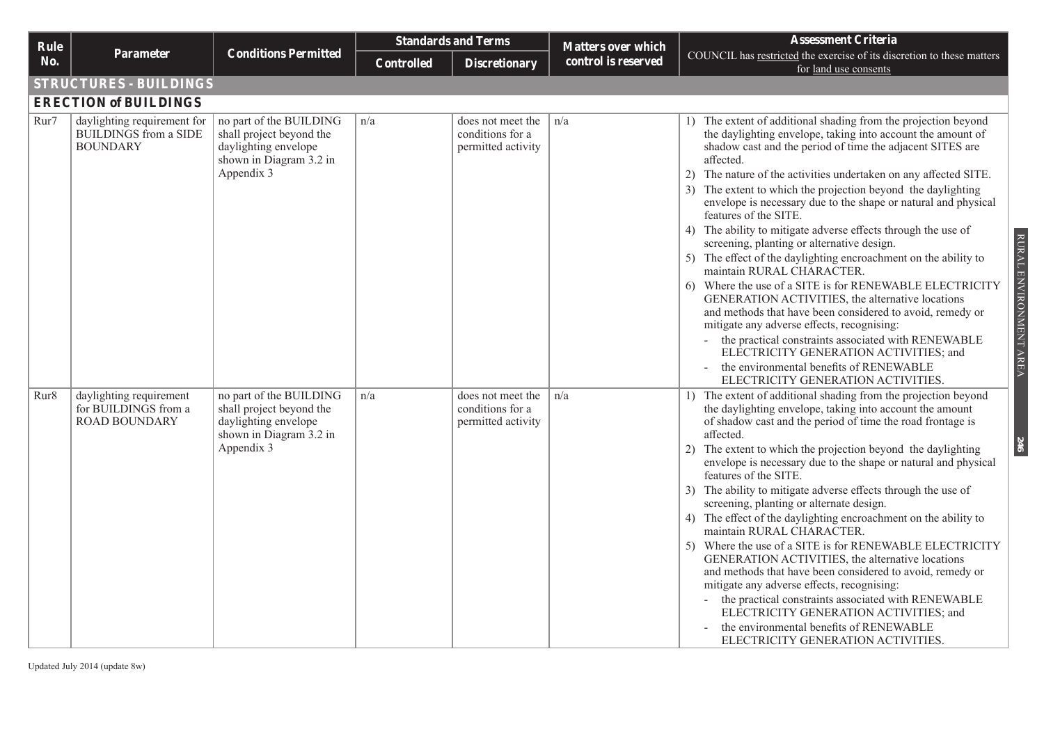| Rule |                                                                                |                                                                                                                      |                   | <b>Standards and Terms</b>                                  | <b>Matters over which</b> | <b>Assessment Criteria</b>                                                                                                                                                                                                                                                                                                                                                                                                                                                                                                                                                                                                                                                                                                                                                                                                                                                                                                                                                                                                                                                                                        |
|------|--------------------------------------------------------------------------------|----------------------------------------------------------------------------------------------------------------------|-------------------|-------------------------------------------------------------|---------------------------|-------------------------------------------------------------------------------------------------------------------------------------------------------------------------------------------------------------------------------------------------------------------------------------------------------------------------------------------------------------------------------------------------------------------------------------------------------------------------------------------------------------------------------------------------------------------------------------------------------------------------------------------------------------------------------------------------------------------------------------------------------------------------------------------------------------------------------------------------------------------------------------------------------------------------------------------------------------------------------------------------------------------------------------------------------------------------------------------------------------------|
| No.  | <b>Parameter</b>                                                               | <b>Conditions Permitted</b>                                                                                          | <b>Controlled</b> | <b>Discretionary</b>                                        | control is reserved       | COUNCIL has restricted the exercise of its discretion to these matters<br>for land use consents                                                                                                                                                                                                                                                                                                                                                                                                                                                                                                                                                                                                                                                                                                                                                                                                                                                                                                                                                                                                                   |
|      | <b>STRUCTURES - BUILDINGS</b>                                                  |                                                                                                                      |                   |                                                             |                           |                                                                                                                                                                                                                                                                                                                                                                                                                                                                                                                                                                                                                                                                                                                                                                                                                                                                                                                                                                                                                                                                                                                   |
|      | <b>ERECTION of BUILDINGS</b>                                                   |                                                                                                                      |                   |                                                             |                           |                                                                                                                                                                                                                                                                                                                                                                                                                                                                                                                                                                                                                                                                                                                                                                                                                                                                                                                                                                                                                                                                                                                   |
| Rur7 | daylighting requirement for<br><b>BUILDINGS</b> from a SIDE<br><b>BOUNDARY</b> | no part of the BUILDING<br>shall project beyond the<br>daylighting envelope<br>shown in Diagram 3.2 in<br>Appendix 3 | n/a               | does not meet the<br>conditions for a<br>permitted activity | n/a                       | The extent of additional shading from the projection beyond<br>$\left  \right $<br>the daylighting envelope, taking into account the amount of<br>shadow cast and the period of time the adjacent SITES are<br>affected.<br>2) The nature of the activities undertaken on any affected SITE.<br>3) The extent to which the projection beyond the daylighting<br>envelope is necessary due to the shape or natural and physical<br>features of the SITE.<br>The ability to mitigate adverse effects through the use of<br>4)<br>RURAL ENVIRONMENT AREA<br>screening, planting or alternative design.<br>The effect of the daylighting encroachment on the ability to<br>5)<br>maintain RURAL CHARACTER.<br>Where the use of a SITE is for RENEWABLE ELECTRICITY<br>GENERATION ACTIVITIES, the alternative locations<br>and methods that have been considered to avoid, remedy or<br>mitigate any adverse effects, recognising:<br>- the practical constraints associated with RENEWABLE<br>ELECTRICITY GENERATION ACTIVITIES; and<br>the environmental benefits of RENEWABLE<br>ELECTRICITY GENERATION ACTIVITIES. |
| Rur8 | daylighting requirement<br>for BUILDINGS from a<br><b>ROAD BOUNDARY</b>        | no part of the BUILDING<br>shall project beyond the<br>daylighting envelope<br>shown in Diagram 3.2 in<br>Appendix 3 | n/a               | does not meet the<br>conditions for a<br>permitted activity | n/a                       | 1) The extent of additional shading from the projection beyond<br>the daylighting envelope, taking into account the amount<br>of shadow cast and the period of time the road frontage is<br>affected.<br>246<br>The extent to which the projection beyond the daylighting<br>2)<br>envelope is necessary due to the shape or natural and physical<br>features of the SITE.<br>The ability to mitigate adverse effects through the use of<br>3 <sup>)</sup><br>screening, planting or alternate design.<br>The effect of the daylighting encroachment on the ability to<br>4)<br>maintain RURAL CHARACTER.<br>Where the use of a SITE is for RENEWABLE ELECTRICITY<br>5)<br>GENERATION ACTIVITIES, the alternative locations<br>and methods that have been considered to avoid, remedy or<br>mitigate any adverse effects, recognising:<br>the practical constraints associated with RENEWABLE<br>ELECTRICITY GENERATION ACTIVITIES; and<br>the environmental benefits of RENEWABLE<br>ELECTRICITY GENERATION ACTIVITIES.                                                                                          |

Updated July 2014 (update 8w)

RURAL ENVIRONMENT AREA RURAL ENVIRONMENT AREA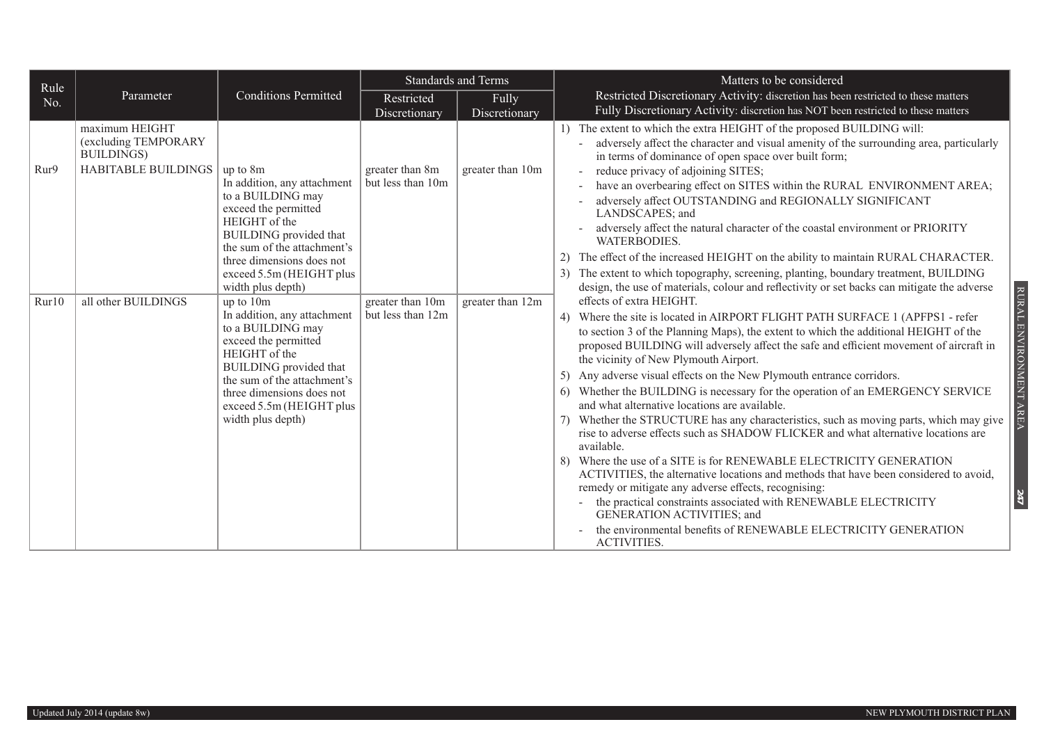| Rule  |                                                      |                                                                                                                                                                                                                                                                           |                                       | <b>Standards and Terms</b> | Matters to be considered                                                                                                                                                                                                                                                                                                                                                                                                                                                                                                                                                                                                                                                                                                                                                                                                                                                                                                                                                                                                                                                                                                                                                                                                                    |
|-------|------------------------------------------------------|---------------------------------------------------------------------------------------------------------------------------------------------------------------------------------------------------------------------------------------------------------------------------|---------------------------------------|----------------------------|---------------------------------------------------------------------------------------------------------------------------------------------------------------------------------------------------------------------------------------------------------------------------------------------------------------------------------------------------------------------------------------------------------------------------------------------------------------------------------------------------------------------------------------------------------------------------------------------------------------------------------------------------------------------------------------------------------------------------------------------------------------------------------------------------------------------------------------------------------------------------------------------------------------------------------------------------------------------------------------------------------------------------------------------------------------------------------------------------------------------------------------------------------------------------------------------------------------------------------------------|
| No.   | Parameter                                            | <b>Conditions Permitted</b>                                                                                                                                                                                                                                               | Restricted                            | Fully                      | Restricted Discretionary Activity: discretion has been restricted to these matters                                                                                                                                                                                                                                                                                                                                                                                                                                                                                                                                                                                                                                                                                                                                                                                                                                                                                                                                                                                                                                                                                                                                                          |
|       |                                                      |                                                                                                                                                                                                                                                                           | Discretionary                         | Discretionary              | Fully Discretionary Activity: discretion has NOT been restricted to these matters                                                                                                                                                                                                                                                                                                                                                                                                                                                                                                                                                                                                                                                                                                                                                                                                                                                                                                                                                                                                                                                                                                                                                           |
|       | maximum HEIGHT<br>(excluding TEMPORARY<br>BUILDINGS) |                                                                                                                                                                                                                                                                           |                                       |                            | 1) The extent to which the extra HEIGHT of the proposed BUILDING will:<br>adversely affect the character and visual amenity of the surrounding area, particularly<br>in terms of dominance of open space over built form;                                                                                                                                                                                                                                                                                                                                                                                                                                                                                                                                                                                                                                                                                                                                                                                                                                                                                                                                                                                                                   |
| Rur9  | HABITABLE BUILDINGS                                  | up to 8m<br>In addition, any attachment<br>to a BUILDING may<br>exceed the permitted<br>HEIGHT of the<br><b>BUILDING</b> provided that<br>the sum of the attachment's<br>three dimensions does not<br>exceed 5.5m (HEIGHT plus                                            | greater than 8m<br>but less than 10m  | greater than 10m           | reduce privacy of adjoining SITES;<br>have an overbearing effect on SITES within the RURAL ENVIRONMENT AREA;<br>adversely affect OUTSTANDING and REGIONALLY SIGNIFICANT<br>LANDSCAPES; and<br>adversely affect the natural character of the coastal environment or PRIORITY<br><b>WATERBODIES.</b><br>2) The effect of the increased HEIGHT on the ability to maintain RURAL CHARACTER.<br>The extent to which topography, screening, planting, boundary treatment, BUILDING<br>3)                                                                                                                                                                                                                                                                                                                                                                                                                                                                                                                                                                                                                                                                                                                                                          |
| Rur10 | all other BUILDINGS                                  | width plus depth)<br>up to 10m<br>In addition, any attachment<br>to a BUILDING may<br>exceed the permitted<br>HEIGHT of the<br><b>BUILDING</b> provided that<br>the sum of the attachment's<br>three dimensions does not<br>exceed 5.5m (HEIGHT plus<br>width plus depth) | greater than 10m<br>but less than 12m | greater than 12m           | design, the use of materials, colour and reflectivity or set backs can mitigate the adverse<br>effects of extra HEIGHT.<br>4) Where the site is located in AIRPORT FLIGHT PATH SURFACE 1 (APFPS1 - refer<br>to section 3 of the Planning Maps), the extent to which the additional HEIGHT of the<br>proposed BUILDING will adversely affect the safe and efficient movement of aircraft in<br>the vicinity of New Plymouth Airport.<br>Any adverse visual effects on the New Plymouth entrance corridors.<br>5)<br>6) Whether the BUILDING is necessary for the operation of an EMERGENCY SERVICE<br>and what alternative locations are available.<br>7) Whether the STRUCTURE has any characteristics, such as moving parts, which may give<br>rise to adverse effects such as SHADOW FLICKER and what alternative locations are<br>available.<br>8) Where the use of a SITE is for RENEWABLE ELECTRICITY GENERATION<br>ACTIVITIES, the alternative locations and methods that have been considered to avoid,<br>remedy or mitigate any adverse effects, recognising:<br>- the practical constraints associated with RENEWABLE ELECTRICITY<br>GENERATION ACTIVITIES; and<br>the environmental benefits of RENEWABLE ELECTRICITY GENERATION |

RURAL ENVIRONMENT AREA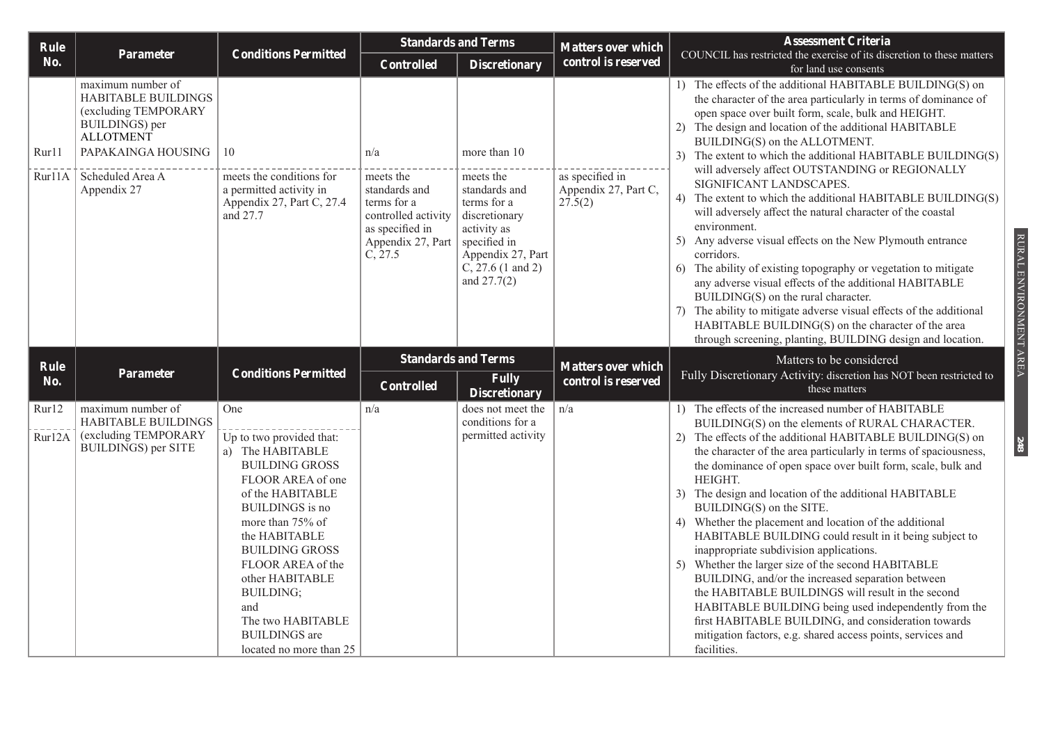| Rule            |                                                                                                                                                                 |                                                                                                                                                                                                                                                                           | <b>Standards and Terms</b>                                                                                                 |                                                                                                                                                                      | <b>Matters over which</b>                          | <b>Assessment Criteria</b>                                                                                                                                                                                                                                                                                                                                                                                                                                                                                                                                                                                                                                                                                                                                                                                                                                                                                                                                                                                             |  |  |
|-----------------|-----------------------------------------------------------------------------------------------------------------------------------------------------------------|---------------------------------------------------------------------------------------------------------------------------------------------------------------------------------------------------------------------------------------------------------------------------|----------------------------------------------------------------------------------------------------------------------------|----------------------------------------------------------------------------------------------------------------------------------------------------------------------|----------------------------------------------------|------------------------------------------------------------------------------------------------------------------------------------------------------------------------------------------------------------------------------------------------------------------------------------------------------------------------------------------------------------------------------------------------------------------------------------------------------------------------------------------------------------------------------------------------------------------------------------------------------------------------------------------------------------------------------------------------------------------------------------------------------------------------------------------------------------------------------------------------------------------------------------------------------------------------------------------------------------------------------------------------------------------------|--|--|
| No.             | <b>Parameter</b>                                                                                                                                                | <b>Conditions Permitted</b>                                                                                                                                                                                                                                               | <b>Controlled</b>                                                                                                          | <b>Discretionary</b>                                                                                                                                                 | control is reserved                                | COUNCIL has restricted the exercise of its discretion to these matters<br>for land use consents                                                                                                                                                                                                                                                                                                                                                                                                                                                                                                                                                                                                                                                                                                                                                                                                                                                                                                                        |  |  |
| Rur11<br>Rur11A | maximum number of<br>HABITABLE BUILDINGS<br>(excluding TEMPORARY<br>BUILDINGS) per<br><b>ALLOTMENT</b><br>PAPAKAINGA HOUSING<br>Scheduled Area A<br>Appendix 27 | 10<br>meets the conditions for<br>a permitted activity in<br>Appendix 27, Part C, 27.4<br>and 27.7                                                                                                                                                                        | n/a<br>meets the<br>standards and<br>terms for a<br>controlled activity<br>as specified in<br>Appendix 27, Part<br>C, 27.5 | more than 10<br>meets the<br>standards and<br>terms for a<br>discretionary<br>activity as<br>specified in<br>Appendix 27, Part<br>$C, 27.6$ (1 and 2)<br>and 27.7(2) | as specified in<br>Appendix 27, Part C,<br>27.5(2) | 1) The effects of the additional HABITABLE BUILDING(S) on<br>the character of the area particularly in terms of dominance of<br>open space over built form, scale, bulk and HEIGHT.<br>2) The design and location of the additional HABITABLE<br>BUILDING(S) on the ALLOTMENT.<br>3) The extent to which the additional HABITABLE BUILDING(S)<br>will adversely affect OUTSTANDING or REGIONALLY<br>SIGNIFICANT LANDSCAPES.<br>4) The extent to which the additional HABITABLE BUILDING(S)<br>will adversely affect the natural character of the coastal<br>environment.<br>Any adverse visual effects on the New Plymouth entrance<br>5)<br>corridors.<br>6) The ability of existing topography or vegetation to mitigate<br>any adverse visual effects of the additional HABITABLE<br>BUILDING(S) on the rural character.<br>7) The ability to mitigate adverse visual effects of the additional<br>HABITABLE BUILDING(S) on the character of the area<br>through screening, planting, BUILDING design and location. |  |  |
| Rule            |                                                                                                                                                                 |                                                                                                                                                                                                                                                                           | <b>Standards and Terms</b>                                                                                                 |                                                                                                                                                                      | <b>Matters over which</b>                          | Matters to be considered                                                                                                                                                                                                                                                                                                                                                                                                                                                                                                                                                                                                                                                                                                                                                                                                                                                                                                                                                                                               |  |  |
| No.             | Parameter                                                                                                                                                       | <b>Conditions Permitted</b>                                                                                                                                                                                                                                               | <b>Controlled</b>                                                                                                          | <b>Fully</b><br><b>Discretionary</b>                                                                                                                                 | control is reserved                                | Fully Discretionary Activity: discretion has NOT been restricted to<br>these matters                                                                                                                                                                                                                                                                                                                                                                                                                                                                                                                                                                                                                                                                                                                                                                                                                                                                                                                                   |  |  |
| Rur12<br>Rur12A | maximum number of<br><b>HABITABLE BUILDINGS</b><br>(excluding TEMPORARY<br>BUILDINGS) per SITE                                                                  | One<br>Up to two provided that:<br>a) The HABITABLE<br><b>BUILDING GROSS</b><br>FLOOR AREA of one<br>of the HABITABLE<br><b>BUILDINGS</b> is no<br>more than 75% of<br>the HABITABLE<br><b>BUILDING GROSS</b><br>FLOOR AREA of the<br>other HABITABLE<br><b>BUILDING;</b> | n/a                                                                                                                        | does not meet the<br>conditions for a<br>permitted activity                                                                                                          | n/a                                                | 1) The effects of the increased number of HABITABLE<br>BUILDING(S) on the elements of RURAL CHARACTER.<br>2) The effects of the additional HABITABLE BUILDING(S) on<br>the character of the area particularly in terms of spaciousness,<br>the dominance of open space over built form, scale, bulk and<br>HEIGHT.<br>3) The design and location of the additional HABITABLE<br>BUILDING(S) on the SITE.<br>4) Whether the placement and location of the additional<br>HABITABLE BUILDING could result in it being subject to<br>inappropriate subdivision applications.<br>5) Whether the larger size of the second HABITABLE<br>BUILDING, and/or the increased separation between<br>the HABITABLE BUILDINGS will result in the second                                                                                                                                                                                                                                                                               |  |  |

RURAL ENVIRONMENT AREA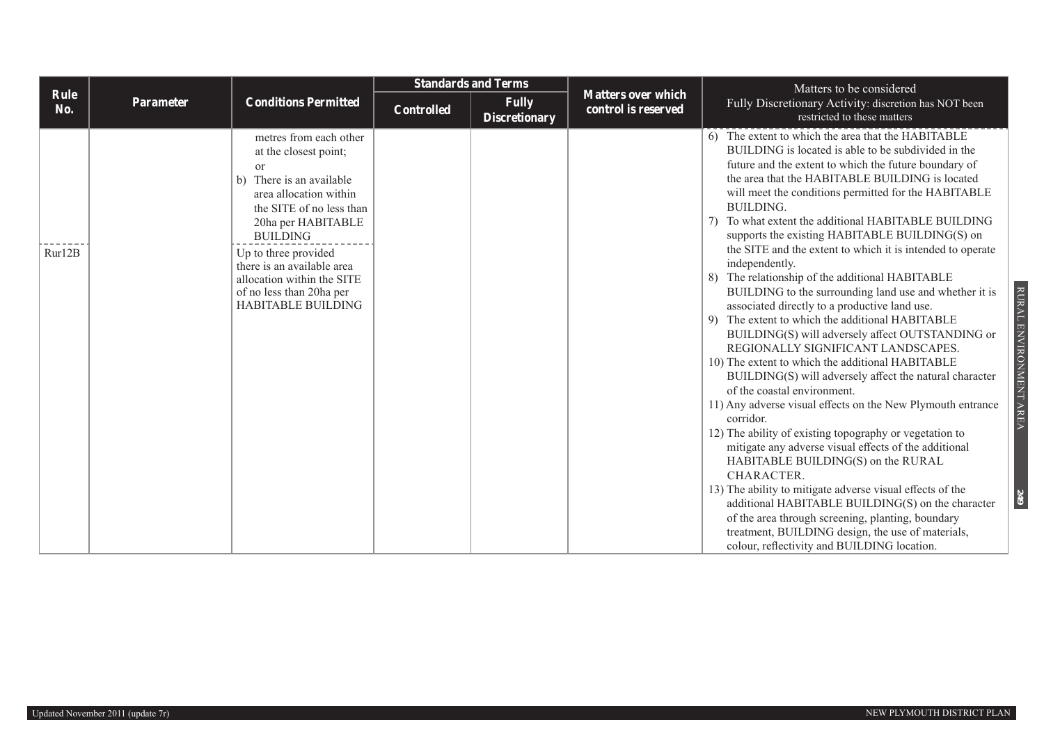|             |           |                                                                                                                                                                                                                                                                                                                                  | <b>Standards and Terms</b> |                                      |                                                  |                                                                                                                                                                                                                                                                                                                                                                                                                                                                                                                                                                                                                                                                                                                                                                                                                                                                                                                                                                                                                                                                                                                                                                                                                                                                                                                                                                                                                                                                                                                     |  | Matters to be considered |  |  |
|-------------|-----------|----------------------------------------------------------------------------------------------------------------------------------------------------------------------------------------------------------------------------------------------------------------------------------------------------------------------------------|----------------------------|--------------------------------------|--------------------------------------------------|---------------------------------------------------------------------------------------------------------------------------------------------------------------------------------------------------------------------------------------------------------------------------------------------------------------------------------------------------------------------------------------------------------------------------------------------------------------------------------------------------------------------------------------------------------------------------------------------------------------------------------------------------------------------------------------------------------------------------------------------------------------------------------------------------------------------------------------------------------------------------------------------------------------------------------------------------------------------------------------------------------------------------------------------------------------------------------------------------------------------------------------------------------------------------------------------------------------------------------------------------------------------------------------------------------------------------------------------------------------------------------------------------------------------------------------------------------------------------------------------------------------------|--|--------------------------|--|--|
| Rule<br>No. | Parameter | <b>Conditions Permitted</b>                                                                                                                                                                                                                                                                                                      | <b>Controlled</b>          | <b>Fully</b><br><b>Discretionary</b> | <b>Matters over which</b><br>control is reserved | Fully Discretionary Activity: discretion has NOT been<br>restricted to these matters                                                                                                                                                                                                                                                                                                                                                                                                                                                                                                                                                                                                                                                                                                                                                                                                                                                                                                                                                                                                                                                                                                                                                                                                                                                                                                                                                                                                                                |  |                          |  |  |
| Rur12B      |           | metres from each other<br>at the closest point;<br>or<br>There is an available<br>b)<br>area allocation within<br>the SITE of no less than<br>20ha per HABITABLE<br><b>BUILDING</b><br>Up to three provided<br>there is an available area<br>allocation within the SITE<br>of no less than 20ha per<br><b>HABITABLE BUILDING</b> |                            |                                      |                                                  | 6) The extent to which the area that the HABITABLE<br>BUILDING is located is able to be subdivided in the<br>future and the extent to which the future boundary of<br>the area that the HABITABLE BUILDING is located<br>will meet the conditions permitted for the HABITABLE<br><b>BUILDING.</b><br>7) To what extent the additional HABITABLE BUILDING<br>supports the existing HABITABLE BUILDING(S) on<br>the SITE and the extent to which it is intended to operate<br>independently.<br>8) The relationship of the additional HABITABLE<br>RURAL ENVIRONMENT AREA<br>BUILDING to the surrounding land use and whether it is<br>associated directly to a productive land use.<br>9) The extent to which the additional HABITABLE<br>BUILDING(S) will adversely affect OUTSTANDING or<br>REGIONALLY SIGNIFICANT LANDSCAPES.<br>10) The extent to which the additional HABITABLE<br>BUILDING(S) will adversely affect the natural character<br>of the coastal environment.<br>11) Any adverse visual effects on the New Plymouth entrance<br>corridor.<br>12) The ability of existing topography or vegetation to<br>mitigate any adverse visual effects of the additional<br>HABITABLE BUILDING(S) on the RURAL<br>CHARACTER.<br>13) The ability to mitigate adverse visual effects of the<br>249<br>additional HABITABLE BUILDING(S) on the character<br>of the area through screening, planting, boundary<br>treatment, BUILDING design, the use of materials,<br>colour, reflectivity and BUILDING location. |  |                          |  |  |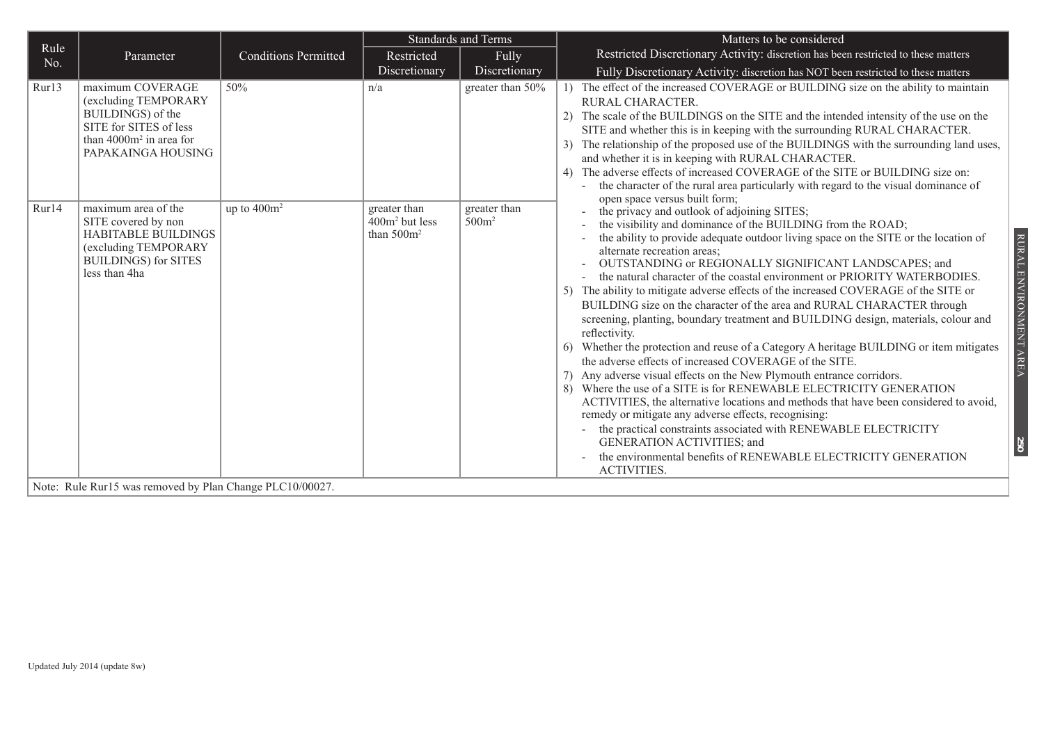|             |                                                                                                                                             |                             |                                                   | <b>Standards and Terms</b>        | Matters to be considered                                                                                                                                                                                                                                                                                                                                                                                                                                                                                                                                                                                                                                                                                                                                                                                                                                                                                                                                                                                                                                                                                                                                                                                                                                                                                                                      |
|-------------|---------------------------------------------------------------------------------------------------------------------------------------------|-----------------------------|---------------------------------------------------|-----------------------------------|-----------------------------------------------------------------------------------------------------------------------------------------------------------------------------------------------------------------------------------------------------------------------------------------------------------------------------------------------------------------------------------------------------------------------------------------------------------------------------------------------------------------------------------------------------------------------------------------------------------------------------------------------------------------------------------------------------------------------------------------------------------------------------------------------------------------------------------------------------------------------------------------------------------------------------------------------------------------------------------------------------------------------------------------------------------------------------------------------------------------------------------------------------------------------------------------------------------------------------------------------------------------------------------------------------------------------------------------------|
| Rule<br>No. | Parameter                                                                                                                                   | <b>Conditions Permitted</b> | Restricted                                        | Fully                             | Restricted Discretionary Activity: discretion has been restricted to these matters                                                                                                                                                                                                                                                                                                                                                                                                                                                                                                                                                                                                                                                                                                                                                                                                                                                                                                                                                                                                                                                                                                                                                                                                                                                            |
|             |                                                                                                                                             |                             | Discretionary                                     | Discretionary                     | Fully Discretionary Activity: discretion has NOT been restricted to these matters                                                                                                                                                                                                                                                                                                                                                                                                                                                                                                                                                                                                                                                                                                                                                                                                                                                                                                                                                                                                                                                                                                                                                                                                                                                             |
| Rur13       | maximum COVERAGE<br>(excluding TEMPORARY<br>BUILDINGS) of the<br>SITE for SITES of less<br>than $4000m^2$ in area for<br>PAPAKAINGA HOUSING | 50%                         | n/a                                               | greater than 50%                  | 1) The effect of the increased COVERAGE or BUILDING size on the ability to maintain<br>RURAL CHARACTER.<br>2) The scale of the BUILDINGS on the SITE and the intended intensity of the use on the<br>SITE and whether this is in keeping with the surrounding RURAL CHARACTER.<br>3) The relationship of the proposed use of the BUILDINGS with the surrounding land uses,<br>and whether it is in keeping with RURAL CHARACTER.<br>The adverse effects of increased COVERAGE of the SITE or BUILDING size on:<br>the character of the rural area particularly with regard to the visual dominance of<br>open space versus built form;                                                                                                                                                                                                                                                                                                                                                                                                                                                                                                                                                                                                                                                                                                        |
| Rur14       | maximum area of the<br>SITE covered by non<br>HABITABLE BUILDINGS<br>(excluding TEMPORARY<br><b>BUILDINGS)</b> for SITES<br>less than 4ha   | up to $400m^2$              | greater than<br>$400m2$ but less<br>than $500m^2$ | greater than<br>500m <sup>2</sup> | the privacy and outlook of adjoining SITES;<br>the visibility and dominance of the BUILDING from the ROAD;<br>the ability to provide adequate outdoor living space on the SITE or the location of<br>RURAL ENVIRONMENT AREA<br>alternate recreation areas;<br>OUTSTANDING or REGIONALLY SIGNIFICANT LANDSCAPES; and<br>the natural character of the coastal environment or PRIORITY WATERBODIES.<br>5) The ability to mitigate adverse effects of the increased COVERAGE of the SITE or<br>BUILDING size on the character of the area and RURAL CHARACTER through<br>screening, planting, boundary treatment and BUILDING design, materials, colour and<br>reflectivity.<br>6) Whether the protection and reuse of a Category A heritage BUILDING or item mitigates<br>the adverse effects of increased COVERAGE of the SITE.<br>7) Any adverse visual effects on the New Plymouth entrance corridors.<br>8) Where the use of a SITE is for RENEWABLE ELECTRICITY GENERATION<br>ACTIVITIES, the alternative locations and methods that have been considered to avoid,<br>remedy or mitigate any adverse effects, recognising:<br>the practical constraints associated with RENEWABLE ELECTRICITY<br><b>GENERATION ACTIVITIES; and</b><br>$\tilde{50}$<br>the environmental benefits of RENEWABLE ELECTRICITY GENERATION<br><b>ACTIVITIES.</b> |

Note: Rule Rur15 was removed by Plan Change PLC10/00027.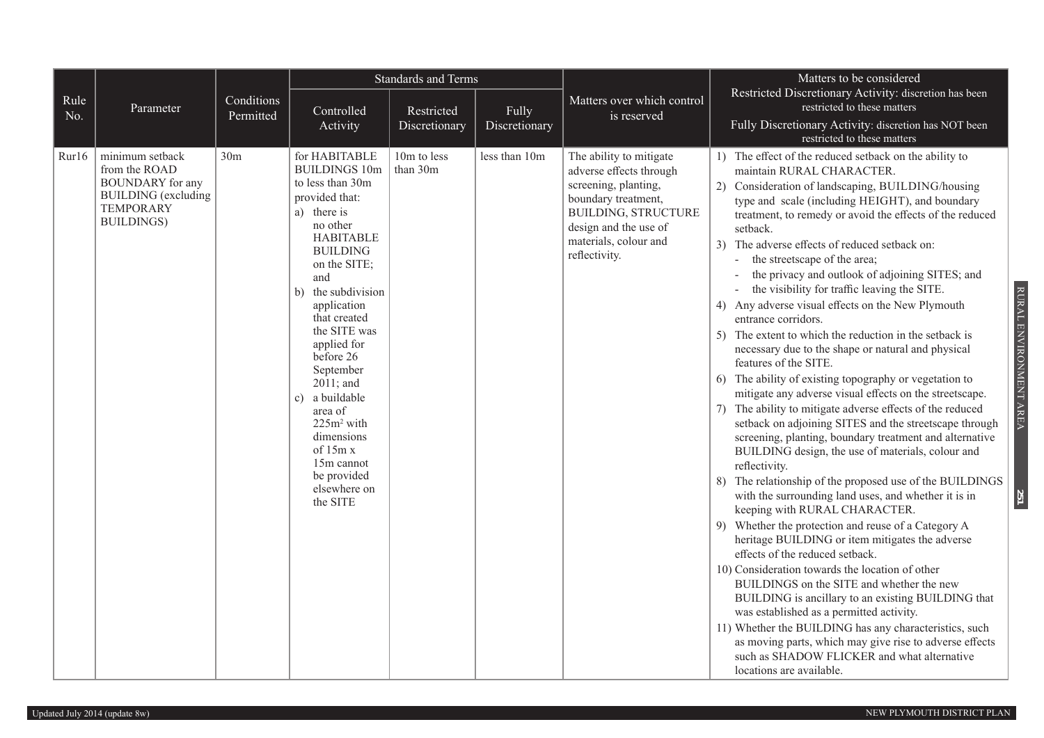|             |                                                                                                                                     | <b>Standards and Terms</b> |                                                                                                                                                                                                                                                                                                                                                                                                                                 |                         |               | Matters to be considered                                                                                                                                                                           |                                                                                                                                                                                                                                                                                                                                                                                                                                                                                                                                                                                                                                                                                                                                                                                                                                                                                                                                                                                                                                                                                                                                                                                                                                                                                                                                                                                                                                                                                                                                                                                                                                                                                                                                                                                                             |
|-------------|-------------------------------------------------------------------------------------------------------------------------------------|----------------------------|---------------------------------------------------------------------------------------------------------------------------------------------------------------------------------------------------------------------------------------------------------------------------------------------------------------------------------------------------------------------------------------------------------------------------------|-------------------------|---------------|----------------------------------------------------------------------------------------------------------------------------------------------------------------------------------------------------|-------------------------------------------------------------------------------------------------------------------------------------------------------------------------------------------------------------------------------------------------------------------------------------------------------------------------------------------------------------------------------------------------------------------------------------------------------------------------------------------------------------------------------------------------------------------------------------------------------------------------------------------------------------------------------------------------------------------------------------------------------------------------------------------------------------------------------------------------------------------------------------------------------------------------------------------------------------------------------------------------------------------------------------------------------------------------------------------------------------------------------------------------------------------------------------------------------------------------------------------------------------------------------------------------------------------------------------------------------------------------------------------------------------------------------------------------------------------------------------------------------------------------------------------------------------------------------------------------------------------------------------------------------------------------------------------------------------------------------------------------------------------------------------------------------------|
| Rule<br>No. | Parameter                                                                                                                           | Conditions<br>Permitted    | Controlled                                                                                                                                                                                                                                                                                                                                                                                                                      | Restricted              | Fully         | Matters over which control<br>is reserved                                                                                                                                                          | Restricted Discretionary Activity: discretion has been<br>restricted to these matters                                                                                                                                                                                                                                                                                                                                                                                                                                                                                                                                                                                                                                                                                                                                                                                                                                                                                                                                                                                                                                                                                                                                                                                                                                                                                                                                                                                                                                                                                                                                                                                                                                                                                                                       |
|             |                                                                                                                                     |                            | Activity                                                                                                                                                                                                                                                                                                                                                                                                                        | Discretionary           | Discretionary |                                                                                                                                                                                                    | Fully Discretionary Activity: discretion has NOT been<br>restricted to these matters                                                                                                                                                                                                                                                                                                                                                                                                                                                                                                                                                                                                                                                                                                                                                                                                                                                                                                                                                                                                                                                                                                                                                                                                                                                                                                                                                                                                                                                                                                                                                                                                                                                                                                                        |
| Rur16       | minimum setback<br>from the ROAD<br><b>BOUNDARY</b> for any<br><b>BUILDING</b> (excluding<br><b>TEMPORARY</b><br><b>BUILDINGS</b> ) | 30 <sub>m</sub>            | for HABITABLE<br><b>BUILDINGS 10m</b><br>to less than 30m<br>provided that:<br>a) there is<br>no other<br><b>HABITABLE</b><br><b>BUILDING</b><br>on the SITE;<br>and<br>b) the subdivision<br>application<br>that created<br>the SITE was<br>applied for<br>before 26<br>September<br>2011; and<br>c) a buildable<br>area of<br>$225m2$ with<br>dimensions<br>of 15m x<br>15m cannot<br>be provided<br>elsewhere on<br>the SITE | 10m to less<br>than 30m | less than 10m | The ability to mitigate<br>adverse effects through<br>screening, planting,<br>boundary treatment,<br><b>BUILDING, STRUCTURE</b><br>design and the use of<br>materials, colour and<br>reflectivity. | 1) The effect of the reduced setback on the ability to<br>maintain RURAL CHARACTER.<br>2) Consideration of landscaping, BUILDING/housing<br>type and scale (including HEIGHT), and boundary<br>treatment, to remedy or avoid the effects of the reduced<br>setback.<br>3) The adverse effects of reduced setback on:<br>the streetscape of the area;<br>the privacy and outlook of adjoining SITES; and<br>$\overline{a}$<br>the visibility for traffic leaving the SITE.<br>$\overline{\phantom{0}}$<br>4) Any adverse visual effects on the New Plymouth<br>entrance corridors.<br>5) The extent to which the reduction in the setback is<br>necessary due to the shape or natural and physical<br>features of the SITE.<br>6) The ability of existing topography or vegetation to<br>mitigate any adverse visual effects on the streetscape.<br>7) The ability to mitigate adverse effects of the reduced<br>setback on adjoining SITES and the streetscape through<br>screening, planting, boundary treatment and alternative<br>BUILDING design, the use of materials, colour and<br>reflectivity.<br>8) The relationship of the proposed use of the BUILDINGS<br>with the surrounding land uses, and whether it is in<br>keeping with RURAL CHARACTER.<br>9) Whether the protection and reuse of a Category A<br>heritage BUILDING or item mitigates the adverse<br>effects of the reduced setback.<br>10) Consideration towards the location of other<br>BUILDINGS on the SITE and whether the new<br>BUILDING is ancillary to an existing BUILDING that<br>was established as a permitted activity.<br>11) Whether the BUILDING has any characteristics, such<br>as moving parts, which may give rise to adverse effects<br>such as SHADOW FLICKER and what alternative<br>locations are available. |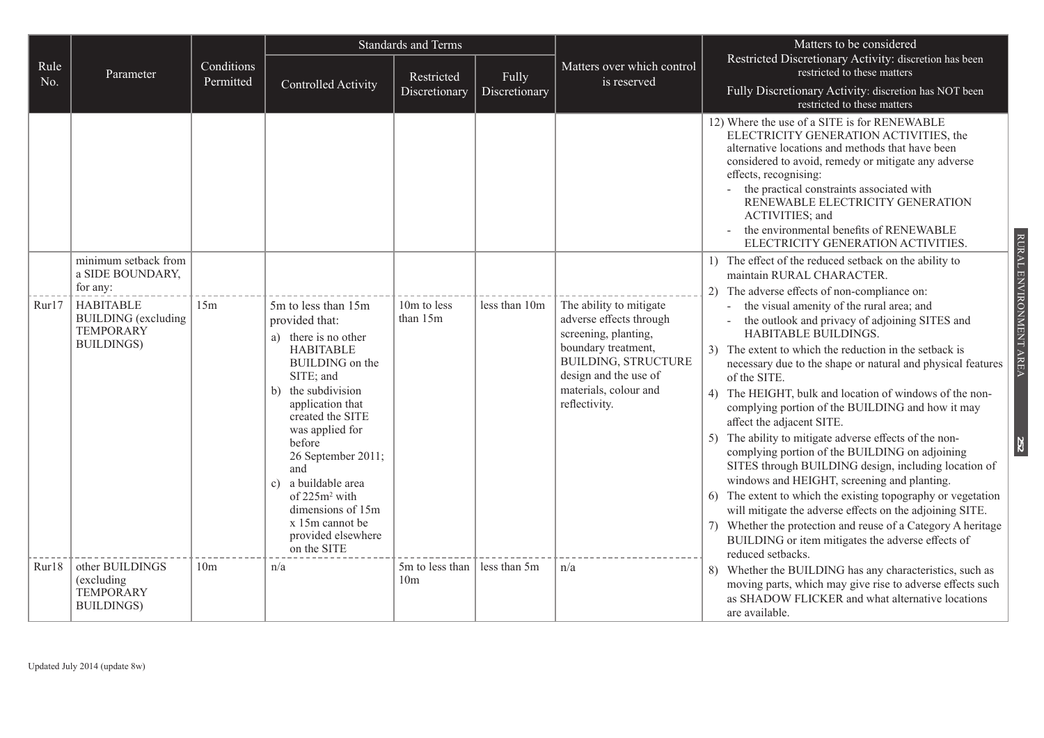|             |                                                                                          |                         | <b>Standards and Terms</b>                                                                                                                                                                                                                                                                                                                                        |                                    |                        |                                                                                                                                                                                                    | Matters to be considered                                                                                                                                                                                                                                                                                                                                                                                                                                                                                                                                                                                                                                                                                                                                                                                                                                                                                |  |  |
|-------------|------------------------------------------------------------------------------------------|-------------------------|-------------------------------------------------------------------------------------------------------------------------------------------------------------------------------------------------------------------------------------------------------------------------------------------------------------------------------------------------------------------|------------------------------------|------------------------|----------------------------------------------------------------------------------------------------------------------------------------------------------------------------------------------------|---------------------------------------------------------------------------------------------------------------------------------------------------------------------------------------------------------------------------------------------------------------------------------------------------------------------------------------------------------------------------------------------------------------------------------------------------------------------------------------------------------------------------------------------------------------------------------------------------------------------------------------------------------------------------------------------------------------------------------------------------------------------------------------------------------------------------------------------------------------------------------------------------------|--|--|
| Rule<br>No. | Parameter                                                                                | Conditions<br>Permitted | Controlled Activity                                                                                                                                                                                                                                                                                                                                               | Restricted<br>Discretionary        | Fully<br>Discretionary | Matters over which control<br>is reserved                                                                                                                                                          | Restricted Discretionary Activity: discretion has been<br>restricted to these matters<br>Fully Discretionary Activity: discretion has NOT been<br>restricted to these matters                                                                                                                                                                                                                                                                                                                                                                                                                                                                                                                                                                                                                                                                                                                           |  |  |
|             |                                                                                          |                         |                                                                                                                                                                                                                                                                                                                                                                   |                                    |                        |                                                                                                                                                                                                    | 12) Where the use of a SITE is for RENEWABLE<br>ELECTRICITY GENERATION ACTIVITIES, the<br>alternative locations and methods that have been<br>considered to avoid, remedy or mitigate any adverse<br>effects, recognising:<br>the practical constraints associated with<br>RENEWABLE ELECTRICITY GENERATION<br>ACTIVITIES; and<br>the environmental benefits of RENEWABLE<br>ELECTRICITY GENERATION ACTIVITIES.                                                                                                                                                                                                                                                                                                                                                                                                                                                                                         |  |  |
|             | minimum setback from<br>a SIDE BOUNDARY,<br>for any:                                     |                         |                                                                                                                                                                                                                                                                                                                                                                   |                                    |                        |                                                                                                                                                                                                    | 1) The effect of the reduced setback on the ability to<br>maintain RURAL CHARACTER.<br>The adverse effects of non-compliance on:<br>2)                                                                                                                                                                                                                                                                                                                                                                                                                                                                                                                                                                                                                                                                                                                                                                  |  |  |
| Rur17       | <b>HABITABLE</b><br><b>BUILDING</b> (excluding<br><b>TEMPORARY</b><br><b>BUILDINGS</b> ) | 15m                     | 5m to less than 15m<br>provided that:<br>a) there is no other<br><b>HABITABLE</b><br>BUILDING on the<br>SITE; and<br>b) the subdivision<br>application that<br>created the SITE<br>was applied for<br>before<br>26 September 2011;<br>and<br>c) a buildable area<br>of $225m^2$ with<br>dimensions of 15m<br>x 15m cannot be<br>provided elsewhere<br>on the SITE | 10m to less<br>than 15m            | less than 10m          | The ability to mitigate<br>adverse effects through<br>screening, planting,<br>boundary treatment,<br><b>BUILDING, STRUCTURE</b><br>design and the use of<br>materials, colour and<br>reflectivity. | the visual amenity of the rural area; and<br>the outlook and privacy of adjoining SITES and<br>HABITABLE BUILDINGS.<br>3) The extent to which the reduction in the setback is<br>necessary due to the shape or natural and physical features<br>of the SITE.<br>4) The HEIGHT, bulk and location of windows of the non-<br>complying portion of the BUILDING and how it may<br>affect the adjacent SITE.<br>The ability to mitigate adverse effects of the non-<br>5)<br>complying portion of the BUILDING on adjoining<br>SITES through BUILDING design, including location of<br>windows and HEIGHT, screening and planting.<br>6) The extent to which the existing topography or vegetation<br>will mitigate the adverse effects on the adjoining SITE.<br>Whether the protection and reuse of a Category A heritage<br>7)<br>BUILDING or item mitigates the adverse effects of<br>reduced setbacks. |  |  |
| Rur18       | other BUILDINGS<br>(excluding<br><b>TEMPORARY</b><br><b>BUILDINGS</b> )                  | 10 <sub>m</sub>         | n/a                                                                                                                                                                                                                                                                                                                                                               | 5m to less than<br>10 <sub>m</sub> | less than 5m           | n/a                                                                                                                                                                                                | Whether the BUILDING has any characteristics, such as<br>moving parts, which may give rise to adverse effects such<br>as SHADOW FLICKER and what alternative locations<br>are available.                                                                                                                                                                                                                                                                                                                                                                                                                                                                                                                                                                                                                                                                                                                |  |  |

RURAL ENVIRONMENT AREA RURAL ENVIRONMENT AREA **252**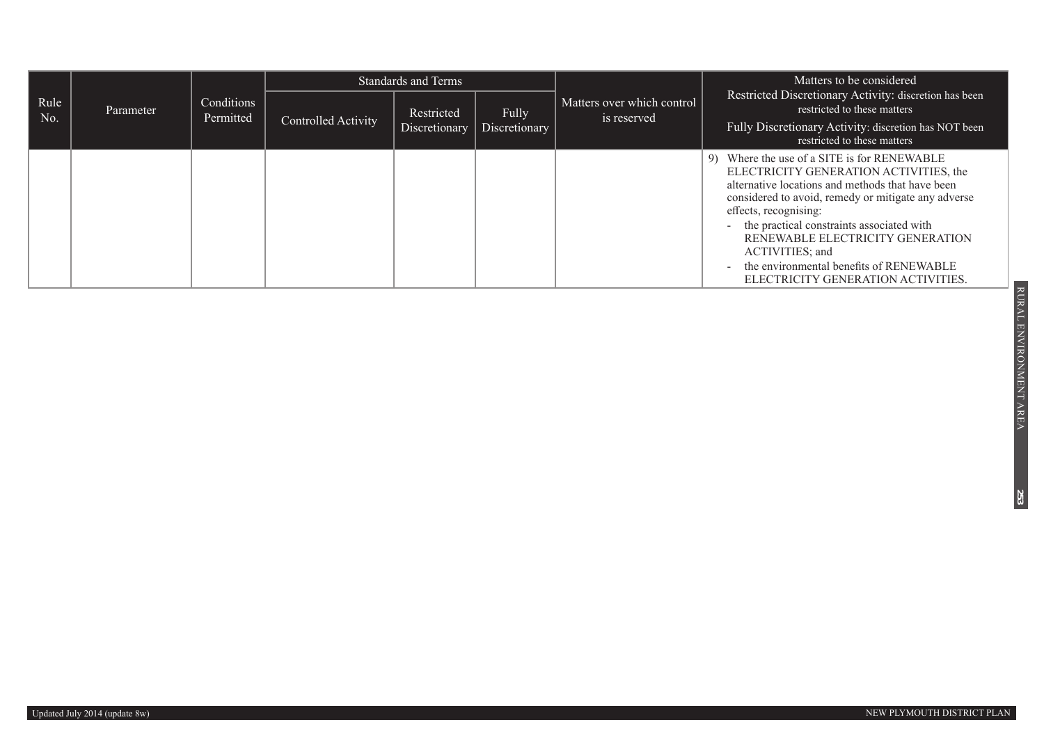|             |           |                         |                     | <b>Standards and Terms</b>  |                               |                                           | Matters to be considered.<br>Restricted Discretionary Activity: discretion has been<br>restricted to these matters<br>Fully Discretionary Activity: discretion has NOT been<br>restricted to these matters                                                                                                                                                                                                          |
|-------------|-----------|-------------------------|---------------------|-----------------------------|-------------------------------|-------------------------------------------|---------------------------------------------------------------------------------------------------------------------------------------------------------------------------------------------------------------------------------------------------------------------------------------------------------------------------------------------------------------------------------------------------------------------|
| Rule<br>No. | Parameter | Conditions<br>Permitted | Controlled Activity | Restricted<br>Discretionary | <b>Fully</b><br>Discretionary | Matters over which control<br>is reserved |                                                                                                                                                                                                                                                                                                                                                                                                                     |
|             |           |                         |                     |                             |                               |                                           | Where the use of a SITE is for RENEWABLE<br>9)<br>ELECTRICITY GENERATION ACTIVITIES, the<br>alternative locations and methods that have been<br>considered to avoid, remedy or mitigate any adverse<br>effects, recognising:<br>- the practical constraints associated with<br>RENEWABLE ELECTRICITY GENERATION<br>ACTIVITIES; and<br>the environmental benefits of RENEWABLE<br>ELECTRICITY GENERATION ACTIVITIES. |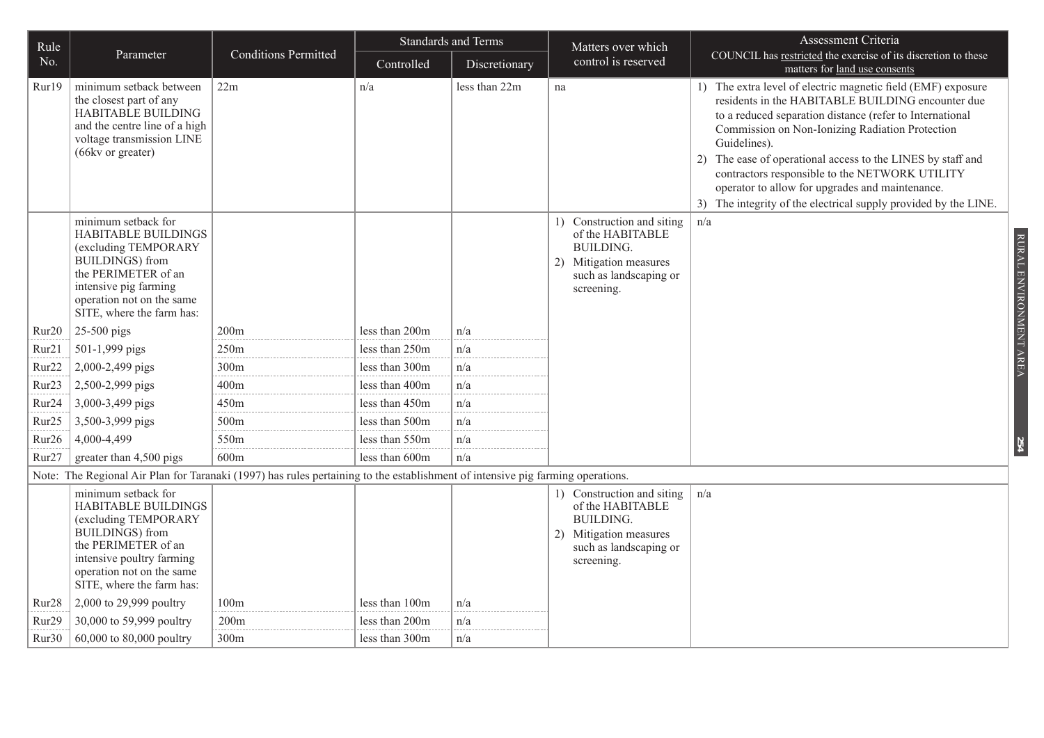| Rule              |                                                                                                                                                                                                                    |                             | <b>Standards and Terms</b> |               | Matters over which                                                                                                                         | Assessment Criteria                                                                                                                                                                                                                                                                                                                                                                                                                                                                     |  |
|-------------------|--------------------------------------------------------------------------------------------------------------------------------------------------------------------------------------------------------------------|-----------------------------|----------------------------|---------------|--------------------------------------------------------------------------------------------------------------------------------------------|-----------------------------------------------------------------------------------------------------------------------------------------------------------------------------------------------------------------------------------------------------------------------------------------------------------------------------------------------------------------------------------------------------------------------------------------------------------------------------------------|--|
| No.               | Parameter                                                                                                                                                                                                          | <b>Conditions Permitted</b> | Controlled                 | Discretionary | control is reserved                                                                                                                        | COUNCIL has restricted the exercise of its discretion to these<br>matters for land use consents                                                                                                                                                                                                                                                                                                                                                                                         |  |
| Rur19             | minimum setback between<br>the closest part of any<br>HABITABLE BUILDING<br>and the centre line of a high<br>voltage transmission LINE<br>(66kv or greater)                                                        | 22m                         | n/a                        | less than 22m | na                                                                                                                                         | 1) The extra level of electric magnetic field (EMF) exposure<br>residents in the HABITABLE BUILDING encounter due<br>to a reduced separation distance (refer to International<br>Commission on Non-Ionizing Radiation Protection<br>Guidelines).<br>2) The ease of operational access to the LINES by staff and<br>contractors responsible to the NETWORK UTILITY<br>operator to allow for upgrades and maintenance.<br>3) The integrity of the electrical supply provided by the LINE. |  |
|                   | minimum setback for<br>HABITABLE BUILDINGS<br>(excluding TEMPORARY<br><b>BUILDINGS</b> ) from<br>the PERIMETER of an<br>intensive pig farming<br>operation not on the same<br>SITE, where the farm has:            |                             |                            |               | 1) Construction and siting<br>of the HABITABLE<br><b>BUILDING.</b><br>Mitigation measures<br>2)<br>such as landscaping or<br>screening.    | n/a<br>RURAL ENVIRONMENT AREA                                                                                                                                                                                                                                                                                                                                                                                                                                                           |  |
| Rur <sub>20</sub> | 25-500 pigs                                                                                                                                                                                                        | 200m                        | less than 200m             | n/a           |                                                                                                                                            |                                                                                                                                                                                                                                                                                                                                                                                                                                                                                         |  |
| Rur21             | 501-1,999 pigs                                                                                                                                                                                                     | 250m                        | less than 250m             | n/a           |                                                                                                                                            |                                                                                                                                                                                                                                                                                                                                                                                                                                                                                         |  |
| Rur <sub>22</sub> | 2,000-2,499 pigs                                                                                                                                                                                                   | 300m                        | less than 300m             | n/a           |                                                                                                                                            |                                                                                                                                                                                                                                                                                                                                                                                                                                                                                         |  |
| Rur <sub>23</sub> | 2,500-2,999 pigs                                                                                                                                                                                                   | 400m                        | less than 400m             | n/a           |                                                                                                                                            |                                                                                                                                                                                                                                                                                                                                                                                                                                                                                         |  |
| Rur <sub>24</sub> | 3,000-3,499 pigs                                                                                                                                                                                                   | 450m                        | less than 450m             | n/a           |                                                                                                                                            |                                                                                                                                                                                                                                                                                                                                                                                                                                                                                         |  |
| Rur <sub>25</sub> | 3,500-3,999 pigs                                                                                                                                                                                                   | 500m                        | less than 500m             | n/a           |                                                                                                                                            |                                                                                                                                                                                                                                                                                                                                                                                                                                                                                         |  |
| Rur <sub>26</sub> | 4,000-4,499                                                                                                                                                                                                        | 550m                        | less than 550m             | n/a           |                                                                                                                                            | 54                                                                                                                                                                                                                                                                                                                                                                                                                                                                                      |  |
| Rur <sub>27</sub> | greater than 4,500 pigs                                                                                                                                                                                            | 600m                        | less than 600m             | n/a           |                                                                                                                                            |                                                                                                                                                                                                                                                                                                                                                                                                                                                                                         |  |
|                   | Note: The Regional Air Plan for Taranaki (1997) has rules pertaining to the establishment of intensive pig farming operations.                                                                                     |                             |                            |               |                                                                                                                                            |                                                                                                                                                                                                                                                                                                                                                                                                                                                                                         |  |
|                   | minimum setback for<br><b>HABITABLE BUILDINGS</b><br>(excluding TEMPORARY<br><b>BUILDINGS</b> ) from<br>the PERIMETER of an<br>intensive poultry farming<br>operation not on the same<br>SITE, where the farm has: |                             |                            |               | 1) Construction and siting<br>of the HABITABLE<br>BUILDING.<br>Mitigation measures<br>$\mathbf{2}$<br>such as landscaping or<br>screening. | n/a                                                                                                                                                                                                                                                                                                                                                                                                                                                                                     |  |
| Rur <sub>28</sub> | 2,000 to 29,999 poultry                                                                                                                                                                                            | 100m                        | less than 100m             | n/a           |                                                                                                                                            |                                                                                                                                                                                                                                                                                                                                                                                                                                                                                         |  |
| Rur <sub>29</sub> | 30,000 to 59,999 poultry                                                                                                                                                                                           | 200m                        | less than 200m             | n/a           |                                                                                                                                            |                                                                                                                                                                                                                                                                                                                                                                                                                                                                                         |  |
| Rur30             | 60,000 to 80,000 poultry                                                                                                                                                                                           | 300m                        | less than 300m             | n/a           |                                                                                                                                            |                                                                                                                                                                                                                                                                                                                                                                                                                                                                                         |  |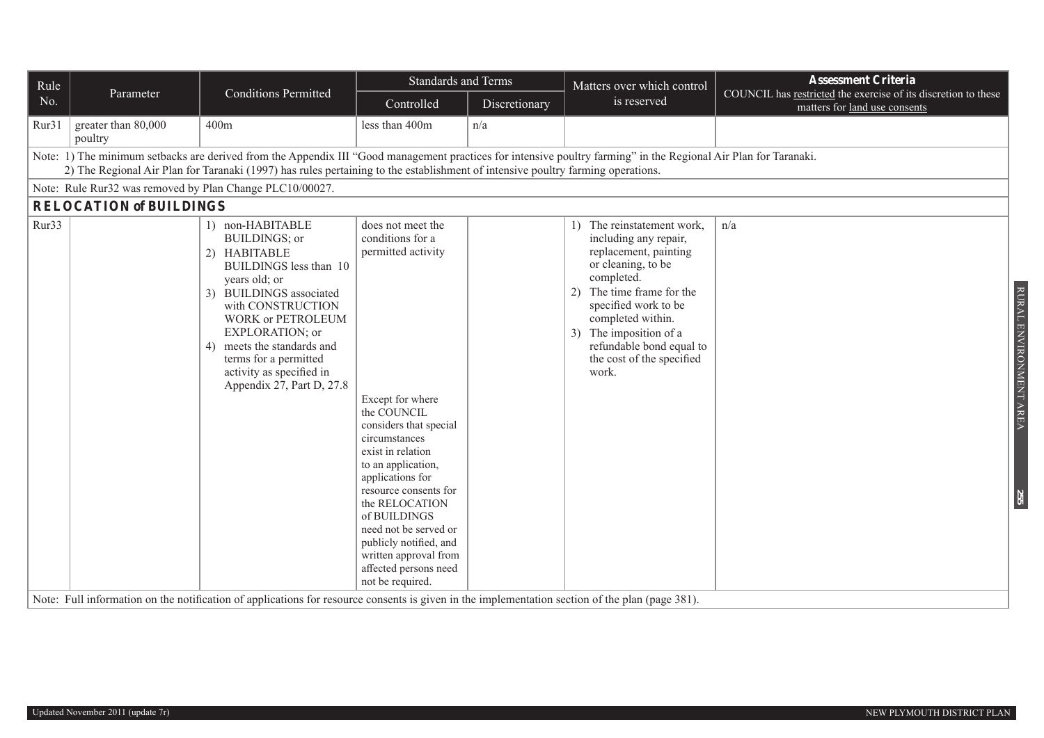| Rule  |                                                                                                                                                                                                                                                                                                     |                                                                                                                                                                                                                                                                                                                          | <b>Standards and Terms</b>                                                                                                                                                                                                                                                                                                                                                                   |               | Matters over which control                                                                                                                                                                                                                                                                | <b>Assessment Criteria</b>                                                                      |  |  |  |  |  |
|-------|-----------------------------------------------------------------------------------------------------------------------------------------------------------------------------------------------------------------------------------------------------------------------------------------------------|--------------------------------------------------------------------------------------------------------------------------------------------------------------------------------------------------------------------------------------------------------------------------------------------------------------------------|----------------------------------------------------------------------------------------------------------------------------------------------------------------------------------------------------------------------------------------------------------------------------------------------------------------------------------------------------------------------------------------------|---------------|-------------------------------------------------------------------------------------------------------------------------------------------------------------------------------------------------------------------------------------------------------------------------------------------|-------------------------------------------------------------------------------------------------|--|--|--|--|--|
| No.   | Parameter                                                                                                                                                                                                                                                                                           | <b>Conditions Permitted</b>                                                                                                                                                                                                                                                                                              | Controlled                                                                                                                                                                                                                                                                                                                                                                                   | Discretionary | is reserved                                                                                                                                                                                                                                                                               | COUNCIL has restricted the exercise of its discretion to these<br>matters for land use consents |  |  |  |  |  |
| Rur31 | greater than 80,000<br>poultry                                                                                                                                                                                                                                                                      | 400m                                                                                                                                                                                                                                                                                                                     | less than 400m                                                                                                                                                                                                                                                                                                                                                                               | n/a           |                                                                                                                                                                                                                                                                                           |                                                                                                 |  |  |  |  |  |
|       | Note: 1) The minimum setbacks are derived from the Appendix III "Good management practices for intensive poultry farming" in the Regional Air Plan for Taranaki.<br>2) The Regional Air Plan for Taranaki (1997) has rules pertaining to the establishment of intensive poultry farming operations. |                                                                                                                                                                                                                                                                                                                          |                                                                                                                                                                                                                                                                                                                                                                                              |               |                                                                                                                                                                                                                                                                                           |                                                                                                 |  |  |  |  |  |
|       | Note: Rule Rur32 was removed by Plan Change PLC10/00027.                                                                                                                                                                                                                                            |                                                                                                                                                                                                                                                                                                                          |                                                                                                                                                                                                                                                                                                                                                                                              |               |                                                                                                                                                                                                                                                                                           |                                                                                                 |  |  |  |  |  |
|       | <b>RELOCATION of BUILDINGS</b>                                                                                                                                                                                                                                                                      |                                                                                                                                                                                                                                                                                                                          |                                                                                                                                                                                                                                                                                                                                                                                              |               |                                                                                                                                                                                                                                                                                           |                                                                                                 |  |  |  |  |  |
| Rur33 |                                                                                                                                                                                                                                                                                                     | 1) non-HABITABLE<br>BUILDINGS; or<br>2) HABITABLE<br>BUILDINGS less than 10<br>years old; or<br>3)<br><b>BUILDINGS</b> associated<br>with CONSTRUCTION<br><b>WORK or PETROLEUM</b><br>EXPLORATION; or<br>meets the standards and<br>4)<br>terms for a permitted<br>activity as specified in<br>Appendix 27, Part D, 27.8 | does not meet the<br>conditions for a<br>permitted activity<br>Except for where<br>the COUNCIL<br>considers that special<br>circumstances<br>exist in relation<br>to an application,<br>applications for<br>resource consents for<br>the RELOCATION<br>of BUILDINGS<br>need not be served or<br>publicly notified, and<br>written approval from<br>affected persons need<br>not be required. |               | 1) The reinstatement work,<br>including any repair,<br>replacement, painting<br>or cleaning, to be<br>completed.<br>The time frame for the<br>2)<br>specified work to be<br>completed within.<br>3) The imposition of a<br>refundable bond equal to<br>the cost of the specified<br>work. | n/a<br>RURAL ENVIRONMENT AREA<br><b>255</b>                                                     |  |  |  |  |  |
|       |                                                                                                                                                                                                                                                                                                     | Note: Full information on the notification of applications for resource consents is given in the implementation section of the plan (page 381).                                                                                                                                                                          |                                                                                                                                                                                                                                                                                                                                                                                              |               |                                                                                                                                                                                                                                                                                           |                                                                                                 |  |  |  |  |  |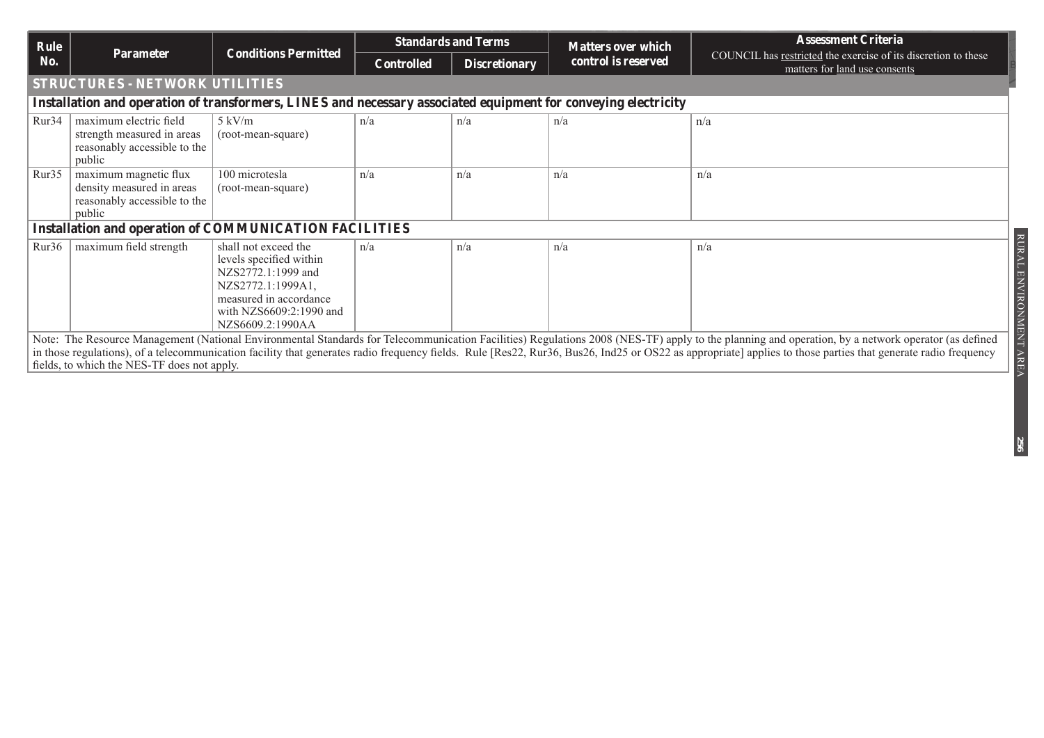| Rule                                                                                                           |                                                                                                | <b>Conditions Permitted</b>                                                                                                                                         | <b>Standards and Terms</b> |                      | <b>Matters over which</b> | <b>Assessment Criteria</b>                                                                                                                                                                                                                                                                                                                                                                                          |  |  |  |
|----------------------------------------------------------------------------------------------------------------|------------------------------------------------------------------------------------------------|---------------------------------------------------------------------------------------------------------------------------------------------------------------------|----------------------------|----------------------|---------------------------|---------------------------------------------------------------------------------------------------------------------------------------------------------------------------------------------------------------------------------------------------------------------------------------------------------------------------------------------------------------------------------------------------------------------|--|--|--|
| No.                                                                                                            | <b>Parameter</b>                                                                               |                                                                                                                                                                     | <b>Controlled</b>          | <b>Discretionary</b> | control is reserved       | COUNCIL has restricted the exercise of its discretion to these<br>matters for land use consents                                                                                                                                                                                                                                                                                                                     |  |  |  |
|                                                                                                                | <b>STRUCTURES - NETWORK UTILITIES</b>                                                          |                                                                                                                                                                     |                            |                      |                           |                                                                                                                                                                                                                                                                                                                                                                                                                     |  |  |  |
| Installation and operation of transformers, LINES and necessary associated equipment for conveying electricity |                                                                                                |                                                                                                                                                                     |                            |                      |                           |                                                                                                                                                                                                                                                                                                                                                                                                                     |  |  |  |
| Rur <sub>34</sub>                                                                                              | maximum electric field<br>strength measured in areas<br>reasonably accessible to the<br>public | $5 \text{ kV/m}$<br>(root-mean-square)                                                                                                                              | n/a                        | n/a                  | n/a                       | n/a                                                                                                                                                                                                                                                                                                                                                                                                                 |  |  |  |
| Rur35                                                                                                          | maximum magnetic flux<br>density measured in areas<br>reasonably accessible to the<br>public   | 100 microtesla<br>(root-mean-square)                                                                                                                                | n/a                        | n/a                  | n/a                       | n/a                                                                                                                                                                                                                                                                                                                                                                                                                 |  |  |  |
|                                                                                                                | <b>Installation and operation of COMMUNICATION FACILITIES</b>                                  |                                                                                                                                                                     |                            |                      |                           |                                                                                                                                                                                                                                                                                                                                                                                                                     |  |  |  |
| Rur36                                                                                                          | maximum field strength                                                                         | shall not exceed the<br>levels specified within<br>NZS2772.1:1999 and<br>NZS2772.1:1999A1,<br>measured in accordance<br>with NZS6609:2:1990 and<br>NZS6609.2:1990AA | n/a                        | n/a                  | n/a                       | RURAL ENVIRONMENT AREA<br>n/a                                                                                                                                                                                                                                                                                                                                                                                       |  |  |  |
|                                                                                                                | fields, to which the NES-TF does not apply.                                                    |                                                                                                                                                                     |                            |                      |                           | Note: The Resource Management (National Environmental Standards for Telecommunication Facilities) Regulations 2008 (NES-TF) apply to the planning and operation, by a network operator (as defined<br>in those regulations), of a telecommunication facility that generates radio frequency fields. Rule [Res22, Rur36, Bus26, Ind25 or OS22 as appropriate] applies to those parties that generate radio frequency |  |  |  |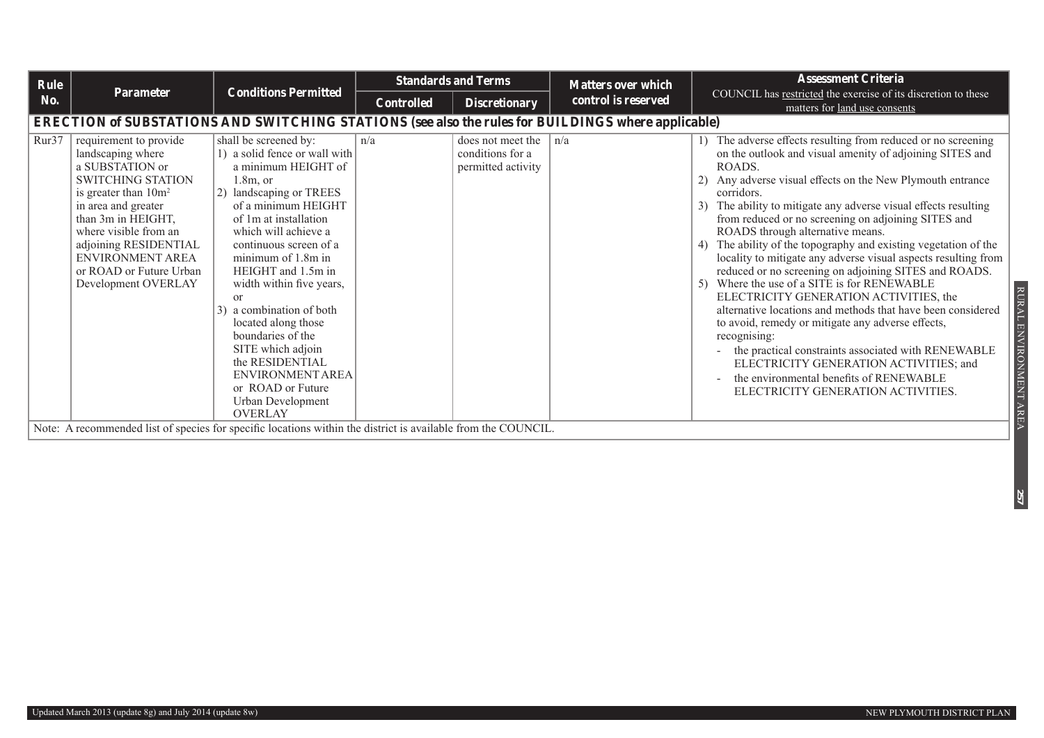| Rule  |                                                                                                                                                                                                                                                                                            |                                                                                                                                                                                                                                                                                                                                                                                                                                                                                                   |                   | <b>Standards and Terms</b>                                  | <b>Matters over which</b> | <b>Assessment Criteria</b>                                                                                                                                                                                                                                                                                                                                                                                                                                                                                                                                                                                                                                                                                                                                                                                                                                                                                                                                                                   |  |  |  |
|-------|--------------------------------------------------------------------------------------------------------------------------------------------------------------------------------------------------------------------------------------------------------------------------------------------|---------------------------------------------------------------------------------------------------------------------------------------------------------------------------------------------------------------------------------------------------------------------------------------------------------------------------------------------------------------------------------------------------------------------------------------------------------------------------------------------------|-------------------|-------------------------------------------------------------|---------------------------|----------------------------------------------------------------------------------------------------------------------------------------------------------------------------------------------------------------------------------------------------------------------------------------------------------------------------------------------------------------------------------------------------------------------------------------------------------------------------------------------------------------------------------------------------------------------------------------------------------------------------------------------------------------------------------------------------------------------------------------------------------------------------------------------------------------------------------------------------------------------------------------------------------------------------------------------------------------------------------------------|--|--|--|
| No.   | Parameter                                                                                                                                                                                                                                                                                  | <b>Conditions Permitted</b>                                                                                                                                                                                                                                                                                                                                                                                                                                                                       | <b>Controlled</b> | <b>Discretionary</b>                                        | control is reserved       | COUNCIL has restricted the exercise of its discretion to these<br>matters for land use consents                                                                                                                                                                                                                                                                                                                                                                                                                                                                                                                                                                                                                                                                                                                                                                                                                                                                                              |  |  |  |
|       | ERECTION of SUBSTATIONS AND SWITCHING STATIONS (see also the rules for BUILDINGS where applicable)                                                                                                                                                                                         |                                                                                                                                                                                                                                                                                                                                                                                                                                                                                                   |                   |                                                             |                           |                                                                                                                                                                                                                                                                                                                                                                                                                                                                                                                                                                                                                                                                                                                                                                                                                                                                                                                                                                                              |  |  |  |
| Rur37 | requirement to provide<br>landscaping where<br>a SUBSTATION or<br><b>SWITCHING STATION</b><br>is greater than $10m^2$<br>in area and greater<br>than 3m in HEIGHT,<br>where visible from an<br>adjoining RESIDENTIAL<br>ENVIRONMENT AREA<br>or ROAD or Future Urban<br>Development OVERLAY | shall be screened by:<br>1) a solid fence or wall with<br>a minimum HEIGHT of<br>$1.8m$ , or<br>landscaping or TREES<br>of a minimum HEIGHT<br>of 1m at installation<br>which will achieve a<br>continuous screen of a<br>minimum of 1.8m in<br>HEIGHT and 1.5m in<br>width within five years,<br>or<br>a combination of both<br>located along those<br>boundaries of the<br>SITE which adjoin<br>the RESIDENTIAL<br>ENVIRONMENT AREA<br>or ROAD or Future<br>Urban Development<br><b>OVERLAY</b> | n/a               | does not meet the<br>conditions for a<br>permitted activity | $\ln/a$                   | 1) The adverse effects resulting from reduced or no screening<br>on the outlook and visual amenity of adjoining SITES and<br>ROADS.<br>2) Any adverse visual effects on the New Plymouth entrance<br>corridors.<br>3) The ability to mitigate any adverse visual effects resulting<br>from reduced or no screening on adjoining SITES and<br>ROADS through alternative means.<br>4) The ability of the topography and existing vegetation of the<br>locality to mitigate any adverse visual aspects resulting from<br>reduced or no screening on adjoining SITES and ROADS.<br>5) Where the use of a SITE is for RENEWABLE<br>ELECTRICITY GENERATION ACTIVITIES, the<br>alternative locations and methods that have been considered<br>to avoid, remedy or mitigate any adverse effects,<br>recognising:<br>- the practical constraints associated with RENEWABLE<br>ELECTRICITY GENERATION ACTIVITIES; and<br>the environmental benefits of RENEWABLE<br>ELECTRICITY GENERATION ACTIVITIES. |  |  |  |
|       |                                                                                                                                                                                                                                                                                            | Note: A recommended list of species for specific locations within the district is available from the COUNCIL.                                                                                                                                                                                                                                                                                                                                                                                     |                   |                                                             |                           |                                                                                                                                                                                                                                                                                                                                                                                                                                                                                                                                                                                                                                                                                                                                                                                                                                                                                                                                                                                              |  |  |  |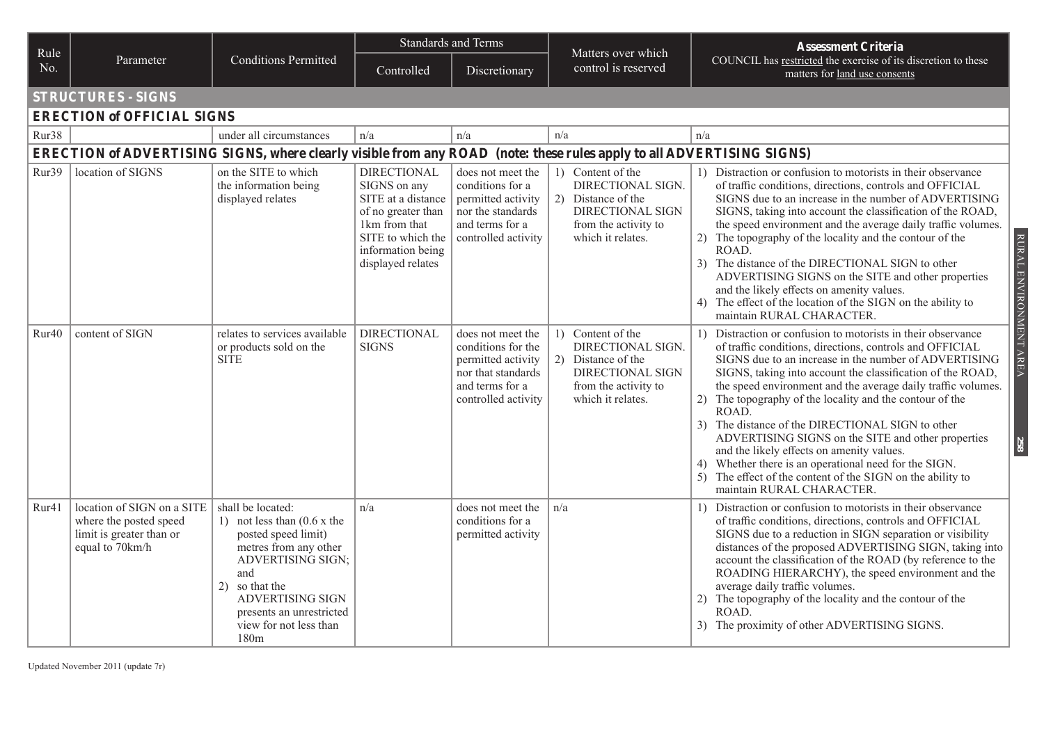| Rule              |                                                                                                                       |                                                                                                                                                                                                                                                               | <b>Standards and Terms</b>                                                                                                                                     |                                                                                                                               | Matters over which                                                                                                                   | <b>Assessment Criteria</b>                                                                                                                                                                                                                                                                                                                                                                                                                                                                                                                                                                                                                                                                             |
|-------------------|-----------------------------------------------------------------------------------------------------------------------|---------------------------------------------------------------------------------------------------------------------------------------------------------------------------------------------------------------------------------------------------------------|----------------------------------------------------------------------------------------------------------------------------------------------------------------|-------------------------------------------------------------------------------------------------------------------------------|--------------------------------------------------------------------------------------------------------------------------------------|--------------------------------------------------------------------------------------------------------------------------------------------------------------------------------------------------------------------------------------------------------------------------------------------------------------------------------------------------------------------------------------------------------------------------------------------------------------------------------------------------------------------------------------------------------------------------------------------------------------------------------------------------------------------------------------------------------|
| No.               | Parameter                                                                                                             | <b>Conditions Permitted</b>                                                                                                                                                                                                                                   | Controlled                                                                                                                                                     | Discretionary                                                                                                                 | control is reserved                                                                                                                  | COUNCIL has restricted the exercise of its discretion to these<br>matters for land use consents                                                                                                                                                                                                                                                                                                                                                                                                                                                                                                                                                                                                        |
|                   | <b>STRUCTURES - SIGNS</b>                                                                                             |                                                                                                                                                                                                                                                               |                                                                                                                                                                |                                                                                                                               |                                                                                                                                      |                                                                                                                                                                                                                                                                                                                                                                                                                                                                                                                                                                                                                                                                                                        |
|                   | <b>ERECTION of OFFICIAL SIGNS</b>                                                                                     |                                                                                                                                                                                                                                                               |                                                                                                                                                                |                                                                                                                               |                                                                                                                                      |                                                                                                                                                                                                                                                                                                                                                                                                                                                                                                                                                                                                                                                                                                        |
| Rur38             |                                                                                                                       | under all circumstances                                                                                                                                                                                                                                       | n/a                                                                                                                                                            | n/a                                                                                                                           | n/a                                                                                                                                  | n/a                                                                                                                                                                                                                                                                                                                                                                                                                                                                                                                                                                                                                                                                                                    |
|                   | ERECTION of ADVERTISING SIGNS, where clearly visible from any ROAD (note: these rules apply to all ADVERTISING SIGNS) |                                                                                                                                                                                                                                                               |                                                                                                                                                                |                                                                                                                               |                                                                                                                                      |                                                                                                                                                                                                                                                                                                                                                                                                                                                                                                                                                                                                                                                                                                        |
| Rur39             | location of SIGNS                                                                                                     | on the SITE to which<br>the information being<br>displayed relates                                                                                                                                                                                            | <b>DIRECTIONAL</b><br>SIGNS on any<br>SITE at a distance<br>of no greater than<br>1km from that<br>SITE to which the<br>information being<br>displayed relates | does not meet the<br>conditions for a<br>permitted activity<br>nor the standards<br>and terms for a<br>controlled activity    | 1) Content of the<br>DIRECTIONAL SIGN.<br>2) Distance of the<br><b>DIRECTIONAL SIGN</b><br>from the activity to<br>which it relates. | 1) Distraction or confusion to motorists in their observance<br>of traffic conditions, directions, controls and OFFICIAL<br>SIGNS due to an increase in the number of ADVERTISING<br>SIGNS, taking into account the classification of the ROAD,<br>the speed environment and the average daily traffic volumes.<br>RURAL ENVIRONMENT AREA<br>2) The topography of the locality and the contour of the<br>ROAD.<br>3) The distance of the DIRECTIONAL SIGN to other<br>ADVERTISING SIGNS on the SITE and other properties<br>and the likely effects on amenity values.<br>4) The effect of the location of the SIGN on the ability to<br>maintain RURAL CHARACTER.                                      |
| Rur <sub>40</sub> | content of SIGN                                                                                                       | relates to services available<br>or products sold on the<br><b>SITE</b>                                                                                                                                                                                       | <b>DIRECTIONAL</b><br><b>SIGNS</b>                                                                                                                             | does not meet the<br>conditions for the<br>permitted activity<br>nor that standards<br>and terms for a<br>controlled activity | 1) Content of the<br>DIRECTIONAL SIGN.<br>2) Distance of the<br><b>DIRECTIONAL SIGN</b><br>from the activity to<br>which it relates. | 1) Distraction or confusion to motorists in their observance<br>of traffic conditions, directions, controls and OFFICIAL<br>SIGNS due to an increase in the number of ADVERTISING<br>SIGNS, taking into account the classification of the ROAD,<br>the speed environment and the average daily traffic volumes.<br>2) The topography of the locality and the contour of the<br>ROAD.<br>3) The distance of the DIRECTIONAL SIGN to other<br>ADVERTISING SIGNS on the SITE and other properties<br>258<br>and the likely effects on amenity values.<br>4) Whether there is an operational need for the SIGN.<br>5) The effect of the content of the SIGN on the ability to<br>maintain RURAL CHARACTER. |
| Rur41             | location of SIGN on a SITE<br>where the posted speed<br>limit is greater than or<br>equal to 70km/h                   | shall be located:<br>1) not less than $(0.6 \times$ the<br>posted speed limit)<br>metres from any other<br>ADVERTISING SIGN;<br>and<br>so that the<br>2)<br><b>ADVERTISING SIGN</b><br>presents an unrestricted<br>view for not less than<br>180 <sub>m</sub> | n/a                                                                                                                                                            | does not meet the<br>conditions for a<br>permitted activity                                                                   | n/a                                                                                                                                  | Distraction or confusion to motorists in their observance<br>$\left  \right $<br>of traffic conditions, directions, controls and OFFICIAL<br>SIGNS due to a reduction in SIGN separation or visibility<br>distances of the proposed ADVERTISING SIGN, taking into<br>account the classification of the ROAD (by reference to the<br>ROADING HIERARCHY), the speed environment and the<br>average daily traffic volumes.<br>2) The topography of the locality and the contour of the<br>ROAD.<br>3) The proximity of other ADVERTISING SIGNS.                                                                                                                                                           |

Updated November 2011 (update 7r)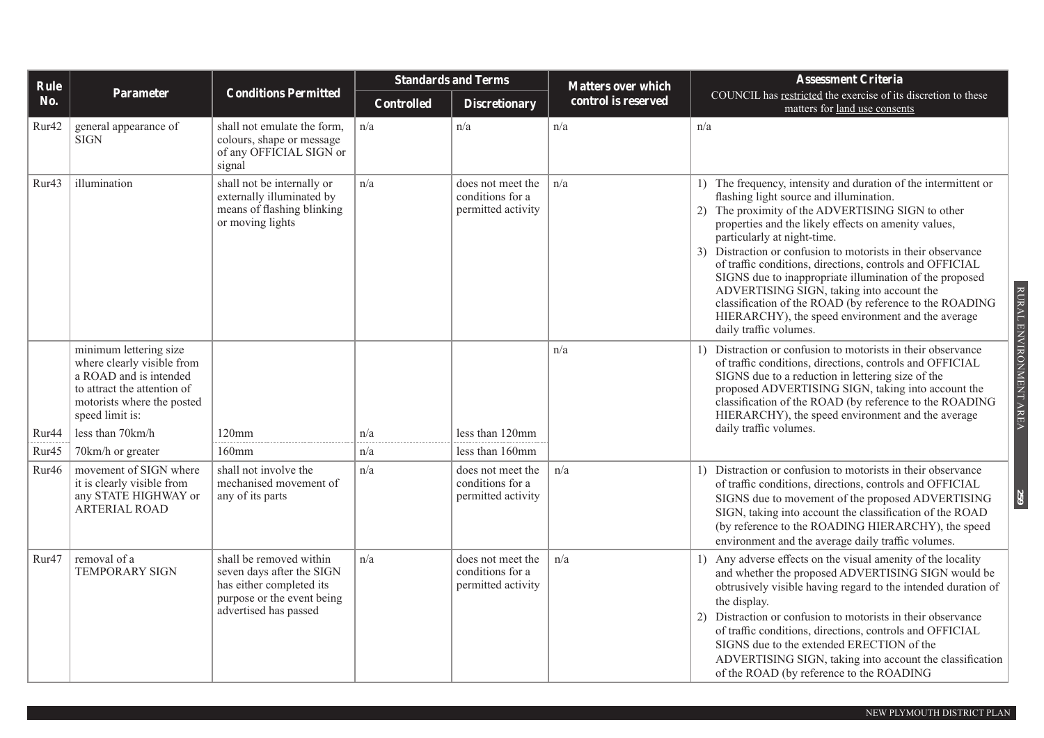| Rule              |                                                                                                                                                                |                                                                                                                                         | <b>Standards and Terms</b> |                                                             | <b>Matters over which</b> | <b>Assessment Criteria</b>                                                                                                                                                                                                                                                                                                                                                                                                                                                                                                                                                                                                           |  |
|-------------------|----------------------------------------------------------------------------------------------------------------------------------------------------------------|-----------------------------------------------------------------------------------------------------------------------------------------|----------------------------|-------------------------------------------------------------|---------------------------|--------------------------------------------------------------------------------------------------------------------------------------------------------------------------------------------------------------------------------------------------------------------------------------------------------------------------------------------------------------------------------------------------------------------------------------------------------------------------------------------------------------------------------------------------------------------------------------------------------------------------------------|--|
| No.               | Parameter                                                                                                                                                      | <b>Conditions Permitted</b>                                                                                                             | <b>Controlled</b>          | <b>Discretionary</b>                                        | control is reserved       | COUNCIL has restricted the exercise of its discretion to these<br>matters for land use consents                                                                                                                                                                                                                                                                                                                                                                                                                                                                                                                                      |  |
| Rur42             | general appearance of<br><b>SIGN</b>                                                                                                                           | shall not emulate the form,<br>colours, shape or message<br>of any OFFICIAL SIGN or<br>signal                                           | n/a                        | n/a                                                         | n/a                       | n/a                                                                                                                                                                                                                                                                                                                                                                                                                                                                                                                                                                                                                                  |  |
| Rur <sub>43</sub> | illumination                                                                                                                                                   | shall not be internally or<br>externally illuminated by<br>means of flashing blinking<br>or moving lights                               | n/a                        | does not meet the<br>conditions for a<br>permitted activity | n/a                       | 1) The frequency, intensity and duration of the intermittent or<br>flashing light source and illumination.<br>2) The proximity of the ADVERTISING SIGN to other<br>properties and the likely effects on amenity values,<br>particularly at night-time.<br>3) Distraction or confusion to motorists in their observance<br>of traffic conditions, directions, controls and OFFICIAL<br>SIGNS due to inappropriate illumination of the proposed<br>ADVERTISING SIGN, taking into account the<br>classification of the ROAD (by reference to the ROADING<br>HIERARCHY), the speed environment and the average<br>daily traffic volumes. |  |
|                   | minimum lettering size<br>where clearly visible from<br>a ROAD and is intended<br>to attract the attention of<br>motorists where the posted<br>speed limit is: |                                                                                                                                         |                            |                                                             | n/a                       | RURAL ENVIRONMENT AREA<br>1) Distraction or confusion to motorists in their observance<br>of traffic conditions, directions, controls and OFFICIAL<br>SIGNS due to a reduction in lettering size of the<br>proposed ADVERTISING SIGN, taking into account the<br>classification of the ROAD (by reference to the ROADING<br>HIERARCHY), the speed environment and the average                                                                                                                                                                                                                                                        |  |
| Rur44             | less than 70km/h                                                                                                                                               | $120$ mm                                                                                                                                | n/a                        | less than 120mm                                             |                           | daily traffic volumes.                                                                                                                                                                                                                                                                                                                                                                                                                                                                                                                                                                                                               |  |
| Rur45             | 70km/h or greater                                                                                                                                              | $160$ mm                                                                                                                                | n/a                        | less than 160mm                                             |                           |                                                                                                                                                                                                                                                                                                                                                                                                                                                                                                                                                                                                                                      |  |
| Rur <sub>46</sub> | movement of SIGN where<br>it is clearly visible from<br>any STATE HIGHWAY or<br><b>ARTERIAL ROAD</b>                                                           | shall not involve the<br>mechanised movement of<br>any of its parts                                                                     | n/a                        | does not meet the<br>conditions for a<br>permitted activity | n/a                       | 1) Distraction or confusion to motorists in their observance<br>of traffic conditions, directions, controls and OFFICIAL<br>259<br>SIGNS due to movement of the proposed ADVERTISING<br>SIGN, taking into account the classification of the ROAD<br>(by reference to the ROADING HIERARCHY), the speed<br>environment and the average daily traffic volumes.                                                                                                                                                                                                                                                                         |  |
| Rur <sub>47</sub> | removal of a<br><b>TEMPORARY SIGN</b>                                                                                                                          | shall be removed within<br>seven days after the SIGN<br>has either completed its<br>purpose or the event being<br>advertised has passed | n/a                        | does not meet the<br>conditions for a<br>permitted activity | n/a                       | 1) Any adverse effects on the visual amenity of the locality<br>and whether the proposed ADVERTISING SIGN would be<br>obtrusively visible having regard to the intended duration of<br>the display.<br>2) Distraction or confusion to motorists in their observance<br>of traffic conditions, directions, controls and OFFICIAL<br>SIGNS due to the extended ERECTION of the<br>ADVERTISING SIGN, taking into account the classification<br>of the ROAD (by reference to the ROADING                                                                                                                                                 |  |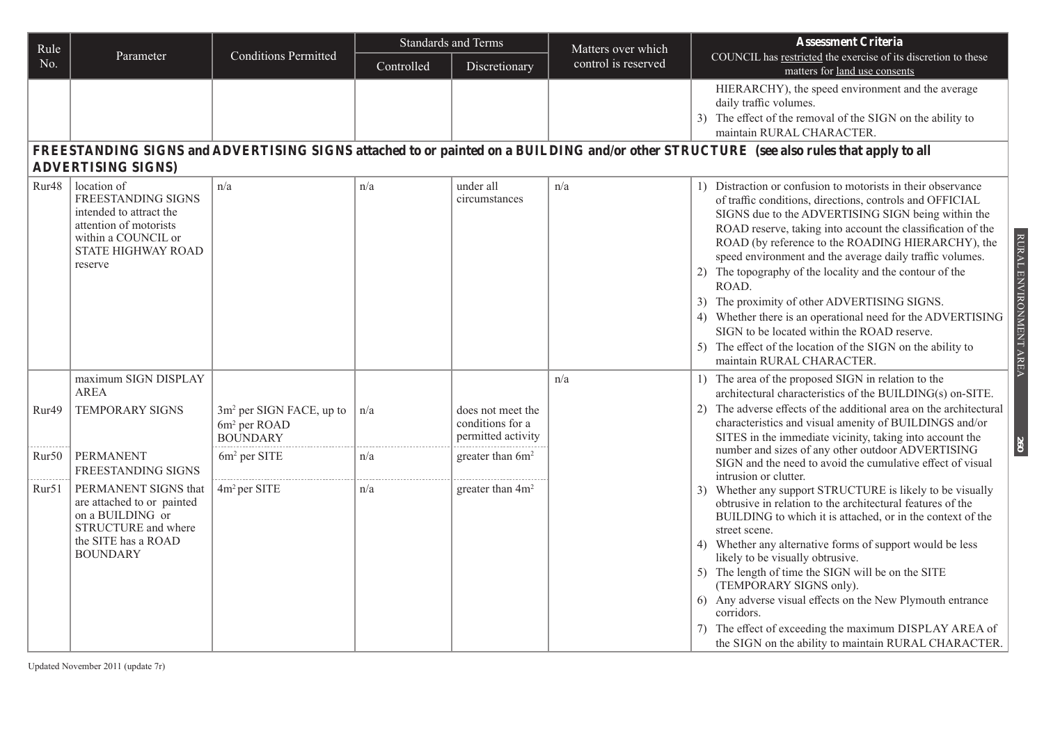| Rule              |                                                                                                                                                |                                                                           | <b>Standards and Terms</b> |                                                             | Matters over which  | <b>Assessment Criteria</b>                                                                                                                                                                                                                                                                                                                                                                                                                                                                                                                                                                                                                                                                                                 |
|-------------------|------------------------------------------------------------------------------------------------------------------------------------------------|---------------------------------------------------------------------------|----------------------------|-------------------------------------------------------------|---------------------|----------------------------------------------------------------------------------------------------------------------------------------------------------------------------------------------------------------------------------------------------------------------------------------------------------------------------------------------------------------------------------------------------------------------------------------------------------------------------------------------------------------------------------------------------------------------------------------------------------------------------------------------------------------------------------------------------------------------------|
| No.               | Parameter                                                                                                                                      | <b>Conditions Permitted</b>                                               | Controlled                 | Discretionary                                               | control is reserved | COUNCIL has restricted the exercise of its discretion to these<br>matters for land use consents                                                                                                                                                                                                                                                                                                                                                                                                                                                                                                                                                                                                                            |
|                   | <b>ADVERTISING SIGNS)</b>                                                                                                                      |                                                                           |                            |                                                             |                     | HIERARCHY), the speed environment and the average<br>daily traffic volumes.<br>3) The effect of the removal of the SIGN on the ability to<br>maintain RURAL CHARACTER.<br>FREESTANDING SIGNS and ADVERTISING SIGNS attached to or painted on a BUILDING and/or other STRUCTURE (see also rules that apply to all                                                                                                                                                                                                                                                                                                                                                                                                           |
| Rur <sub>48</sub> | location of<br>FREESTANDING SIGNS<br>intended to attract the<br>attention of motorists<br>within a COUNCIL or<br>STATE HIGHWAY ROAD<br>reserve | n/a                                                                       | n/a                        | under all<br>circumstances                                  | n/a                 | 1) Distraction or confusion to motorists in their observance<br>of traffic conditions, directions, controls and OFFICIAL<br>SIGNS due to the ADVERTISING SIGN being within the<br>ROAD reserve, taking into account the classification of the<br>RURAL ENVIRONMENT AREA<br>ROAD (by reference to the ROADING HIERARCHY), the<br>speed environment and the average daily traffic volumes.<br>The topography of the locality and the contour of the<br>2)<br>ROAD.<br>3) The proximity of other ADVERTISING SIGNS.<br>4) Whether there is an operational need for the ADVERTISING<br>SIGN to be located within the ROAD reserve.<br>5) The effect of the location of the SIGN on the ability to<br>maintain RURAL CHARACTER. |
|                   | maximum SIGN DISPLAY<br><b>AREA</b>                                                                                                            |                                                                           |                            |                                                             | n/a                 | 1) The area of the proposed SIGN in relation to the<br>architectural characteristics of the BUILDING(s) on-SITE.                                                                                                                                                                                                                                                                                                                                                                                                                                                                                                                                                                                                           |
| Rur49             | <b>TEMPORARY SIGNS</b>                                                                                                                         | $3m2$ per SIGN FACE, up to<br>6m <sup>2</sup> per ROAD<br><b>BOUNDARY</b> | n/a                        | does not meet the<br>conditions for a<br>permitted activity |                     | 2) The adverse effects of the additional area on the architectural<br>characteristics and visual amenity of BUILDINGS and/or<br>SITES in the immediate vicinity, taking into account the                                                                                                                                                                                                                                                                                                                                                                                                                                                                                                                                   |
| Rur50             | <b>PERMANENT</b><br>FREESTANDING SIGNS                                                                                                         | 6m <sup>2</sup> per SITE                                                  | n/a                        | greater than 6m <sup>2</sup>                                |                     | 260<br>number and sizes of any other outdoor ADVERTISING<br>SIGN and the need to avoid the cumulative effect of visual<br>intrusion or clutter.                                                                                                                                                                                                                                                                                                                                                                                                                                                                                                                                                                            |
| Rur51             | PERMANENT SIGNS that<br>are attached to or painted<br>on a BUILDING or<br>STRUCTURE and where<br>the SITE has a ROAD<br><b>BOUNDARY</b>        | 4m <sup>2</sup> per SITE                                                  | n/a                        | greater than 4m <sup>2</sup>                                |                     | 3) Whether any support STRUCTURE is likely to be visually<br>obtrusive in relation to the architectural features of the<br>BUILDING to which it is attached, or in the context of the<br>street scene.<br>4) Whether any alternative forms of support would be less<br>likely to be visually obtrusive.<br>5) The length of time the SIGN will be on the SITE<br>(TEMPORARY SIGNS only).<br>6) Any adverse visual effects on the New Plymouth entrance<br>corridors.<br>The effect of exceeding the maximum DISPLAY AREA of<br>the SIGN on the ability to maintain RURAL CHARACTER.                                                                                                                                        |

Updated November 2011 (update 7r)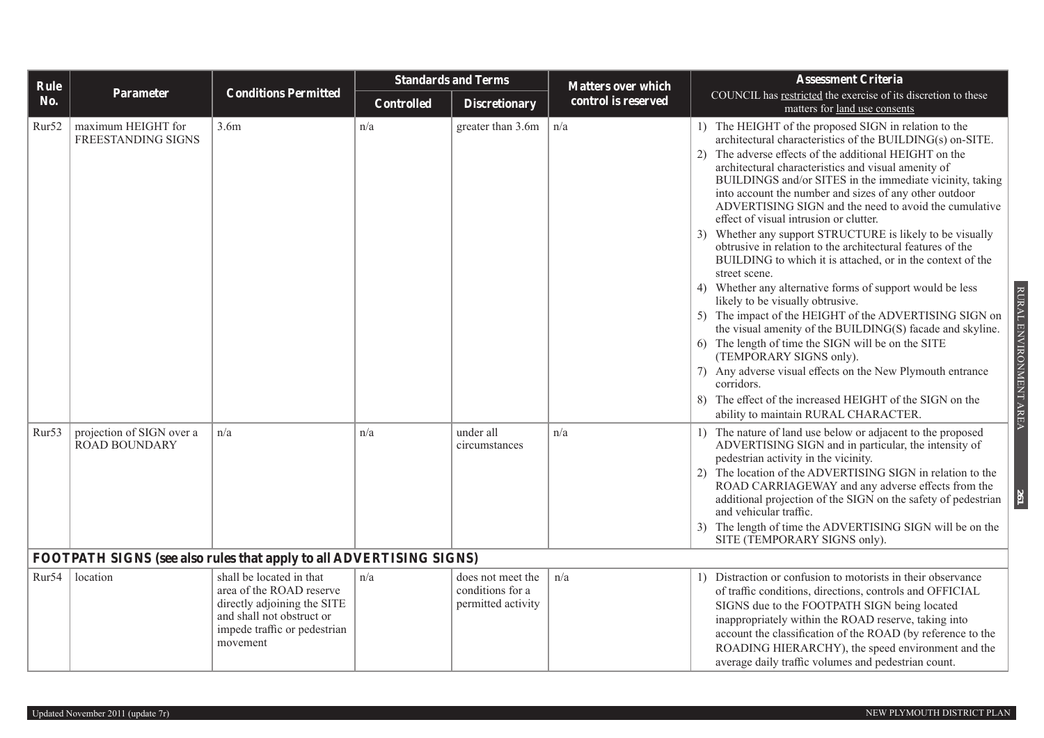| Rule              |                                                                     |                                                                                                                                                              | <b>Standards and Terms</b> |                                                             | <b>Matters over which</b> | <b>Assessment Criteria</b>                                                                                                                                                                                                                                                                                                                                                                                                                                                                                                                                                                                                                                                                                                                                                                                                                                                                                                                                                                                                                                                                                                                                            |
|-------------------|---------------------------------------------------------------------|--------------------------------------------------------------------------------------------------------------------------------------------------------------|----------------------------|-------------------------------------------------------------|---------------------------|-----------------------------------------------------------------------------------------------------------------------------------------------------------------------------------------------------------------------------------------------------------------------------------------------------------------------------------------------------------------------------------------------------------------------------------------------------------------------------------------------------------------------------------------------------------------------------------------------------------------------------------------------------------------------------------------------------------------------------------------------------------------------------------------------------------------------------------------------------------------------------------------------------------------------------------------------------------------------------------------------------------------------------------------------------------------------------------------------------------------------------------------------------------------------|
| No.               | Parameter                                                           | <b>Conditions Permitted</b>                                                                                                                                  | <b>Controlled</b>          | <b>Discretionary</b>                                        | control is reserved       | COUNCIL has restricted the exercise of its discretion to these<br>matters for land use consents                                                                                                                                                                                                                                                                                                                                                                                                                                                                                                                                                                                                                                                                                                                                                                                                                                                                                                                                                                                                                                                                       |
| Rur52             | maximum HEIGHT for<br>FREESTANDING SIGNS                            | 3.6m                                                                                                                                                         | n/a                        | greater than 3.6m                                           | n/a                       | 1) The HEIGHT of the proposed SIGN in relation to the<br>architectural characteristics of the BUILDING(s) on-SITE.<br>The adverse effects of the additional HEIGHT on the<br>2)<br>architectural characteristics and visual amenity of<br>BUILDINGS and/or SITES in the immediate vicinity, taking<br>into account the number and sizes of any other outdoor<br>ADVERTISING SIGN and the need to avoid the cumulative<br>effect of visual intrusion or clutter.<br>Whether any support STRUCTURE is likely to be visually<br>3)<br>obtrusive in relation to the architectural features of the<br>BUILDING to which it is attached, or in the context of the<br>street scene.<br>4) Whether any alternative forms of support would be less<br>likely to be visually obtrusive.<br>5) The impact of the HEIGHT of the ADVERTISING SIGN on<br>the visual amenity of the BUILDING(S) facade and skyline.<br>6) The length of time the SIGN will be on the SITE<br>(TEMPORARY SIGNS only).<br>Any adverse visual effects on the New Plymouth entrance<br>corridors.<br>The effect of the increased HEIGHT of the SIGN on the<br>8)<br>ability to maintain RURAL CHARACTER. |
| Rur <sub>53</sub> | projection of SIGN over a<br><b>ROAD BOUNDARY</b>                   | n/a                                                                                                                                                          | n/a                        | under all<br>circumstances                                  | n/a                       | 1) The nature of land use below or adjacent to the proposed<br>ADVERTISING SIGN and in particular, the intensity of<br>pedestrian activity in the vicinity.<br>2) The location of the ADVERTISING SIGN in relation to the<br>ROAD CARRIAGEWAY and any adverse effects from the<br>additional projection of the SIGN on the safety of pedestrian<br>and vehicular traffic.<br>The length of time the ADVERTISING SIGN will be on the<br>3)<br>SITE (TEMPORARY SIGNS only).                                                                                                                                                                                                                                                                                                                                                                                                                                                                                                                                                                                                                                                                                             |
|                   | FOOTPATH SIGNS (see also rules that apply to all ADVERTISING SIGNS) |                                                                                                                                                              |                            |                                                             |                           |                                                                                                                                                                                                                                                                                                                                                                                                                                                                                                                                                                                                                                                                                                                                                                                                                                                                                                                                                                                                                                                                                                                                                                       |
| Rur <sub>54</sub> | location                                                            | shall be located in that<br>area of the ROAD reserve<br>directly adjoining the SITE<br>and shall not obstruct or<br>impede traffic or pedestrian<br>movement | n/a                        | does not meet the<br>conditions for a<br>permitted activity | n/a                       | 1) Distraction or confusion to motorists in their observance<br>of traffic conditions, directions, controls and OFFICIAL<br>SIGNS due to the FOOTPATH SIGN being located<br>inappropriately within the ROAD reserve, taking into<br>account the classification of the ROAD (by reference to the<br>ROADING HIERARCHY), the speed environment and the<br>average daily traffic volumes and pedestrian count.                                                                                                                                                                                                                                                                                                                                                                                                                                                                                                                                                                                                                                                                                                                                                           |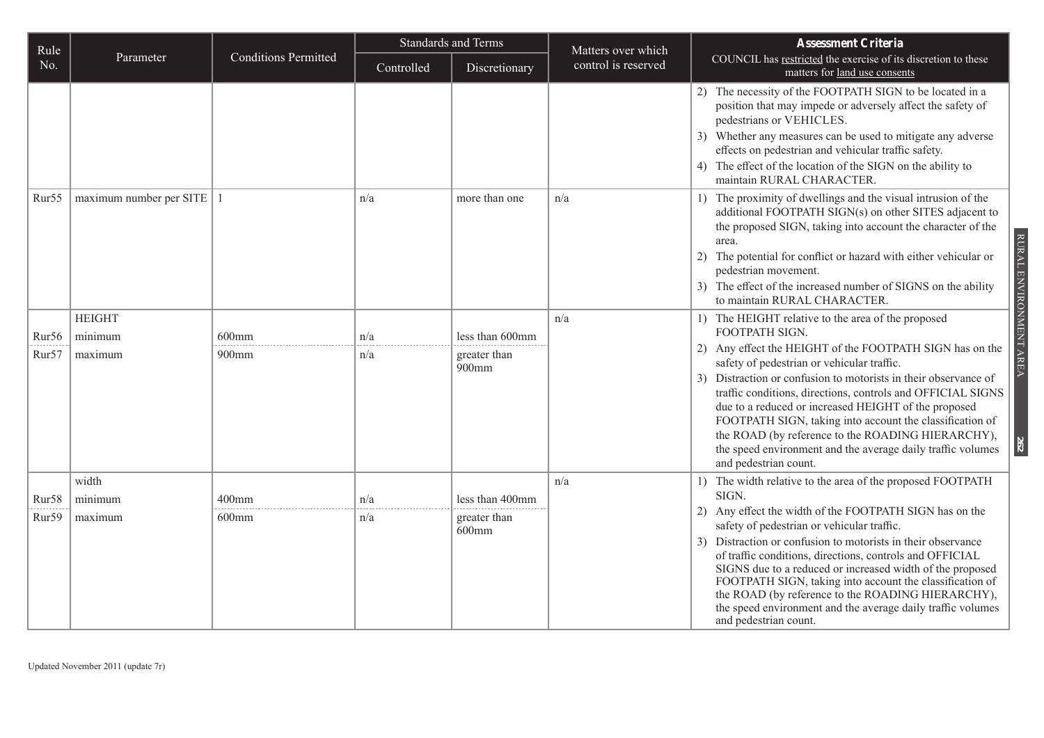| Rule              |                               |                             | <b>Standards and Terms</b> |                          | Matters over which  | <b>Assessment Criteria</b>                                                                                                                                                                                                                                                                                                                                                                                                                                                                                                     |  |
|-------------------|-------------------------------|-----------------------------|----------------------------|--------------------------|---------------------|--------------------------------------------------------------------------------------------------------------------------------------------------------------------------------------------------------------------------------------------------------------------------------------------------------------------------------------------------------------------------------------------------------------------------------------------------------------------------------------------------------------------------------|--|
| No.               | Parameter                     | <b>Conditions Permitted</b> | Controlled                 | Discretionary            | control is reserved | COUNCIL has restricted the exercise of its discretion to these<br>matters for land use consents                                                                                                                                                                                                                                                                                                                                                                                                                                |  |
|                   |                               |                             |                            |                          |                     | 2) The necessity of the FOOTPATH SIGN to be located in a<br>position that may impede or adversely affect the safety of<br>pedestrians or VEHICLES.<br>3) Whether any measures can be used to mitigate any adverse<br>effects on pedestrian and vehicular traffic safety.<br>4) The effect of the location of the SIGN on the ability to<br>maintain RURAL CHARACTER.                                                                                                                                                           |  |
| Rur <sub>55</sub> | $maximum$ number per SITE   1 |                             | n/a                        | more than one            | n/a                 | 1) The proximity of dwellings and the visual intrusion of the<br>additional FOOTPATH SIGN(s) on other SITES adjacent to<br>the proposed SIGN, taking into account the character of the<br>RURAL ENVIRONMENT AREA<br>area.<br>2) The potential for conflict or hazard with either vehicular or<br>pedestrian movement.<br>3) The effect of the increased number of SIGNS on the ability<br>to maintain RURAL CHARACTER.                                                                                                         |  |
|                   | <b>HEIGHT</b>                 |                             |                            |                          | n/a                 | 1) The HEIGHT relative to the area of the proposed                                                                                                                                                                                                                                                                                                                                                                                                                                                                             |  |
| Rur <sub>56</sub> | minimum                       | $600$ mm                    | n/a                        | less than 600mm          |                     | FOOTPATH SIGN.                                                                                                                                                                                                                                                                                                                                                                                                                                                                                                                 |  |
| Rur <sub>57</sub> | maximum                       | 900mm                       | n/a                        | greater than<br>900mm    |                     | 2) Any effect the HEIGHT of the FOOTPATH SIGN has on the<br>safety of pedestrian or vehicular traffic.<br>Distraction or confusion to motorists in their observance of<br>3)<br>traffic conditions, directions, controls and OFFICIAL SIGNS<br>due to a reduced or increased HEIGHT of the proposed<br>FOOTPATH SIGN, taking into account the classification of<br>the ROAD (by reference to the ROADING HIERARCHY),<br>$\overline{c}$<br>the speed environment and the average daily traffic volumes<br>and pedestrian count. |  |
|                   | width                         |                             |                            |                          | n/a                 | 1) The width relative to the area of the proposed FOOTPATH<br>SIGN.                                                                                                                                                                                                                                                                                                                                                                                                                                                            |  |
| Rur58             | minimum                       | $400$ mm                    | n/a                        | less than 400mm          |                     | 2) Any effect the width of the FOOTPATH SIGN has on the                                                                                                                                                                                                                                                                                                                                                                                                                                                                        |  |
| Rur59             | maximum                       | $600$ mm                    | n/a                        | greater than<br>$600$ mm |                     | safety of pedestrian or vehicular traffic.<br>3) Distraction or confusion to motorists in their observance<br>of traffic conditions, directions, controls and OFFICIAL<br>SIGNS due to a reduced or increased width of the proposed<br>FOOTPATH SIGN, taking into account the classification of<br>the ROAD (by reference to the ROADING HIERARCHY),<br>the speed environment and the average daily traffic volumes<br>and pedestrian count.                                                                                   |  |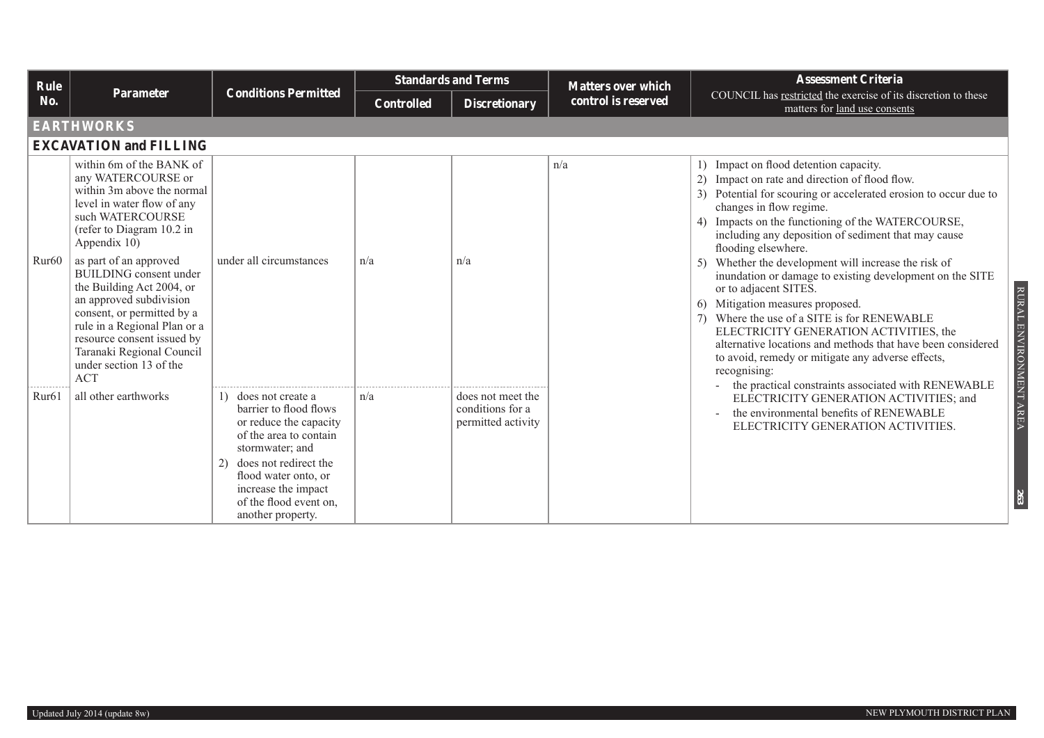| Rule              |                                                                                                                                                                                                                                                                                                                                                                                                                                                                  |                                                                                                                                                                                                                                                    | <b>Standards and Terms</b> |                                                             | <b>Matters over which</b> | <b>Assessment Criteria</b>                                                                                                                                                                                                                                                                                                                                                                                                                                                                                                                                                                                                                                                                                                                                                                                                     |  |  |  |  |
|-------------------|------------------------------------------------------------------------------------------------------------------------------------------------------------------------------------------------------------------------------------------------------------------------------------------------------------------------------------------------------------------------------------------------------------------------------------------------------------------|----------------------------------------------------------------------------------------------------------------------------------------------------------------------------------------------------------------------------------------------------|----------------------------|-------------------------------------------------------------|---------------------------|--------------------------------------------------------------------------------------------------------------------------------------------------------------------------------------------------------------------------------------------------------------------------------------------------------------------------------------------------------------------------------------------------------------------------------------------------------------------------------------------------------------------------------------------------------------------------------------------------------------------------------------------------------------------------------------------------------------------------------------------------------------------------------------------------------------------------------|--|--|--|--|
| No.               | <b>Parameter</b>                                                                                                                                                                                                                                                                                                                                                                                                                                                 | <b>Conditions Permitted</b>                                                                                                                                                                                                                        | <b>Controlled</b>          | <b>Discretionary</b>                                        | control is reserved       | COUNCIL has restricted the exercise of its discretion to these<br>matters for land use consents                                                                                                                                                                                                                                                                                                                                                                                                                                                                                                                                                                                                                                                                                                                                |  |  |  |  |
|                   | <b>EARTHWORKS</b>                                                                                                                                                                                                                                                                                                                                                                                                                                                |                                                                                                                                                                                                                                                    |                            |                                                             |                           |                                                                                                                                                                                                                                                                                                                                                                                                                                                                                                                                                                                                                                                                                                                                                                                                                                |  |  |  |  |
|                   | <b>EXCAVATION and FILLING</b>                                                                                                                                                                                                                                                                                                                                                                                                                                    |                                                                                                                                                                                                                                                    |                            |                                                             |                           |                                                                                                                                                                                                                                                                                                                                                                                                                                                                                                                                                                                                                                                                                                                                                                                                                                |  |  |  |  |
| Rur <sub>60</sub> | within 6m of the BANK of<br>any WATERCOURSE or<br>within 3m above the normal<br>level in water flow of any<br>such WATERCOURSE<br>(refer to Diagram 10.2 in<br>Appendix 10)<br>as part of an approved<br><b>BUILDING</b> consent under<br>the Building Act 2004, or<br>an approved subdivision<br>consent, or permitted by a<br>rule in a Regional Plan or a<br>resource consent issued by<br>Taranaki Regional Council<br>under section 13 of the<br><b>ACT</b> | under all circumstances                                                                                                                                                                                                                            | n/a                        | n/a                                                         | n/a                       | 1) Impact on flood detention capacity.<br>2) Impact on rate and direction of flood flow.<br>3) Potential for scouring or accelerated erosion to occur due to<br>changes in flow regime.<br>4) Impacts on the functioning of the WATERCOURSE,<br>including any deposition of sediment that may cause<br>flooding elsewhere.<br>5) Whether the development will increase the risk of<br>inundation or damage to existing development on the SITE<br>or to adjacent SITES.<br>RURAL<br>Mitigation measures proposed.<br>6<br>7) Where the use of a SITE is for RENEWABLE<br>ENVIRONMENT AREA<br>ELECTRICITY GENERATION ACTIVITIES, the<br>alternative locations and methods that have been considered<br>to avoid, remedy or mitigate any adverse effects,<br>recognising:<br>the practical constraints associated with RENEWABLE |  |  |  |  |
| Rur <sub>61</sub> | all other earthworks                                                                                                                                                                                                                                                                                                                                                                                                                                             | 1) does not create a<br>barrier to flood flows<br>or reduce the capacity<br>of the area to contain<br>stormwater; and<br>does not redirect the<br>2)<br>flood water onto, or<br>increase the impact<br>of the flood event on.<br>another property. | n/a                        | does not meet the<br>conditions for a<br>permitted activity |                           | ELECTRICITY GENERATION ACTIVITIES; and<br>the environmental benefits of RENEWABLE<br>ELECTRICITY GENERATION ACTIVITIES.<br>263                                                                                                                                                                                                                                                                                                                                                                                                                                                                                                                                                                                                                                                                                                 |  |  |  |  |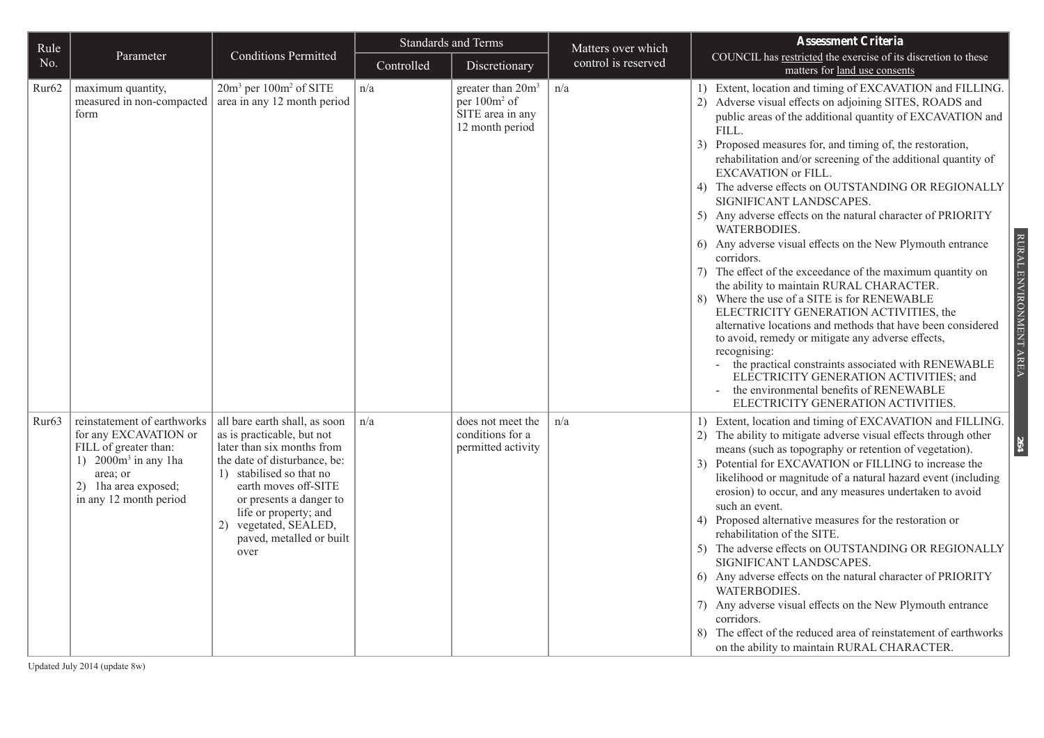| Rule              |                                                                                                                                                                        |                                                                                                                                                                                                                                                                                                | <b>Standards and Terms</b> |                                                                                                  | Matters over which  | <b>Assessment Criteria</b>                                                                                                                                                                                                                                                                                                                                                                                                                                                                                                                                                                                                                                                                                                                                                                                                                                                                                                                                                                                                                                                                                                                         |
|-------------------|------------------------------------------------------------------------------------------------------------------------------------------------------------------------|------------------------------------------------------------------------------------------------------------------------------------------------------------------------------------------------------------------------------------------------------------------------------------------------|----------------------------|--------------------------------------------------------------------------------------------------|---------------------|----------------------------------------------------------------------------------------------------------------------------------------------------------------------------------------------------------------------------------------------------------------------------------------------------------------------------------------------------------------------------------------------------------------------------------------------------------------------------------------------------------------------------------------------------------------------------------------------------------------------------------------------------------------------------------------------------------------------------------------------------------------------------------------------------------------------------------------------------------------------------------------------------------------------------------------------------------------------------------------------------------------------------------------------------------------------------------------------------------------------------------------------------|
| No.               | Parameter                                                                                                                                                              | <b>Conditions Permitted</b>                                                                                                                                                                                                                                                                    | Controlled                 | Discretionary                                                                                    | control is reserved | COUNCIL has restricted the exercise of its discretion to these<br>matters for land use consents                                                                                                                                                                                                                                                                                                                                                                                                                                                                                                                                                                                                                                                                                                                                                                                                                                                                                                                                                                                                                                                    |
| Rur <sub>62</sub> | maximum quantity,<br>measured in non-compacted<br>form                                                                                                                 | 20m <sup>3</sup> per 100m <sup>2</sup> of SITE<br>area in any 12 month period                                                                                                                                                                                                                  | n/a                        | greater than 20m <sup>3</sup><br>per 100m <sup>2</sup> of<br>SITE area in any<br>12 month period | n/a                 | 1) Extent, location and timing of EXCAVATION and FILLING.<br>2) Adverse visual effects on adjoining SITES, ROADS and<br>public areas of the additional quantity of EXCAVATION and<br>FILL.<br>3) Proposed measures for, and timing of, the restoration,<br>rehabilitation and/or screening of the additional quantity of<br>EXCAVATION or FILL.<br>4) The adverse effects on OUTSTANDING OR REGIONALLY<br>SIGNIFICANT LANDSCAPES.<br>5) Any adverse effects on the natural character of PRIORITY<br>WATERBODIES.<br>RURAL ENVIRONMENT AREA<br>6) Any adverse visual effects on the New Plymouth entrance<br>corridors.<br>The effect of the exceedance of the maximum quantity on<br>7)<br>the ability to maintain RURAL CHARACTER.<br>8) Where the use of a SITE is for RENEWABLE<br>ELECTRICITY GENERATION ACTIVITIES, the<br>alternative locations and methods that have been considered<br>to avoid, remedy or mitigate any adverse effects,<br>recognising:<br>the practical constraints associated with RENEWABLE<br>ELECTRICITY GENERATION ACTIVITIES; and<br>the environmental benefits of RENEWABLE<br>ELECTRICITY GENERATION ACTIVITIES. |
| Rur63             | reinstatement of earthworks<br>for any EXCAVATION or<br>FILL of greater than:<br>1) $2000m^3$ in any 1ha<br>area; or<br>2) 1ha area exposed;<br>in any 12 month period | all bare earth shall, as soon<br>as is practicable, but not<br>later than six months from<br>the date of disturbance, be:<br>1) stabilised so that no<br>earth moves off-SITE<br>or presents a danger to<br>life or property; and<br>2) vegetated, SEALED,<br>paved, metalled or built<br>over | n/a                        | does not meet the<br>conditions for a<br>permitted activity                                      | n/a                 | 1) Extent, location and timing of EXCAVATION and FILLING.<br>2) The ability to mitigate adverse visual effects through other<br>64<br>means (such as topography or retention of vegetation).<br>3) Potential for EXCAVATION or FILLING to increase the<br>likelihood or magnitude of a natural hazard event (including<br>erosion) to occur, and any measures undertaken to avoid<br>such an event.<br>4) Proposed alternative measures for the restoration or<br>rehabilitation of the SITE.<br>5) The adverse effects on OUTSTANDING OR REGIONALLY<br>SIGNIFICANT LANDSCAPES.<br>6) Any adverse effects on the natural character of PRIORITY<br><b>WATERBODIES.</b><br>7) Any adverse visual effects on the New Plymouth entrance<br>corridors.<br>8) The effect of the reduced area of reinstatement of earthworks<br>on the ability to maintain RURAL CHARACTER.                                                                                                                                                                                                                                                                               |

Updated July 2014 (update 8w)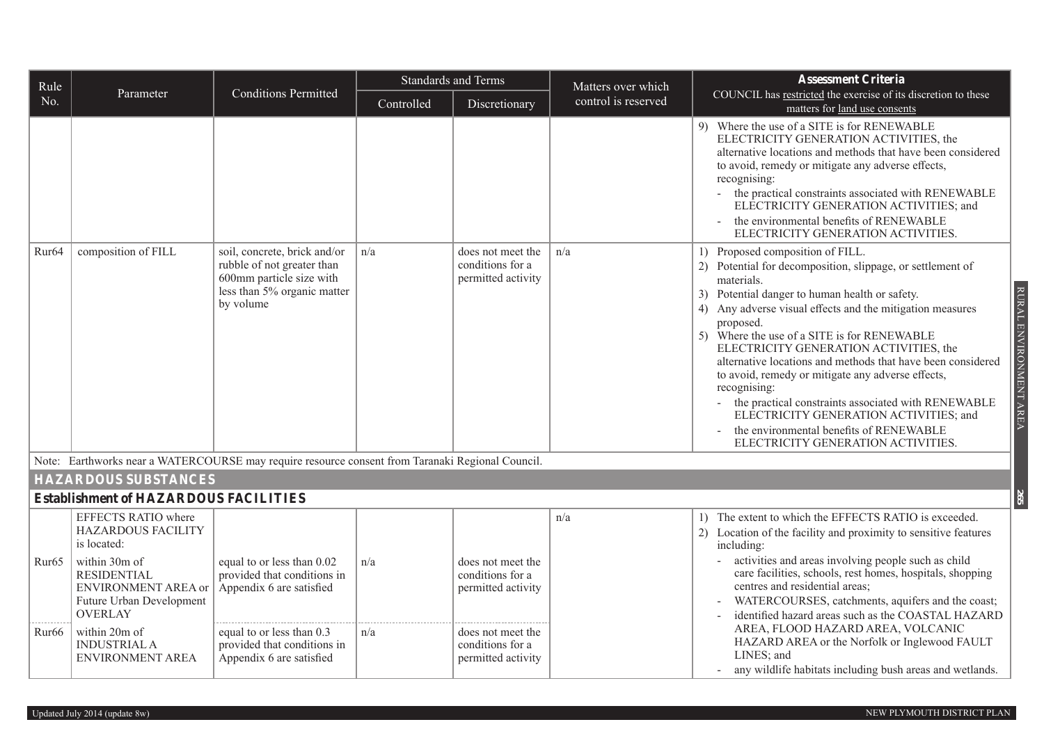| Rule              |                                                                                                                 |                                                                                                                                    | <b>Standards and Terms</b> |                                                             | Matters over which  | <b>Assessment Criteria</b>                                                                                                                                                                                                                                                                                                                                                                                                                                                                                                                                                                                                                                                        |  |
|-------------------|-----------------------------------------------------------------------------------------------------------------|------------------------------------------------------------------------------------------------------------------------------------|----------------------------|-------------------------------------------------------------|---------------------|-----------------------------------------------------------------------------------------------------------------------------------------------------------------------------------------------------------------------------------------------------------------------------------------------------------------------------------------------------------------------------------------------------------------------------------------------------------------------------------------------------------------------------------------------------------------------------------------------------------------------------------------------------------------------------------|--|
| No.               | Parameter                                                                                                       | <b>Conditions Permitted</b>                                                                                                        | Controlled                 | Discretionary                                               | control is reserved | COUNCIL has restricted the exercise of its discretion to these<br>matters for land use consents                                                                                                                                                                                                                                                                                                                                                                                                                                                                                                                                                                                   |  |
|                   |                                                                                                                 |                                                                                                                                    |                            |                                                             |                     | 9) Where the use of a SITE is for RENEWABLE<br>ELECTRICITY GENERATION ACTIVITIES, the<br>alternative locations and methods that have been considered<br>to avoid, remedy or mitigate any adverse effects,<br>recognising:<br>the practical constraints associated with RENEWABLE<br>ELECTRICITY GENERATION ACTIVITIES; and<br>the environmental benefits of RENEWABLE<br>ELECTRICITY GENERATION ACTIVITIES.                                                                                                                                                                                                                                                                       |  |
| Rur <sub>64</sub> | composition of FILL                                                                                             | soil, concrete, brick and/or<br>rubble of not greater than<br>600mm particle size with<br>less than 5% organic matter<br>by volume | n/a                        | does not meet the<br>conditions for a<br>permitted activity | n/a                 | 1) Proposed composition of FILL.<br>2) Potential for decomposition, slippage, or settlement of<br>materials.<br>RURAL ENVIRONMENT AREA<br>3) Potential danger to human health or safety.<br>4) Any adverse visual effects and the mitigation measures<br>proposed.<br>5) Where the use of a SITE is for RENEWABLE<br>ELECTRICITY GENERATION ACTIVITIES, the<br>alternative locations and methods that have been considered<br>to avoid, remedy or mitigate any adverse effects,<br>recognising:<br>the practical constraints associated with RENEWABLE<br>ELECTRICITY GENERATION ACTIVITIES; and<br>the environmental benefits of RENEWABLE<br>ELECTRICITY GENERATION ACTIVITIES. |  |
|                   |                                                                                                                 | Note: Earthworks near a WATERCOURSE may require resource consent from Taranaki Regional Council.                                   |                            |                                                             |                     |                                                                                                                                                                                                                                                                                                                                                                                                                                                                                                                                                                                                                                                                                   |  |
|                   | <b>HAZARDOUS SUBSTANCES</b>                                                                                     |                                                                                                                                    |                            |                                                             |                     |                                                                                                                                                                                                                                                                                                                                                                                                                                                                                                                                                                                                                                                                                   |  |
|                   | <b>Establishment of HAZARDOUS FACILITIES</b>                                                                    |                                                                                                                                    |                            |                                                             |                     | 265                                                                                                                                                                                                                                                                                                                                                                                                                                                                                                                                                                                                                                                                               |  |
|                   | EFFECTS RATIO where<br><b>HAZARDOUS FACILITY</b><br>is located:                                                 |                                                                                                                                    |                            |                                                             | n/a                 | 1) The extent to which the EFFECTS RATIO is exceeded.<br>2) Location of the facility and proximity to sensitive features<br>including:                                                                                                                                                                                                                                                                                                                                                                                                                                                                                                                                            |  |
| Rur <sub>65</sub> | within 30m of<br><b>RESIDENTIAL</b><br><b>ENVIRONMENT AREA or</b><br>Future Urban Development<br><b>OVERLAY</b> | equal to or less than 0.02<br>provided that conditions in<br>Appendix 6 are satisfied                                              | n/a                        | does not meet the<br>conditions for a<br>permitted activity |                     | activities and areas involving people such as child<br>care facilities, schools, rest homes, hospitals, shopping<br>centres and residential areas;<br>WATERCOURSES, catchments, aquifers and the coast;<br>identified hazard areas such as the COASTAL HAZARD                                                                                                                                                                                                                                                                                                                                                                                                                     |  |
| Rur <sub>66</sub> | within 20m of<br><b>INDUSTRIAL A</b><br>ENVIRONMENT AREA                                                        | equal to or less than 0.3<br>provided that conditions in<br>Appendix 6 are satisfied                                               | n/a                        | does not meet the<br>conditions for a<br>permitted activity |                     | AREA, FLOOD HAZARD AREA, VOLCANIC<br>HAZARD AREA or the Norfolk or Inglewood FAULT<br>LINES; and<br>any wildlife habitats including bush areas and wetlands.                                                                                                                                                                                                                                                                                                                                                                                                                                                                                                                      |  |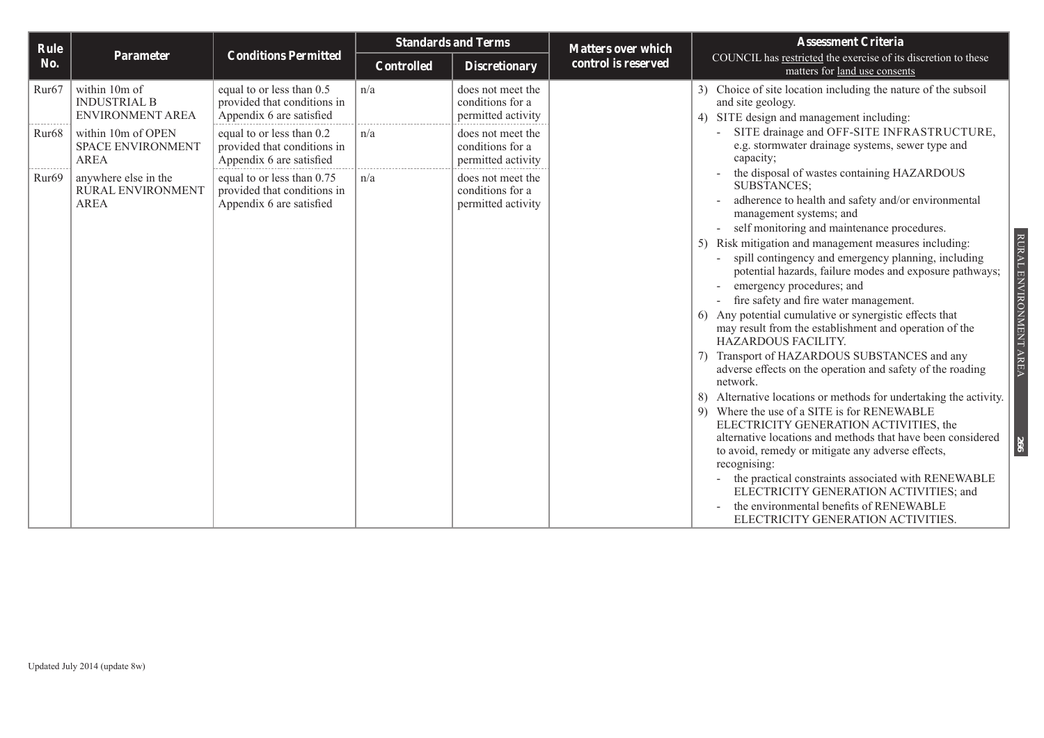| Rule              |                                                                 |                                                                                       | <b>Standards and Terms</b> |                                                             | <b>Matters over which</b> | <b>Assessment Criteria</b>                                                                                                                                                                                                                                                                                                                                                                                                                                                                                                                                                                                                                                                                                                                                                                                                                                                                                                                                                                                                                                                                                                                         |  |
|-------------------|-----------------------------------------------------------------|---------------------------------------------------------------------------------------|----------------------------|-------------------------------------------------------------|---------------------------|----------------------------------------------------------------------------------------------------------------------------------------------------------------------------------------------------------------------------------------------------------------------------------------------------------------------------------------------------------------------------------------------------------------------------------------------------------------------------------------------------------------------------------------------------------------------------------------------------------------------------------------------------------------------------------------------------------------------------------------------------------------------------------------------------------------------------------------------------------------------------------------------------------------------------------------------------------------------------------------------------------------------------------------------------------------------------------------------------------------------------------------------------|--|
| No.               | Parameter                                                       | <b>Conditions Permitted</b>                                                           | <b>Controlled</b>          | <b>Discretionary</b>                                        | control is reserved       | COUNCIL has restricted the exercise of its discretion to these<br>matters for land use consents                                                                                                                                                                                                                                                                                                                                                                                                                                                                                                                                                                                                                                                                                                                                                                                                                                                                                                                                                                                                                                                    |  |
| Rur <sub>67</sub> | within 10m of<br><b>INDUSTRIAL B</b><br>ENVIRONMENT AREA        | equal to or less than 0.5<br>provided that conditions in<br>Appendix 6 are satisfied  | n/a                        | does not meet the<br>conditions for a<br>permitted activity |                           | 3) Choice of site location including the nature of the subsoil<br>and site geology.<br>SITE design and management including:                                                                                                                                                                                                                                                                                                                                                                                                                                                                                                                                                                                                                                                                                                                                                                                                                                                                                                                                                                                                                       |  |
| Rur <sub>68</sub> | within 10m of OPEN<br><b>SPACE ENVIRONMENT</b><br><b>AREA</b>   | equal to or less than 0.2<br>provided that conditions in<br>Appendix 6 are satisfied  | n/a                        | does not meet the<br>conditions for a<br>permitted activity |                           | SITE drainage and OFF-SITE INFRASTRUCTURE,<br>e.g. stormwater drainage systems, sewer type and<br>capacity;                                                                                                                                                                                                                                                                                                                                                                                                                                                                                                                                                                                                                                                                                                                                                                                                                                                                                                                                                                                                                                        |  |
| Rur <sub>69</sub> | anywhere else in the<br><b>RURAL ENVIRONMENT</b><br><b>AREA</b> | equal to or less than 0.75<br>provided that conditions in<br>Appendix 6 are satisfied | n/a                        | does not meet the<br>conditions for a<br>permitted activity |                           | the disposal of wastes containing HAZARDOUS<br><b>SUBSTANCES:</b><br>adherence to health and safety and/or environmental<br>management systems; and<br>self monitoring and maintenance procedures.<br>RURAL ENVIRONMENT AREA<br>Risk mitigation and management measures including:<br>spill contingency and emergency planning, including<br>potential hazards, failure modes and exposure pathways;<br>emergency procedures; and<br>fire safety and fire water management.<br>Any potential cumulative or synergistic effects that<br>may result from the establishment and operation of the<br>HAZARDOUS FACILITY.<br>Transport of HAZARDOUS SUBSTANCES and any<br>adverse effects on the operation and safety of the roading<br>network.<br>Alternative locations or methods for undertaking the activity.<br>9) Where the use of a SITE is for RENEWABLE<br>ELECTRICITY GENERATION ACTIVITIES, the<br>alternative locations and methods that have been considered<br>266<br>to avoid, remedy or mitigate any adverse effects,<br>recognising:<br>the practical constraints associated with RENEWABLE<br>ELECTRICITY GENERATION ACTIVITIES; and |  |
|                   |                                                                 |                                                                                       |                            |                                                             |                           | the environmental benefits of RENEWABLE<br>ELECTRICITY GENERATION ACTIVITIES.                                                                                                                                                                                                                                                                                                                                                                                                                                                                                                                                                                                                                                                                                                                                                                                                                                                                                                                                                                                                                                                                      |  |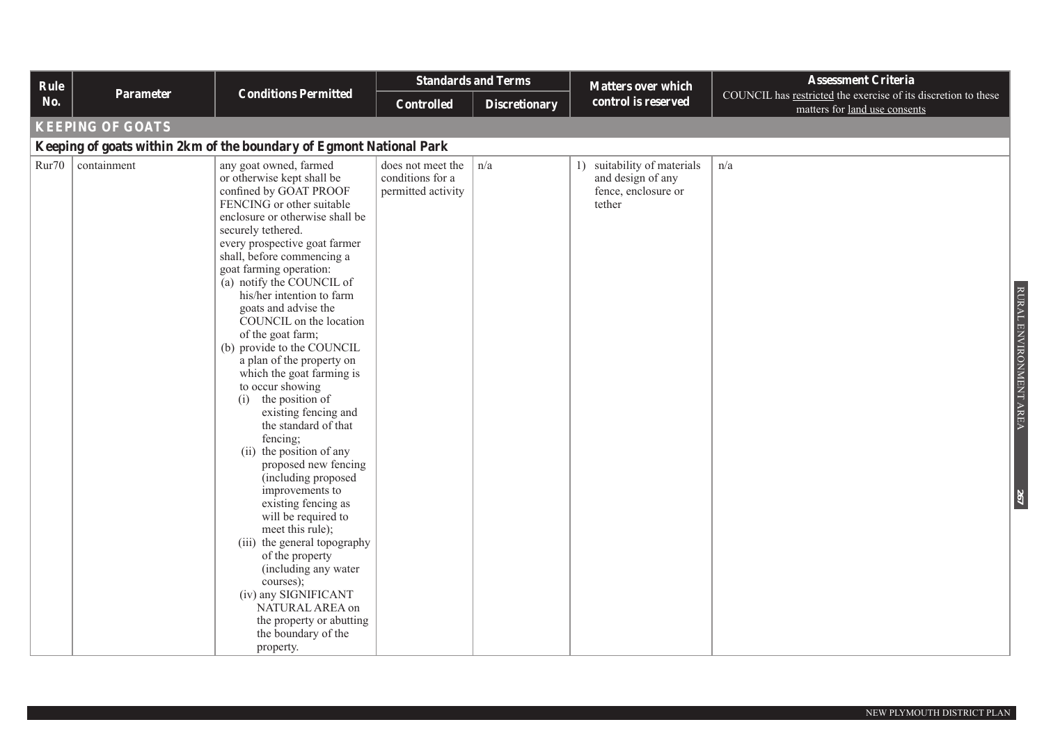| Rule  | Parameter               | <b>Conditions Permitted</b>                                                                                                                                                                                                                                                                                                                                                                                                                                                                                                                                                                                                                                                                                                                                                                                                                                                                                                                                           | <b>Standards and Terms</b>                                  |                      | <b>Matters over which</b>                                                         | <b>Assessment Criteria</b>                                                                      |                               |
|-------|-------------------------|-----------------------------------------------------------------------------------------------------------------------------------------------------------------------------------------------------------------------------------------------------------------------------------------------------------------------------------------------------------------------------------------------------------------------------------------------------------------------------------------------------------------------------------------------------------------------------------------------------------------------------------------------------------------------------------------------------------------------------------------------------------------------------------------------------------------------------------------------------------------------------------------------------------------------------------------------------------------------|-------------------------------------------------------------|----------------------|-----------------------------------------------------------------------------------|-------------------------------------------------------------------------------------------------|-------------------------------|
| No.   |                         |                                                                                                                                                                                                                                                                                                                                                                                                                                                                                                                                                                                                                                                                                                                                                                                                                                                                                                                                                                       | Controlled                                                  | <b>Discretionary</b> | control is reserved                                                               | COUNCIL has restricted the exercise of its discretion to these<br>matters for land use consents |                               |
|       | <b>KEEPING OF GOATS</b> |                                                                                                                                                                                                                                                                                                                                                                                                                                                                                                                                                                                                                                                                                                                                                                                                                                                                                                                                                                       |                                                             |                      |                                                                                   |                                                                                                 |                               |
|       |                         | Keeping of goats within 2km of the boundary of Egmont National Park                                                                                                                                                                                                                                                                                                                                                                                                                                                                                                                                                                                                                                                                                                                                                                                                                                                                                                   |                                                             |                      |                                                                                   |                                                                                                 |                               |
| Rur70 | containment             | any goat owned, farmed<br>or otherwise kept shall be<br>confined by GOAT PROOF<br>FENCING or other suitable<br>enclosure or otherwise shall be<br>securely tethered.<br>every prospective goat farmer<br>shall, before commencing a<br>goat farming operation:<br>(a) notify the COUNCIL of<br>his/her intention to farm<br>goats and advise the<br>COUNCIL on the location<br>of the goat farm;<br>(b) provide to the COUNCIL<br>a plan of the property on<br>which the goat farming is<br>to occur showing<br>the position of<br>(i)<br>existing fencing and<br>the standard of that<br>fencing;<br>(ii) the position of any<br>proposed new fencing<br>(including proposed<br>improvements to<br>existing fencing as<br>will be required to<br>meet this rule);<br>(iii) the general topography<br>of the property<br>(including any water<br>courses);<br>(iv) any SIGNIFICANT<br>NATURAL AREA on<br>the property or abutting<br>the boundary of the<br>property. | does not meet the<br>conditions for a<br>permitted activity | n/a                  | 1) suitability of materials<br>and design of any<br>fence, enclosure or<br>tether | n/a                                                                                             | RURAL ENVIRONMENT AREA<br>267 |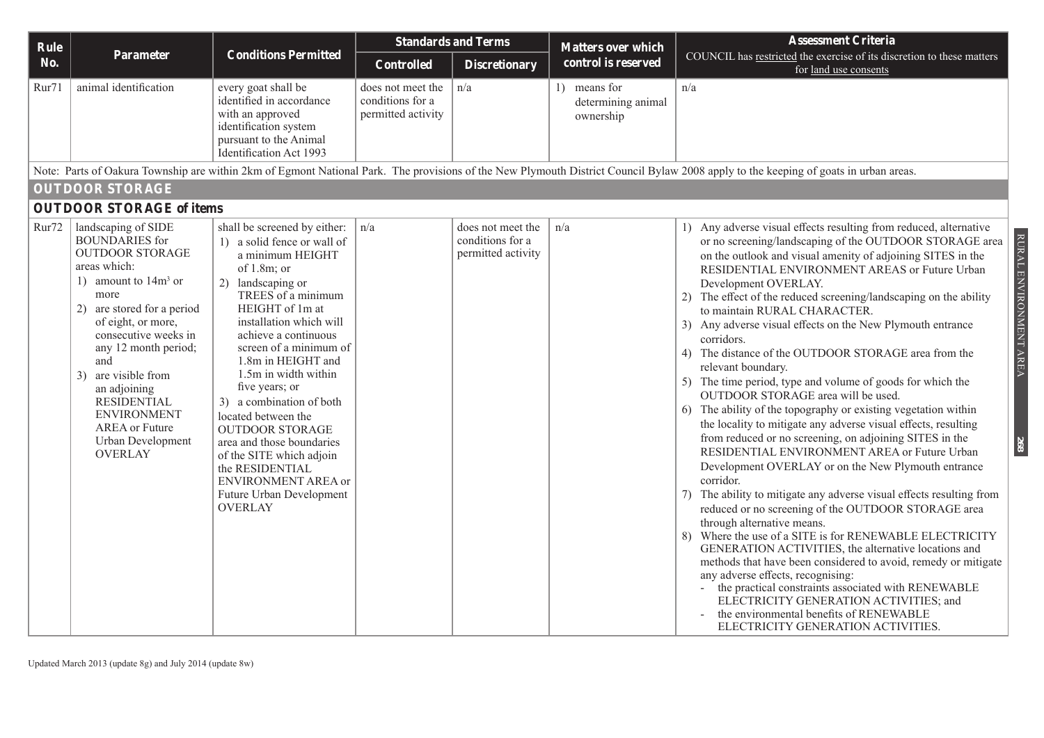| Rule  |                                                                                                                                                                                                                                                                                                                                                                                        |                                                                                                                                                                                                                                                                                                                                                                                                                                                                                                                                                   | <b>Standards and Terms</b>                                  |                                                             | <b>Matters over which</b>                       | <b>Assessment Criteria</b>                                                                                                                                                                                                                                                                                                                                                                                                                                                                                                                                                                                                                                                                                                                                                                                                                                                                                                                                                                                                                                                                                                                                                                                                                                                                                                                                                                                                                                                                                                                                              |  |  |  |  |
|-------|----------------------------------------------------------------------------------------------------------------------------------------------------------------------------------------------------------------------------------------------------------------------------------------------------------------------------------------------------------------------------------------|---------------------------------------------------------------------------------------------------------------------------------------------------------------------------------------------------------------------------------------------------------------------------------------------------------------------------------------------------------------------------------------------------------------------------------------------------------------------------------------------------------------------------------------------------|-------------------------------------------------------------|-------------------------------------------------------------|-------------------------------------------------|-------------------------------------------------------------------------------------------------------------------------------------------------------------------------------------------------------------------------------------------------------------------------------------------------------------------------------------------------------------------------------------------------------------------------------------------------------------------------------------------------------------------------------------------------------------------------------------------------------------------------------------------------------------------------------------------------------------------------------------------------------------------------------------------------------------------------------------------------------------------------------------------------------------------------------------------------------------------------------------------------------------------------------------------------------------------------------------------------------------------------------------------------------------------------------------------------------------------------------------------------------------------------------------------------------------------------------------------------------------------------------------------------------------------------------------------------------------------------------------------------------------------------------------------------------------------------|--|--|--|--|
| No.   | Parameter                                                                                                                                                                                                                                                                                                                                                                              | <b>Conditions Permitted</b>                                                                                                                                                                                                                                                                                                                                                                                                                                                                                                                       | Controlled                                                  | <b>Discretionary</b>                                        | control is reserved                             | COUNCIL has restricted the exercise of its discretion to these matters<br>for land use consents                                                                                                                                                                                                                                                                                                                                                                                                                                                                                                                                                                                                                                                                                                                                                                                                                                                                                                                                                                                                                                                                                                                                                                                                                                                                                                                                                                                                                                                                         |  |  |  |  |
| Rur71 | animal identification                                                                                                                                                                                                                                                                                                                                                                  | every goat shall be<br>identified in accordance<br>with an approved<br>identification system<br>pursuant to the Animal<br>Identification Act 1993                                                                                                                                                                                                                                                                                                                                                                                                 | does not meet the<br>conditions for a<br>permitted activity | n/a                                                         | 1) means for<br>determining animal<br>ownership | n/a                                                                                                                                                                                                                                                                                                                                                                                                                                                                                                                                                                                                                                                                                                                                                                                                                                                                                                                                                                                                                                                                                                                                                                                                                                                                                                                                                                                                                                                                                                                                                                     |  |  |  |  |
|       |                                                                                                                                                                                                                                                                                                                                                                                        |                                                                                                                                                                                                                                                                                                                                                                                                                                                                                                                                                   |                                                             |                                                             |                                                 | Note: Parts of Oakura Township are within 2km of Egmont National Park. The provisions of the New Plymouth District Council Bylaw 2008 apply to the keeping of goats in urban areas.                                                                                                                                                                                                                                                                                                                                                                                                                                                                                                                                                                                                                                                                                                                                                                                                                                                                                                                                                                                                                                                                                                                                                                                                                                                                                                                                                                                     |  |  |  |  |
|       | <b>OUTDOOR STORAGE</b><br><b>OUTDOOR STORAGE of items</b>                                                                                                                                                                                                                                                                                                                              |                                                                                                                                                                                                                                                                                                                                                                                                                                                                                                                                                   |                                                             |                                                             |                                                 |                                                                                                                                                                                                                                                                                                                                                                                                                                                                                                                                                                                                                                                                                                                                                                                                                                                                                                                                                                                                                                                                                                                                                                                                                                                                                                                                                                                                                                                                                                                                                                         |  |  |  |  |
| Rur72 | landscaping of SIDE<br><b>BOUNDARIES</b> for<br><b>OUTDOOR STORAGE</b><br>areas which:<br>1) amount to $14m3$ or<br>more<br>2) are stored for a period<br>of eight, or more,<br>consecutive weeks in<br>any 12 month period;<br>and<br>3) are visible from<br>an adjoining<br><b>RESIDENTIAL</b><br><b>ENVIRONMENT</b><br><b>AREA</b> or Future<br>Urban Development<br><b>OVERLAY</b> | shall be screened by either:<br>1) a solid fence or wall of<br>a minimum HEIGHT<br>of $1.8m$ ; or<br>2) landscaping or<br>TREES of a minimum<br>HEIGHT of 1m at<br>installation which will<br>achieve a continuous<br>screen of a minimum of<br>1.8m in HEIGHT and<br>1.5m in width within<br>five years; or<br>3) a combination of both<br>located between the<br><b>OUTDOOR STORAGE</b><br>area and those boundaries<br>of the SITE which adjoin<br>the RESIDENTIAL<br><b>ENVIRONMENT AREA or</b><br>Future Urban Development<br><b>OVERLAY</b> | n/a                                                         | does not meet the<br>conditions for a<br>permitted activity | n/a                                             | 1) Any adverse visual effects resulting from reduced, alternative<br>RURAL ENVIRONMENT AREA<br>or no screening/landscaping of the OUTDOOR STORAGE area<br>on the outlook and visual amenity of adjoining SITES in the<br>RESIDENTIAL ENVIRONMENT AREAS or Future Urban<br>Development OVERLAY.<br>2) The effect of the reduced screening/landscaping on the ability<br>to maintain RURAL CHARACTER.<br>3) Any adverse visual effects on the New Plymouth entrance<br>corridors.<br>4) The distance of the OUTDOOR STORAGE area from the<br>relevant boundary.<br>5) The time period, type and volume of goods for which the<br>OUTDOOR STORAGE area will be used.<br>6) The ability of the topography or existing vegetation within<br>the locality to mitigate any adverse visual effects, resulting<br>from reduced or no screening, on adjoining SITES in the<br>268<br>RESIDENTIAL ENVIRONMENT AREA or Future Urban<br>Development OVERLAY or on the New Plymouth entrance<br>corridor.<br>7) The ability to mitigate any adverse visual effects resulting from<br>reduced or no screening of the OUTDOOR STORAGE area<br>through alternative means.<br>Where the use of a SITE is for RENEWABLE ELECTRICITY<br>8)<br>GENERATION ACTIVITIES, the alternative locations and<br>methods that have been considered to avoid, remedy or mitigate<br>any adverse effects, recognising:<br>the practical constraints associated with RENEWABLE<br>ELECTRICITY GENERATION ACTIVITIES; and<br>the environmental benefits of RENEWABLE<br>ELECTRICITY GENERATION ACTIVITIES. |  |  |  |  |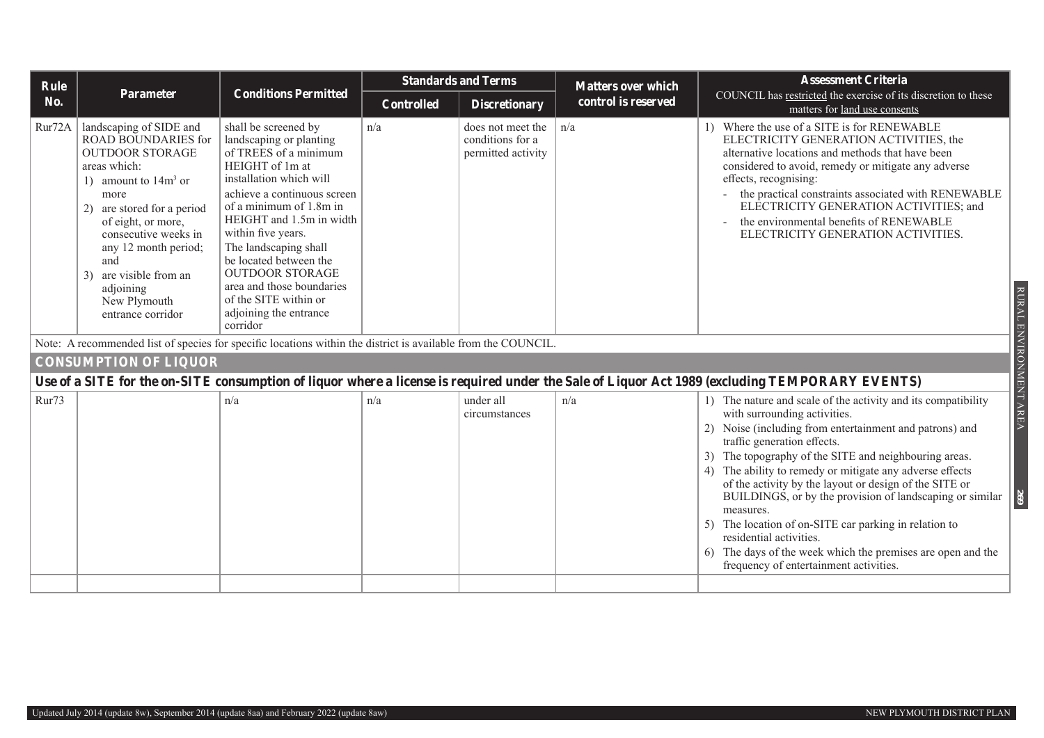| <b>Rule</b> |                                                                                                                                                                                                                                                                                                                          |                                                                                                                                                                                                                                                                                                                                                                                                             | <b>Standards and Terms</b> |                                                             | <b>Matters over which</b> | <b>Assessment Criteria</b>                                                                                                                                                                                                                                                                                                                                                                                                                                                                                                                                                                                                                          |
|-------------|--------------------------------------------------------------------------------------------------------------------------------------------------------------------------------------------------------------------------------------------------------------------------------------------------------------------------|-------------------------------------------------------------------------------------------------------------------------------------------------------------------------------------------------------------------------------------------------------------------------------------------------------------------------------------------------------------------------------------------------------------|----------------------------|-------------------------------------------------------------|---------------------------|-----------------------------------------------------------------------------------------------------------------------------------------------------------------------------------------------------------------------------------------------------------------------------------------------------------------------------------------------------------------------------------------------------------------------------------------------------------------------------------------------------------------------------------------------------------------------------------------------------------------------------------------------------|
| No.         | Parameter                                                                                                                                                                                                                                                                                                                | <b>Conditions Permitted</b>                                                                                                                                                                                                                                                                                                                                                                                 | <b>Controlled</b>          | <b>Discretionary</b>                                        | control is reserved       | COUNCIL has restricted the exercise of its discretion to these<br>matters for land use consents                                                                                                                                                                                                                                                                                                                                                                                                                                                                                                                                                     |
| Rur72A      | landscaping of SIDE and<br><b>ROAD BOUNDARIES for</b><br><b>OUTDOOR STORAGE</b><br>areas which:<br>1) amount to $14m3$ or<br>more<br>2) are stored for a period<br>of eight, or more,<br>consecutive weeks in<br>any 12 month period;<br>and<br>3) are visible from an<br>adjoining<br>New Plymouth<br>entrance corridor | shall be screened by<br>landscaping or planting<br>of TREES of a minimum<br>HEIGHT of 1m at<br>installation which will<br>achieve a continuous screen<br>of a minimum of 1.8m in<br>HEIGHT and 1.5m in width<br>within five years.<br>The landscaping shall<br>be located between the<br><b>OUTDOOR STORAGE</b><br>area and those boundaries<br>of the SITE within or<br>adjoining the entrance<br>corridor | n/a                        | does not meet the<br>conditions for a<br>permitted activity | n/a                       | 1) Where the use of a SITE is for RENEWABLE<br>ELECTRICITY GENERATION ACTIVITIES, the<br>alternative locations and methods that have been<br>considered to avoid, remedy or mitigate any adverse<br>effects, recognising:<br>- the practical constraints associated with RENEWABLE<br>ELECTRICITY GENERATION ACTIVITIES; and<br>the environmental benefits of RENEWABLE<br>ELECTRICITY GENERATION ACTIVITIES.<br>RURAL ENVIRONMENT AREA                                                                                                                                                                                                             |
|             |                                                                                                                                                                                                                                                                                                                          | Note: A recommended list of species for specific locations within the district is available from the COUNCIL.                                                                                                                                                                                                                                                                                               |                            |                                                             |                           |                                                                                                                                                                                                                                                                                                                                                                                                                                                                                                                                                                                                                                                     |
|             | <b>CONSUMPTION OF LIQUOR</b>                                                                                                                                                                                                                                                                                             |                                                                                                                                                                                                                                                                                                                                                                                                             |                            |                                                             |                           |                                                                                                                                                                                                                                                                                                                                                                                                                                                                                                                                                                                                                                                     |
|             |                                                                                                                                                                                                                                                                                                                          |                                                                                                                                                                                                                                                                                                                                                                                                             |                            |                                                             |                           | Use of a SITE for the on-SITE consumption of liquor where a license is required under the Sale of Liquor Act 1989 (excluding TEMPORARY EVENTS)                                                                                                                                                                                                                                                                                                                                                                                                                                                                                                      |
| Rur73       |                                                                                                                                                                                                                                                                                                                          | n/a                                                                                                                                                                                                                                                                                                                                                                                                         | n/a                        | under all<br>circumstances                                  | n/a                       | 1) The nature and scale of the activity and its compatibility<br>with surrounding activities.<br>2) Noise (including from entertainment and patrons) and<br>traffic generation effects.<br>3) The topography of the SITE and neighbouring areas.<br>4) The ability to remedy or mitigate any adverse effects<br>of the activity by the layout or design of the SITE or<br>269<br>BUILDINGS, or by the provision of landscaping or similar<br>measures.<br>5) The location of on-SITE car parking in relation to<br>residential activities.<br>6) The days of the week which the premises are open and the<br>frequency of entertainment activities. |
|             |                                                                                                                                                                                                                                                                                                                          |                                                                                                                                                                                                                                                                                                                                                                                                             |                            |                                                             |                           |                                                                                                                                                                                                                                                                                                                                                                                                                                                                                                                                                                                                                                                     |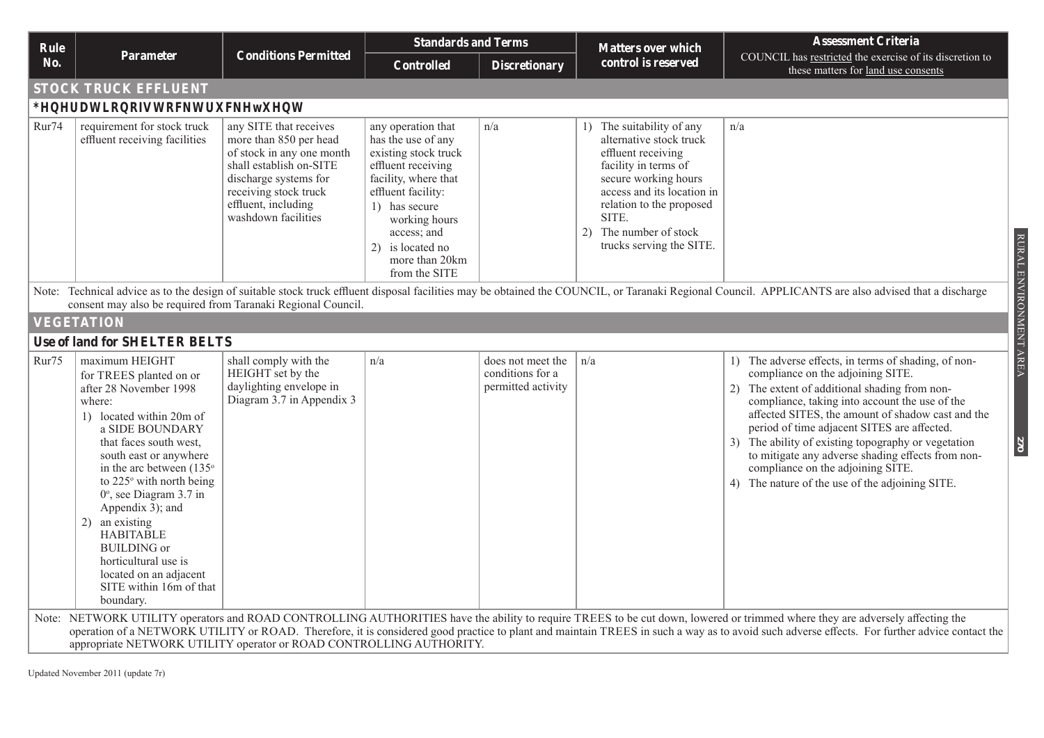| Rule  |                                                                                                                                                                                                                                                                                                                                                                                                                                                         | <b>Conditions Permitted</b>                                                                                                                                                                              | <b>Standards and Terms</b>                                                                                                                                                                                                                   |                                                             | <b>Matters over which</b>                                                                                                                                                                                                                           | <b>Assessment Criteria</b>                                                                                                                                                                                                                                                                                                                                                                                                                                                                                      |  |  |  |  |
|-------|---------------------------------------------------------------------------------------------------------------------------------------------------------------------------------------------------------------------------------------------------------------------------------------------------------------------------------------------------------------------------------------------------------------------------------------------------------|----------------------------------------------------------------------------------------------------------------------------------------------------------------------------------------------------------|----------------------------------------------------------------------------------------------------------------------------------------------------------------------------------------------------------------------------------------------|-------------------------------------------------------------|-----------------------------------------------------------------------------------------------------------------------------------------------------------------------------------------------------------------------------------------------------|-----------------------------------------------------------------------------------------------------------------------------------------------------------------------------------------------------------------------------------------------------------------------------------------------------------------------------------------------------------------------------------------------------------------------------------------------------------------------------------------------------------------|--|--|--|--|
| No.   | Parameter                                                                                                                                                                                                                                                                                                                                                                                                                                               |                                                                                                                                                                                                          | <b>Controlled</b>                                                                                                                                                                                                                            | <b>Discretionary</b>                                        | control is reserved                                                                                                                                                                                                                                 | COUNCIL has restricted the exercise of its discretion to<br>these matters for land use consents                                                                                                                                                                                                                                                                                                                                                                                                                 |  |  |  |  |
|       | <b>STOCK TRUCK EFFLUENT</b>                                                                                                                                                                                                                                                                                                                                                                                                                             |                                                                                                                                                                                                          |                                                                                                                                                                                                                                              |                                                             |                                                                                                                                                                                                                                                     |                                                                                                                                                                                                                                                                                                                                                                                                                                                                                                                 |  |  |  |  |
|       | <b>Generation of stock truck effluent</b>                                                                                                                                                                                                                                                                                                                                                                                                               |                                                                                                                                                                                                          |                                                                                                                                                                                                                                              |                                                             |                                                                                                                                                                                                                                                     |                                                                                                                                                                                                                                                                                                                                                                                                                                                                                                                 |  |  |  |  |
| Rur74 | requirement for stock truck<br>effluent receiving facilities                                                                                                                                                                                                                                                                                                                                                                                            | any SITE that receives<br>more than 850 per head<br>of stock in any one month<br>shall establish on-SITE<br>discharge systems for<br>receiving stock truck<br>effluent, including<br>washdown facilities | any operation that<br>has the use of any<br>existing stock truck<br>effluent receiving<br>facility, where that<br>effluent facility:<br>1) has secure<br>working hours<br>access; and<br>2) is located no<br>more than 20km<br>from the SITE | n/a                                                         | 1) The suitability of any<br>alternative stock truck<br>effluent receiving<br>facility in terms of<br>secure working hours<br>access and its location in<br>relation to the proposed<br>SITE.<br>2) The number of stock<br>trucks serving the SITE. | n/a                                                                                                                                                                                                                                                                                                                                                                                                                                                                                                             |  |  |  |  |
|       | RURAL ENVIRONMENT AREA<br>Note: Technical advice as to the design of suitable stock truck effluent disposal facilities may be obtained the COUNCIL, or Taranaki Regional Council. APPLICANTS are also advised that a discharge<br>consent may also be required from Taranaki Regional Council.                                                                                                                                                          |                                                                                                                                                                                                          |                                                                                                                                                                                                                                              |                                                             |                                                                                                                                                                                                                                                     |                                                                                                                                                                                                                                                                                                                                                                                                                                                                                                                 |  |  |  |  |
|       | <b>VEGETATION</b>                                                                                                                                                                                                                                                                                                                                                                                                                                       |                                                                                                                                                                                                          |                                                                                                                                                                                                                                              |                                                             |                                                                                                                                                                                                                                                     |                                                                                                                                                                                                                                                                                                                                                                                                                                                                                                                 |  |  |  |  |
|       | <b>Use of land for SHELTER BELTS</b>                                                                                                                                                                                                                                                                                                                                                                                                                    |                                                                                                                                                                                                          |                                                                                                                                                                                                                                              |                                                             |                                                                                                                                                                                                                                                     |                                                                                                                                                                                                                                                                                                                                                                                                                                                                                                                 |  |  |  |  |
| Rur75 | maximum HEIGHT<br>for TREES planted on or<br>after 28 November 1998<br>where:<br>1) located within 20m of<br>a SIDE BOUNDARY<br>that faces south west,<br>south east or anywhere<br>in the arc between (135°<br>to 225° with north being<br>$0^\circ$ , see Diagram 3.7 in<br>Appendix 3); and<br>an existing<br>2)<br><b>HABITABLE</b><br><b>BUILDING</b> or<br>horticultural use is<br>located on an adjacent<br>SITE within 16m of that<br>boundary. | shall comply with the<br>HEIGHT set by the<br>daylighting envelope in<br>Diagram 3.7 in Appendix 3                                                                                                       | n/a                                                                                                                                                                                                                                          | does not meet the<br>conditions for a<br>permitted activity | n/a                                                                                                                                                                                                                                                 | 1) The adverse effects, in terms of shading, of non-<br>compliance on the adjoining SITE.<br>The extent of additional shading from non-<br>(2)<br>compliance, taking into account the use of the<br>affected SITES, the amount of shadow cast and the<br>period of time adjacent SITES are affected.<br>3) The ability of existing topography or vegetation<br>270<br>to mitigate any adverse shading effects from non-<br>compliance on the adjoining SITE.<br>4) The nature of the use of the adjoining SITE. |  |  |  |  |
|       | appropriate NETWORK UTILITY operator or ROAD CONTROLLING AUTHORITY.                                                                                                                                                                                                                                                                                                                                                                                     |                                                                                                                                                                                                          |                                                                                                                                                                                                                                              |                                                             |                                                                                                                                                                                                                                                     | Note: NETWORK UTILITY operators and ROAD CONTROLLING AUTHORITIES have the ability to require TREES to be cut down, lowered or trimmed where they are adversely affecting the<br>operation of a NETWORK UTILITY or ROAD. Therefore, it is considered good practice to plant and maintain TREES in such a way as to avoid such adverse effects. For further advice contact the                                                                                                                                    |  |  |  |  |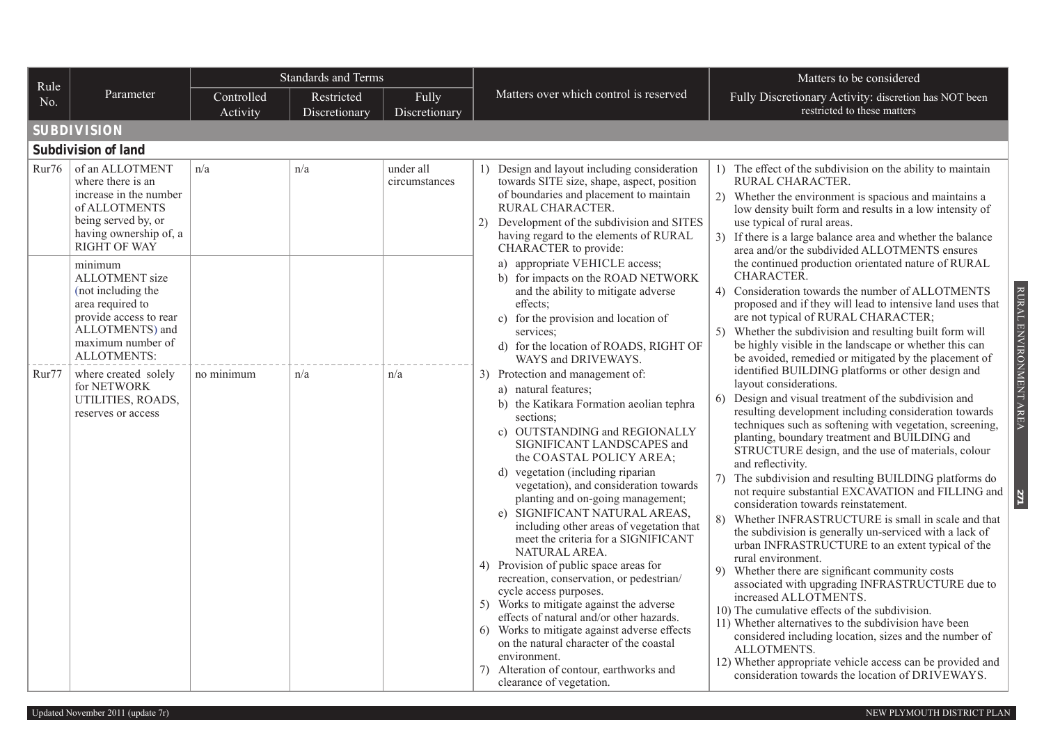| Rule  |                                                                                                                                                             | Standards and Terms    |                             |                            |                                                                                                                                                                                                                                                                                                                                                                                                                                                                                                                                                                                                                                                                                                                                                                                                                                                                     | Matters to be considered                                                                                                                                                                                                                                                                                                                                                                                                                                                                                                                                                                                                                                                                                                                                                                                                                                                                                                                                                                                                                                                                                                                                                                         |
|-------|-------------------------------------------------------------------------------------------------------------------------------------------------------------|------------------------|-----------------------------|----------------------------|---------------------------------------------------------------------------------------------------------------------------------------------------------------------------------------------------------------------------------------------------------------------------------------------------------------------------------------------------------------------------------------------------------------------------------------------------------------------------------------------------------------------------------------------------------------------------------------------------------------------------------------------------------------------------------------------------------------------------------------------------------------------------------------------------------------------------------------------------------------------|--------------------------------------------------------------------------------------------------------------------------------------------------------------------------------------------------------------------------------------------------------------------------------------------------------------------------------------------------------------------------------------------------------------------------------------------------------------------------------------------------------------------------------------------------------------------------------------------------------------------------------------------------------------------------------------------------------------------------------------------------------------------------------------------------------------------------------------------------------------------------------------------------------------------------------------------------------------------------------------------------------------------------------------------------------------------------------------------------------------------------------------------------------------------------------------------------|
| No.   | Parameter                                                                                                                                                   | Controlled<br>Activity | Restricted<br>Discretionary | Fully<br>Discretionary     | Matters over which control is reserved                                                                                                                                                                                                                                                                                                                                                                                                                                                                                                                                                                                                                                                                                                                                                                                                                              | Fully Discretionary Activity: discretion has NOT been<br>restricted to these matters                                                                                                                                                                                                                                                                                                                                                                                                                                                                                                                                                                                                                                                                                                                                                                                                                                                                                                                                                                                                                                                                                                             |
|       | <b>SUBDIVISION</b>                                                                                                                                          |                        |                             |                            |                                                                                                                                                                                                                                                                                                                                                                                                                                                                                                                                                                                                                                                                                                                                                                                                                                                                     |                                                                                                                                                                                                                                                                                                                                                                                                                                                                                                                                                                                                                                                                                                                                                                                                                                                                                                                                                                                                                                                                                                                                                                                                  |
|       | <b>Subdivision of land</b>                                                                                                                                  |                        |                             |                            |                                                                                                                                                                                                                                                                                                                                                                                                                                                                                                                                                                                                                                                                                                                                                                                                                                                                     |                                                                                                                                                                                                                                                                                                                                                                                                                                                                                                                                                                                                                                                                                                                                                                                                                                                                                                                                                                                                                                                                                                                                                                                                  |
| Rur76 | of an ALLOTMENT<br>where there is an<br>increase in the number<br>of ALLOTMENTS<br>being served by, or<br>having ownership of, a<br><b>RIGHT OF WAY</b>     | n/a                    | n/a                         | under all<br>circumstances | 1) Design and layout including consideration<br>towards SITE size, shape, aspect, position<br>of boundaries and placement to maintain<br>RURAL CHARACTER.<br>2) Development of the subdivision and SITES<br>having regard to the elements of RURAL<br>CHARACTER to provide:                                                                                                                                                                                                                                                                                                                                                                                                                                                                                                                                                                                         | 1) The effect of the subdivision on the ability to maintain<br>RURAL CHARACTER.<br>2) Whether the environment is spacious and maintains a<br>low density built form and results in a low intensity of<br>use typical of rural areas.<br>3) If there is a large balance area and whether the balance<br>area and/or the subdivided ALLOTMENTS ensures                                                                                                                                                                                                                                                                                                                                                                                                                                                                                                                                                                                                                                                                                                                                                                                                                                             |
|       | minimum<br>ALLOTMENT size<br>(not including the<br>area required to<br>provide access to rear<br>ALLOTMENTS) and<br>maximum number of<br><b>ALLOTMENTS:</b> |                        |                             |                            | a) appropriate VEHICLE access;<br>b) for impacts on the ROAD NETWORK<br>and the ability to mitigate adverse<br>effects;<br>c) for the provision and location of<br>services;<br>d) for the location of ROADS, RIGHT OF<br>WAYS and DRIVEWAYS.                                                                                                                                                                                                                                                                                                                                                                                                                                                                                                                                                                                                                       | the continued production orientated nature of RURAL<br>CHARACTER.<br>RURAL ENVIRONMENT AREA<br>4) Consideration towards the number of ALLOTMENTS<br>proposed and if they will lead to intensive land uses that<br>are not typical of RURAL CHARACTER;<br>5) Whether the subdivision and resulting built form will<br>be highly visible in the landscape or whether this can<br>be avoided, remedied or mitigated by the placement of                                                                                                                                                                                                                                                                                                                                                                                                                                                                                                                                                                                                                                                                                                                                                             |
| Rur77 | where created solely<br>for NETWORK<br>UTILITIES, ROADS,<br>reserves or access                                                                              | no minimum             | n/a                         | n/a                        | 3) Protection and management of:<br>a) natural features;<br>b) the Katikara Formation aeolian tephra<br>sections;<br>c) OUTSTANDING and REGIONALLY<br>SIGNIFICANT LANDSCAPES and<br>the COASTAL POLICY AREA;<br>d) vegetation (including riparian<br>vegetation), and consideration towards<br>planting and on-going management;<br>SIGNIFICANT NATURAL AREAS,<br>e)<br>including other areas of vegetation that<br>meet the criteria for a SIGNIFICANT<br>NATURAL AREA.<br>4) Provision of public space areas for<br>recreation, conservation, or pedestrian/<br>cycle access purposes.<br>5) Works to mitigate against the adverse<br>effects of natural and/or other hazards.<br>6) Works to mitigate against adverse effects<br>on the natural character of the coastal<br>environment.<br>7) Alteration of contour, earthworks and<br>clearance of vegetation. | identified BUILDING platforms or other design and<br>layout considerations.<br>Design and visual treatment of the subdivision and<br>6)<br>resulting development including consideration towards<br>techniques such as softening with vegetation, screening,<br>planting, boundary treatment and BUILDING and<br>STRUCTURE design, and the use of materials, colour<br>and reflectivity.<br>The subdivision and resulting BUILDING platforms do<br>7)<br>not require substantial EXCAVATION and FILLING and<br>112<br>consideration towards reinstatement.<br>8)<br>Whether INFRASTRUCTURE is small in scale and that<br>the subdivision is generally un-serviced with a lack of<br>urban INFRASTRUCTURE to an extent typical of the<br>rural environment.<br>9) Whether there are significant community costs<br>associated with upgrading INFRASTRUCTURE due to<br>increased ALLOTMENTS.<br>10) The cumulative effects of the subdivision.<br>11) Whether alternatives to the subdivision have been<br>considered including location, sizes and the number of<br>ALLOTMENTS.<br>12) Whether appropriate vehicle access can be provided and<br>consideration towards the location of DRIVEWAYS. |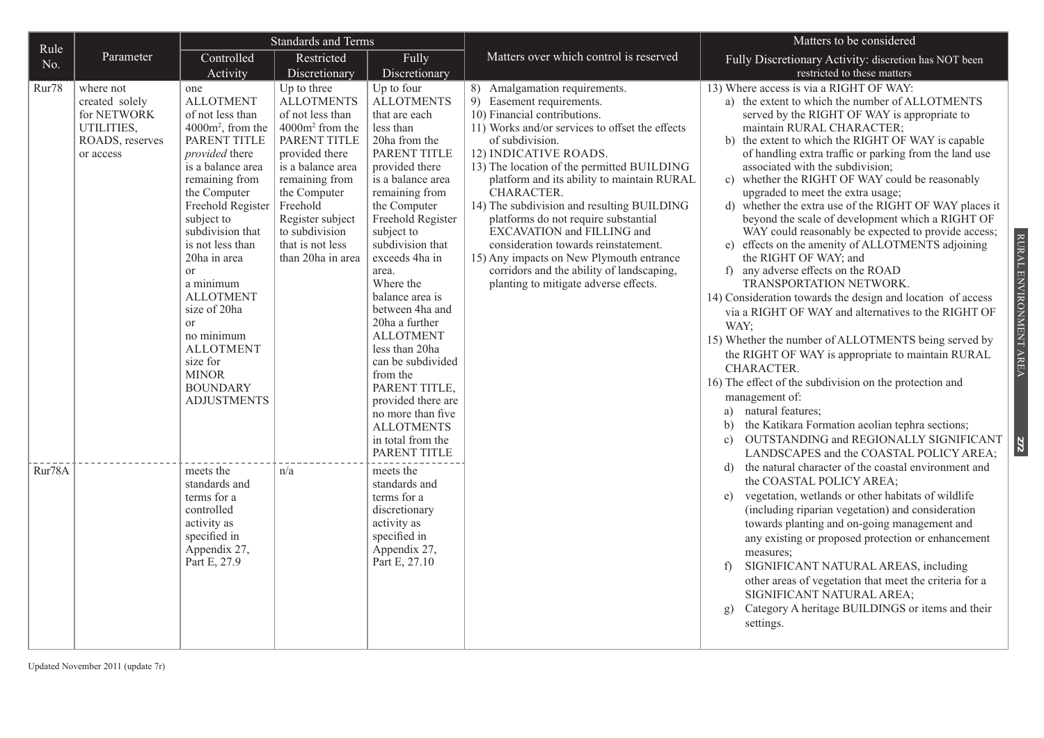| Rule   | <b>Standards and Terms</b>                                                               |                                                                                                                                                                                                                                                                                                                                                                                                                                                    |                                                                                                                                                                                                                                                                         | Matters to be considered                                                                                                                                                                                                                                                                                                                                                                                                                                                                                                    |                                                                                                                                                                                                                                                                                                                                                                                                                                                                                                                                                                                                   |                                                                                                                                                                                                                                                                                                                                                                                                                                                                                                                                                                                                                                                                                                                                                                                                                                                                                                                                                                                                                                                                                                                                                                                                                                                                         |                        |
|--------|------------------------------------------------------------------------------------------|----------------------------------------------------------------------------------------------------------------------------------------------------------------------------------------------------------------------------------------------------------------------------------------------------------------------------------------------------------------------------------------------------------------------------------------------------|-------------------------------------------------------------------------------------------------------------------------------------------------------------------------------------------------------------------------------------------------------------------------|-----------------------------------------------------------------------------------------------------------------------------------------------------------------------------------------------------------------------------------------------------------------------------------------------------------------------------------------------------------------------------------------------------------------------------------------------------------------------------------------------------------------------------|---------------------------------------------------------------------------------------------------------------------------------------------------------------------------------------------------------------------------------------------------------------------------------------------------------------------------------------------------------------------------------------------------------------------------------------------------------------------------------------------------------------------------------------------------------------------------------------------------|-------------------------------------------------------------------------------------------------------------------------------------------------------------------------------------------------------------------------------------------------------------------------------------------------------------------------------------------------------------------------------------------------------------------------------------------------------------------------------------------------------------------------------------------------------------------------------------------------------------------------------------------------------------------------------------------------------------------------------------------------------------------------------------------------------------------------------------------------------------------------------------------------------------------------------------------------------------------------------------------------------------------------------------------------------------------------------------------------------------------------------------------------------------------------------------------------------------------------------------------------------------------------|------------------------|
| No.    | Parameter                                                                                | Controlled                                                                                                                                                                                                                                                                                                                                                                                                                                         | Restricted                                                                                                                                                                                                                                                              | Fully                                                                                                                                                                                                                                                                                                                                                                                                                                                                                                                       | Matters over which control is reserved                                                                                                                                                                                                                                                                                                                                                                                                                                                                                                                                                            | Fully Discretionary Activity: discretion has NOT been                                                                                                                                                                                                                                                                                                                                                                                                                                                                                                                                                                                                                                                                                                                                                                                                                                                                                                                                                                                                                                                                                                                                                                                                                   |                        |
|        |                                                                                          | Activity                                                                                                                                                                                                                                                                                                                                                                                                                                           | Discretionary                                                                                                                                                                                                                                                           | Discretionary                                                                                                                                                                                                                                                                                                                                                                                                                                                                                                               |                                                                                                                                                                                                                                                                                                                                                                                                                                                                                                                                                                                                   | restricted to these matters                                                                                                                                                                                                                                                                                                                                                                                                                                                                                                                                                                                                                                                                                                                                                                                                                                                                                                                                                                                                                                                                                                                                                                                                                                             |                        |
| Rur78  | where not<br>created solely<br>for NETWORK<br>UTILITIES,<br>ROADS, reserves<br>or access | one<br><b>ALLOTMENT</b><br>of not less than<br>4000m <sup>2</sup> , from the<br>PARENT TITLE<br>provided there<br>is a balance area<br>remaining from<br>the Computer<br>Freehold Register<br>subject to<br>subdivision that<br>is not less than<br>20ha in area<br><b>or</b><br>a minimum<br><b>ALLOTMENT</b><br>size of 20ha<br><b>or</b><br>no minimum<br><b>ALLOTMENT</b><br>size for<br><b>MINOR</b><br><b>BOUNDARY</b><br><b>ADJUSTMENTS</b> | Up to three<br><b>ALLOTMENTS</b><br>of not less than<br>4000m <sup>2</sup> from the<br>PARENT TITLE<br>provided there<br>is a balance area<br>remaining from<br>the Computer<br>Freehold<br>Register subject<br>to subdivision<br>that is not less<br>than 20ha in area | Up to four<br><b>ALLOTMENTS</b><br>that are each<br>less than<br>20ha from the<br>PARENT TITLE<br>provided there<br>is a balance area<br>remaining from<br>the Computer<br>Freehold Register<br>subject to<br>subdivision that<br>exceeds 4ha in<br>area.<br>Where the<br>balance area is<br>between 4ha and<br>20ha a further<br><b>ALLOTMENT</b><br>less than 20ha<br>can be subdivided<br>from the<br>PARENT TITLE.<br>provided there are<br>no more than five<br><b>ALLOTMENTS</b><br>in total from the<br>PARENT TITLE | 8) Amalgamation requirements.<br>9) Easement requirements.<br>10) Financial contributions.<br>11) Works and/or services to offset the effects<br>of subdivision.<br>12) INDICATIVE ROADS.<br>13) The location of the permitted BUILDING<br>platform and its ability to maintain RURAL<br>CHARACTER.<br>14) The subdivision and resulting BUILDING<br>platforms do not require substantial<br>EXCAVATION and FILLING and<br>consideration towards reinstatement.<br>15) Any impacts on New Plymouth entrance<br>corridors and the ability of landscaping,<br>planting to mitigate adverse effects. | 13) Where access is via a RIGHT OF WAY:<br>a) the extent to which the number of ALLOTMENTS<br>served by the RIGHT OF WAY is appropriate to<br>maintain RURAL CHARACTER;<br>b) the extent to which the RIGHT OF WAY is capable<br>of handling extra traffic or parking from the land use<br>associated with the subdivision;<br>c) whether the RIGHT OF WAY could be reasonably<br>upgraded to meet the extra usage;<br>whether the extra use of the RIGHT OF WAY places it<br>d)<br>beyond the scale of development which a RIGHT OF<br>WAY could reasonably be expected to provide access;<br>e) effects on the amenity of ALLOTMENTS adjoining<br>the RIGHT OF WAY; and<br>f) any adverse effects on the ROAD<br>TRANSPORTATION NETWORK.<br>14) Consideration towards the design and location of access<br>via a RIGHT OF WAY and alternatives to the RIGHT OF<br>WAY;<br>15) Whether the number of ALLOTMENTS being served by<br>the RIGHT OF WAY is appropriate to maintain RURAL<br>CHARACTER.<br>16) The effect of the subdivision on the protection and<br>management of:<br>natural features;<br>a)<br>b) the Katikara Formation aeolian tephra sections;<br>OUTSTANDING and REGIONALLY SIGNIFICANT<br>$\mathbf{c})$<br>LANDSCAPES and the COASTAL POLICY AREA; | RURAL ENVIRONMENT AREA |
| Rur78A |                                                                                          | meets the<br>standards and<br>terms for a<br>controlled<br>activity as<br>specified in<br>Appendix 27,<br>Part E, 27.9                                                                                                                                                                                                                                                                                                                             | n/a                                                                                                                                                                                                                                                                     | meets the<br>standards and<br>terms for a<br>discretionary<br>activity as<br>specified in<br>Appendix 27,<br>Part E, 27.10                                                                                                                                                                                                                                                                                                                                                                                                  |                                                                                                                                                                                                                                                                                                                                                                                                                                                                                                                                                                                                   | the natural character of the coastal environment and<br>d)<br>the COASTAL POLICY AREA;<br>vegetation, wetlands or other habitats of wildlife<br>e)<br>(including riparian vegetation) and consideration<br>towards planting and on-going management and<br>any existing or proposed protection or enhancement<br>measures;<br>SIGNIFICANT NATURAL AREAS, including<br>f<br>other areas of vegetation that meet the criteria for a<br>SIGNIFICANT NATURAL AREA;<br>Category A heritage BUILDINGS or items and their<br>$\mathbf{g}$<br>settings.                                                                                                                                                                                                                                                                                                                                                                                                                                                                                                                                                                                                                                                                                                                         |                        |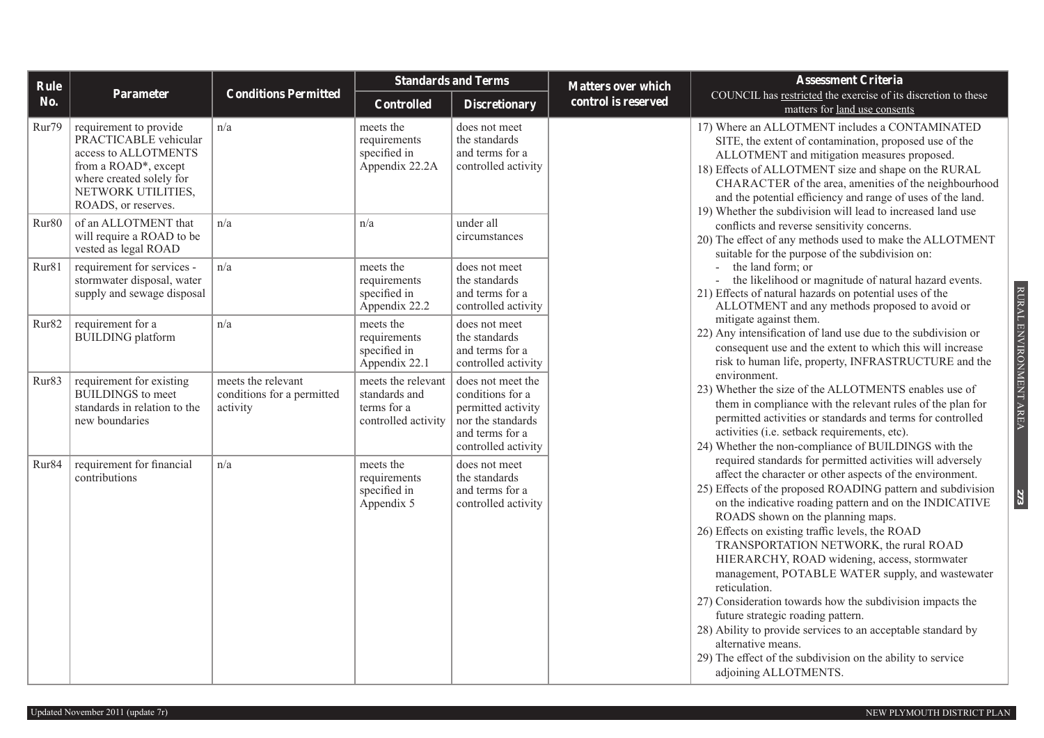| Rule              |                                                                                                                                                                          |                                                              | <b>Standards and Terms</b>                                                |                                                                                                                            | <b>Matters over which</b> | <b>Assessment Criteria</b>                                                                                                                                                                                                                                                                                                                                                                                                                                                                                                                                                                                                                                                                                                                                                                |
|-------------------|--------------------------------------------------------------------------------------------------------------------------------------------------------------------------|--------------------------------------------------------------|---------------------------------------------------------------------------|----------------------------------------------------------------------------------------------------------------------------|---------------------------|-------------------------------------------------------------------------------------------------------------------------------------------------------------------------------------------------------------------------------------------------------------------------------------------------------------------------------------------------------------------------------------------------------------------------------------------------------------------------------------------------------------------------------------------------------------------------------------------------------------------------------------------------------------------------------------------------------------------------------------------------------------------------------------------|
| No.               | Parameter                                                                                                                                                                | <b>Conditions Permitted</b>                                  | <b>Controlled</b>                                                         | <b>Discretionary</b>                                                                                                       | control is reserved       | COUNCIL has restricted the exercise of its discretion to these<br>matters for land use consents                                                                                                                                                                                                                                                                                                                                                                                                                                                                                                                                                                                                                                                                                           |
| Rur79             | requirement to provide<br>PRACTICABLE vehicular<br>access to ALLOTMENTS<br>from a ROAD*, except<br>where created solely for<br>NETWORK UTILITIES,<br>ROADS, or reserves. | n/a                                                          | meets the<br>requirements<br>specified in<br>Appendix 22.2A               | does not meet<br>the standards<br>and terms for a<br>controlled activity                                                   |                           | 17) Where an ALLOTMENT includes a CONTAMINATED<br>SITE, the extent of contamination, proposed use of the<br>ALLOTMENT and mitigation measures proposed.<br>18) Effects of ALLOTMENT size and shape on the RURAL<br>CHARACTER of the area, amenities of the neighbourhood<br>and the potential efficiency and range of uses of the land.<br>19) Whether the subdivision will lead to increased land use                                                                                                                                                                                                                                                                                                                                                                                    |
| Rur80             | of an ALLOTMENT that<br>will require a ROAD to be<br>vested as legal ROAD                                                                                                | n/a                                                          | n/a                                                                       | under all<br>circumstances                                                                                                 |                           | conflicts and reverse sensitivity concerns.<br>20) The effect of any methods used to make the ALLOTMENT<br>suitable for the purpose of the subdivision on:                                                                                                                                                                                                                                                                                                                                                                                                                                                                                                                                                                                                                                |
| Rur81             | requirement for services -<br>stormwater disposal, water<br>supply and sewage disposal                                                                                   | n/a                                                          | meets the<br>requirements<br>specified in<br>Appendix 22.2                | does not meet<br>the standards<br>and terms for a<br>controlled activity                                                   |                           | the land form; or<br>$\sim$<br>the likelihood or magnitude of natural hazard events.<br>21) Effects of natural hazards on potential uses of the<br>ALLOTMENT and any methods proposed to avoid or                                                                                                                                                                                                                                                                                                                                                                                                                                                                                                                                                                                         |
| Rur82             | requirement for a<br><b>BUILDING</b> platform                                                                                                                            | n/a                                                          | meets the<br>requirements<br>specified in<br>Appendix 22.1                | does not meet<br>the standards<br>and terms for a<br>controlled activity                                                   |                           | mitigate against them.<br>22) Any intensification of land use due to the subdivision or<br>consequent use and the extent to which this will increase<br>risk to human life, property, INFRASTRUCTURE and the                                                                                                                                                                                                                                                                                                                                                                                                                                                                                                                                                                              |
| Rur83             | requirement for existing<br><b>BUILDINGS</b> to meet<br>standards in relation to the<br>new boundaries                                                                   | meets the relevant<br>conditions for a permitted<br>activity | meets the relevant<br>standards and<br>terms for a<br>controlled activity | does not meet the<br>conditions for a<br>permitted activity<br>nor the standards<br>and terms for a<br>controlled activity |                           | environment.<br>23) Whether the size of the ALLOTMENTS enables use of<br>them in compliance with the relevant rules of the plan for<br>permitted activities or standards and terms for controlled<br>activities (i.e. setback requirements, etc).<br>24) Whether the non-compliance of BUILDINGS with the                                                                                                                                                                                                                                                                                                                                                                                                                                                                                 |
| Rur <sub>84</sub> | requirement for financial<br>contributions                                                                                                                               | n/a                                                          | meets the<br>requirements<br>specified in<br>Appendix 5                   | does not meet<br>the standards<br>and terms for a<br>controlled activity                                                   |                           | required standards for permitted activities will adversely<br>affect the character or other aspects of the environment.<br>25) Effects of the proposed ROADING pattern and subdivision<br>on the indicative roading pattern and on the INDICATIVE<br>ROADS shown on the planning maps.<br>26) Effects on existing traffic levels, the ROAD<br>TRANSPORTATION NETWORK, the rural ROAD<br>HIERARCHY, ROAD widening, access, stormwater<br>management, POTABLE WATER supply, and wastewater<br>reticulation.<br>27) Consideration towards how the subdivision impacts the<br>future strategic roading pattern.<br>28) Ability to provide services to an acceptable standard by<br>alternative means.<br>29) The effect of the subdivision on the ability to service<br>adjoining ALLOTMENTS. |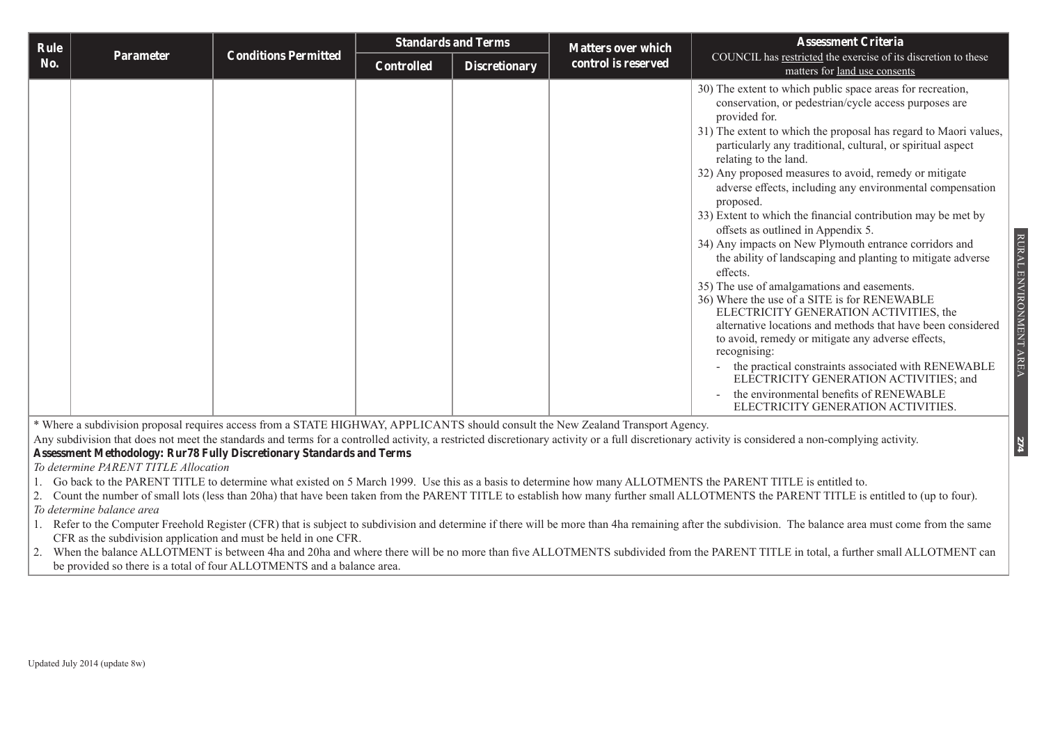| <b>Rule</b> |           | <b>Conditions Permitted</b> | <b>Standards and Terms</b> |                      | <b>Matters over which</b> | <b>Assessment Criteria</b>                                                                                                                                                                                                                                                                                                                                                                                                                                                                                                                                                                                                                                                                                                                                                                                                                                                                                                                                                                                                                                                                                                                                       |
|-------------|-----------|-----------------------------|----------------------------|----------------------|---------------------------|------------------------------------------------------------------------------------------------------------------------------------------------------------------------------------------------------------------------------------------------------------------------------------------------------------------------------------------------------------------------------------------------------------------------------------------------------------------------------------------------------------------------------------------------------------------------------------------------------------------------------------------------------------------------------------------------------------------------------------------------------------------------------------------------------------------------------------------------------------------------------------------------------------------------------------------------------------------------------------------------------------------------------------------------------------------------------------------------------------------------------------------------------------------|
| No.         | Parameter |                             | Controlled                 | <b>Discretionary</b> | control is reserved       | COUNCIL has restricted the exercise of its discretion to these<br>matters for land use consents                                                                                                                                                                                                                                                                                                                                                                                                                                                                                                                                                                                                                                                                                                                                                                                                                                                                                                                                                                                                                                                                  |
|             |           |                             |                            |                      |                           | 30) The extent to which public space areas for recreation,<br>conservation, or pedestrian/cycle access purposes are<br>provided for.<br>31) The extent to which the proposal has regard to Maori values,<br>particularly any traditional, cultural, or spiritual aspect<br>relating to the land.<br>32) Any proposed measures to avoid, remedy or mitigate<br>adverse effects, including any environmental compensation<br>proposed.<br>33) Extent to which the financial contribution may be met by<br>offsets as outlined in Appendix 5.<br>34) Any impacts on New Plymouth entrance corridors and<br>the ability of landscaping and planting to mitigate adverse<br>effects.<br>35) The use of amalgamations and easements.<br>36) Where the use of a SITE is for RENEWABLE<br>ELECTRICITY GENERATION ACTIVITIES, the<br>alternative locations and methods that have been considered<br>to avoid, remedy or mitigate any adverse effects,<br>recognising:<br>the practical constraints associated with RENEWABLE<br>$\blacksquare$<br>ELECTRICITY GENERATION ACTIVITIES; and<br>the environmental benefits of RENEWABLE<br>ELECTRICITY GENERATION ACTIVITIES. |

\* Where a subdivision proposal requires access from a STATE HIGHWAY, APPLICANTS should consult the New Zealand Transport Agency.

Any subdivision that does not meet the standards and terms for a controlled activity, a restricted discretionary activity or a full discretionary activity is considered a non-complying activity. **Assessment Methodology: Rur78 Fully Discretionary Standards and Terms**

*To determine PARENT TITLE Allocation*

- 1. Go back to the PARENT TITLE to determine what existed on 5 March 1999. Use this as a basis to determine how many ALLOTMENTS the PARENT TITLE is entitled to.
- 2. Count the number of small lots (less than 20ha) that have been taken from the PARENT TITLE to establish how many further small ALLOTMENTS the PARENT TITLE is entitled to (up to four). *To determine balance area*
- 1. Refer to the Computer Freehold Register (CFR) that is subject to subdivision and determine if there will be more than 4ha remaining after the subdivision. The balance area must come from the same CFR as the subdivision application and must be held in one CFR.
- 2. When the balance ALLOTMENT is between 4ha and 20ha and where there will be no more than five ALLOTMENTS subdivided from the PARENT TITLE in total, a further small ALLOTMENT can be provided so there is a total of four ALLOTMENTS and a balance area.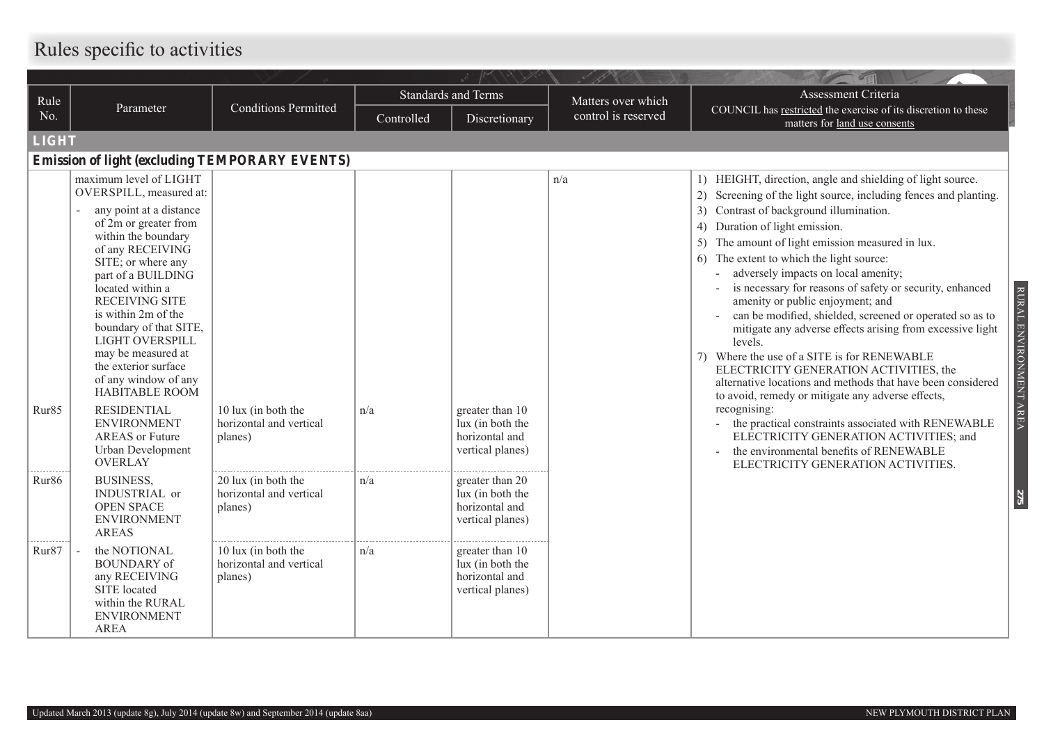# **Rules specific to activities**

|                   |                                                                                                                                                                                                                                                                                                                                                                                     |                                                           |            | W.                                                                        | v 16                |                                                                                                                                                                                                                                                                                                                                                                                                                                                                                                                                                                                                                                                                                                                                                         |
|-------------------|-------------------------------------------------------------------------------------------------------------------------------------------------------------------------------------------------------------------------------------------------------------------------------------------------------------------------------------------------------------------------------------|-----------------------------------------------------------|------------|---------------------------------------------------------------------------|---------------------|---------------------------------------------------------------------------------------------------------------------------------------------------------------------------------------------------------------------------------------------------------------------------------------------------------------------------------------------------------------------------------------------------------------------------------------------------------------------------------------------------------------------------------------------------------------------------------------------------------------------------------------------------------------------------------------------------------------------------------------------------------|
| Rule              |                                                                                                                                                                                                                                                                                                                                                                                     |                                                           |            | <b>Standards and Terms</b>                                                | Matters over which  | Assessment Criteria                                                                                                                                                                                                                                                                                                                                                                                                                                                                                                                                                                                                                                                                                                                                     |
| No.               | Parameter                                                                                                                                                                                                                                                                                                                                                                           | <b>Conditions Permitted</b>                               | Controlled | Discretionary                                                             | control is reserved | COUNCIL has restricted the exercise of its discretion to these<br>matters for land use consents                                                                                                                                                                                                                                                                                                                                                                                                                                                                                                                                                                                                                                                         |
| <b>LIGHT</b>      |                                                                                                                                                                                                                                                                                                                                                                                     |                                                           |            |                                                                           |                     |                                                                                                                                                                                                                                                                                                                                                                                                                                                                                                                                                                                                                                                                                                                                                         |
|                   | <b>Emission of light (excluding TEMPORARY EVENTS)</b>                                                                                                                                                                                                                                                                                                                               |                                                           |            |                                                                           |                     |                                                                                                                                                                                                                                                                                                                                                                                                                                                                                                                                                                                                                                                                                                                                                         |
|                   | maximum level of LIGHT<br>OVERSPILL, measured at:<br>any point at a distance<br>of 2m or greater from<br>within the boundary<br>of any RECEIVING<br>SITE; or where any<br>part of a BUILDING<br>located within a<br><b>RECEIVING SITE</b><br>is within 2m of the<br>boundary of that SITE,<br>LIGHT OVERSPILL<br>may be measured at<br>the exterior surface<br>of any window of any |                                                           |            |                                                                           | n/a                 | 1) HEIGHT, direction, angle and shielding of light source.<br>Screening of the light source, including fences and planting.<br>2)<br>Contrast of background illumination.<br>3)<br>Duration of light emission.<br>4)<br>The amount of light emission measured in lux.<br>The extent to which the light source:<br>6)<br>adversely impacts on local amenity;<br>is necessary for reasons of safety or security, enhanced<br>amenity or public enjoyment; and<br>can be modified, shielded, screened or operated so as to<br>mitigate any adverse effects arising from excessive light<br>levels.<br>7) Where the use of a SITE is for RENEWABLE<br>ELECTRICITY GENERATION ACTIVITIES, the<br>alternative locations and methods that have been considered |
| Rur <sub>85</sub> | <b>HABITABLE ROOM</b><br><b>RESIDENTIAL</b><br><b>ENVIRONMENT</b><br><b>AREAS</b> or Future<br>Urban Development<br><b>OVERLAY</b>                                                                                                                                                                                                                                                  | 10 lux (in both the<br>horizontal and vertical<br>planes) | n/a        | greater than 10<br>lux (in both the<br>horizontal and<br>vertical planes) |                     | to avoid, remedy or mitigate any adverse effects,<br>recognising:<br>the practical constraints associated with RENEWABLE<br>ELECTRICITY GENERATION ACTIVITIES; and<br>the environmental benefits of RENEWABLE<br>ELECTRICITY GENERATION ACTIVITIES.                                                                                                                                                                                                                                                                                                                                                                                                                                                                                                     |
| Rur <sub>86</sub> | <b>BUSINESS,</b><br>INDUSTRIAL or<br><b>OPEN SPACE</b><br><b>ENVIRONMENT</b><br><b>AREAS</b>                                                                                                                                                                                                                                                                                        | 20 lux (in both the<br>horizontal and vertical<br>planes) | n/a        | greater than 20<br>lux (in both the<br>horizontal and<br>vertical planes) |                     |                                                                                                                                                                                                                                                                                                                                                                                                                                                                                                                                                                                                                                                                                                                                                         |
| Rur87             | the NOTIONAL<br><b>BOUNDARY</b> of<br>any RECEIVING<br>SITE located<br>within the RURAL<br><b>ENVIRONMENT</b><br><b>AREA</b>                                                                                                                                                                                                                                                        | 10 lux (in both the<br>horizontal and vertical<br>planes) | n/a        | greater than 10<br>lux (in both the<br>horizontal and<br>vertical planes) |                     |                                                                                                                                                                                                                                                                                                                                                                                                                                                                                                                                                                                                                                                                                                                                                         |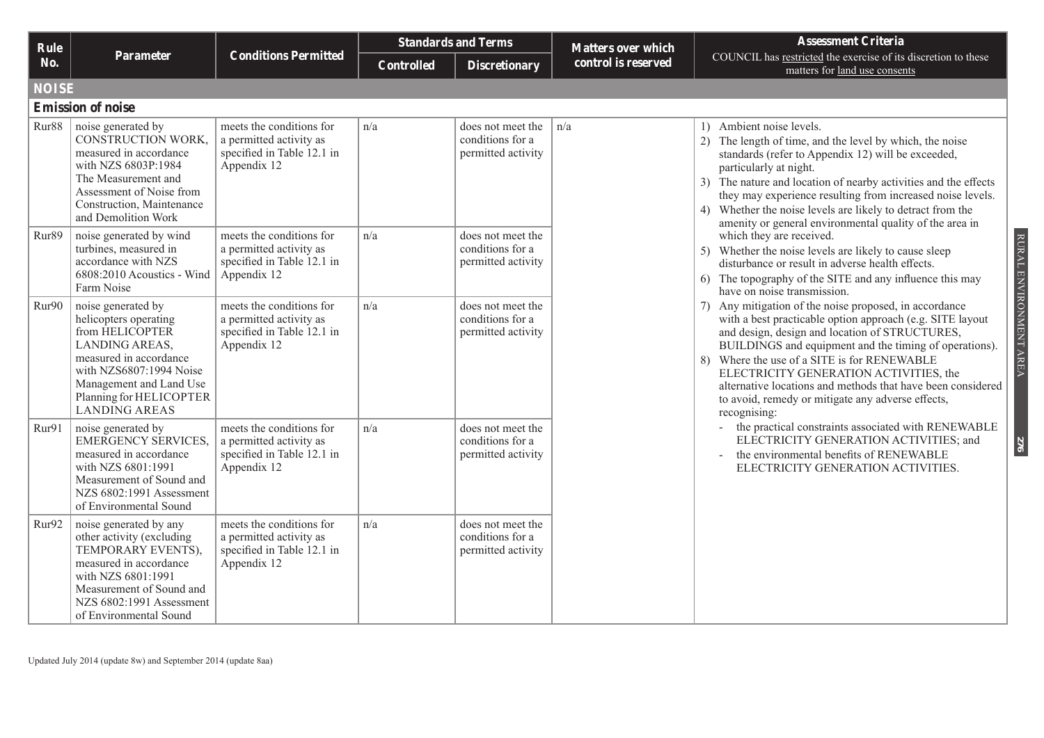| Rule         |                                                                                                                                                                                                                            |                                                                                                  |                   | <b>Standards and Terms</b>                                  | <b>Matters over which</b> | <b>Assessment Criteria</b>                                                                                                                                                                                                                                                                                                                                                                                                                                                             |
|--------------|----------------------------------------------------------------------------------------------------------------------------------------------------------------------------------------------------------------------------|--------------------------------------------------------------------------------------------------|-------------------|-------------------------------------------------------------|---------------------------|----------------------------------------------------------------------------------------------------------------------------------------------------------------------------------------------------------------------------------------------------------------------------------------------------------------------------------------------------------------------------------------------------------------------------------------------------------------------------------------|
| No.          | Parameter                                                                                                                                                                                                                  | <b>Conditions Permitted</b>                                                                      | <b>Controlled</b> | <b>Discretionary</b>                                        | control is reserved       | COUNCIL has restricted the exercise of its discretion to these<br>matters for land use consents                                                                                                                                                                                                                                                                                                                                                                                        |
| <b>NOISE</b> |                                                                                                                                                                                                                            |                                                                                                  |                   |                                                             |                           |                                                                                                                                                                                                                                                                                                                                                                                                                                                                                        |
|              | <b>Emission of noise</b>                                                                                                                                                                                                   |                                                                                                  |                   |                                                             |                           |                                                                                                                                                                                                                                                                                                                                                                                                                                                                                        |
| Rur88        | noise generated by<br>CONSTRUCTION WORK,<br>measured in accordance<br>with NZS 6803P:1984<br>The Measurement and<br>Assessment of Noise from<br>Construction, Maintenance<br>and Demolition Work                           | meets the conditions for<br>a permitted activity as<br>specified in Table 12.1 in<br>Appendix 12 | n/a               | does not meet the<br>conditions for a<br>permitted activity | n/a                       | 1) Ambient noise levels.<br>2) The length of time, and the level by which, the noise<br>standards (refer to Appendix 12) will be exceeded,<br>particularly at night.<br>The nature and location of nearby activities and the effects<br>3)<br>they may experience resulting from increased noise levels.<br>4) Whether the noise levels are likely to detract from the<br>amenity or general environmental quality of the area in                                                      |
| Rur89        | noise generated by wind<br>turbines, measured in<br>accordance with NZS<br>$6808:2010$ Acoustics - Wind<br>Farm Noise                                                                                                      | meets the conditions for<br>a permitted activity as<br>specified in Table 12.1 in<br>Appendix 12 | n/a               | does not meet the<br>conditions for a<br>permitted activity |                           | which they are received.<br>5) Whether the noise levels are likely to cause sleep<br>disturbance or result in adverse health effects.<br>6) The topography of the SITE and any influence this may<br>have on noise transmission.                                                                                                                                                                                                                                                       |
| Rur90        | noise generated by<br>helicopters operating<br>from HELICOPTER<br><b>LANDING AREAS,</b><br>measured in accordance<br>with NZS6807:1994 Noise<br>Management and Land Use<br>Planning for HELICOPTER<br><b>LANDING AREAS</b> | meets the conditions for<br>a permitted activity as<br>specified in Table 12.1 in<br>Appendix 12 | n/a               | does not meet the<br>conditions for a<br>permitted activity |                           | RURAL ENVIRONMENT AREA<br>Any mitigation of the noise proposed, in accordance<br>with a best practicable option approach (e.g. SITE layout<br>and design, design and location of STRUCTURES,<br>BUILDINGS and equipment and the timing of operations).<br>Where the use of a SITE is for RENEWABLE<br>8)<br>ELECTRICITY GENERATION ACTIVITIES, the<br>alternative locations and methods that have been considered<br>to avoid, remedy or mitigate any adverse effects,<br>recognising: |
| Rur91        | noise generated by<br><b>EMERGENCY SERVICES,</b><br>measured in accordance<br>with NZS 6801:1991<br>Measurement of Sound and<br>NZS 6802:1991 Assessment<br>of Environmental Sound                                         | meets the conditions for<br>a permitted activity as<br>specified in Table 12.1 in<br>Appendix 12 | n/a               | does not meet the<br>conditions for a<br>permitted activity |                           | the practical constraints associated with RENEWABLE<br>ELECTRICITY GENERATION ACTIVITIES; and<br>276<br>the environmental benefits of RENEWABLE<br>ELECTRICITY GENERATION ACTIVITIES.                                                                                                                                                                                                                                                                                                  |
| Rur92        | noise generated by any<br>other activity (excluding<br>TEMPORARY EVENTS),<br>measured in accordance<br>with NZS 6801:1991<br>Measurement of Sound and<br>NZS 6802:1991 Assessment<br>of Environmental Sound                | meets the conditions for<br>a permitted activity as<br>specified in Table 12.1 in<br>Appendix 12 | n/a               | does not meet the<br>conditions for a<br>permitted activity |                           |                                                                                                                                                                                                                                                                                                                                                                                                                                                                                        |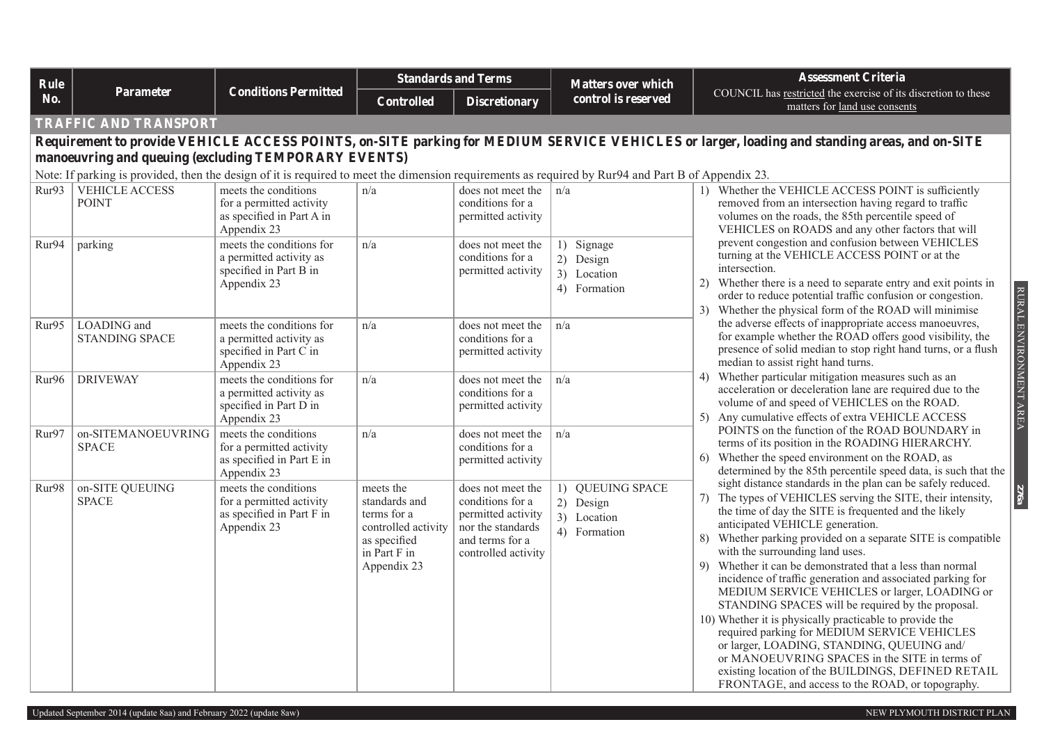| Rule  |                                                                                                                                                    |                                                                                              |                                                                                                                 | <b>Standards and Terms</b>                                                                                                 | <b>Matters over which</b>                                    | <b>Assessment Criteria</b>                                                                                                                                                                                                                                                                                                                                                                                                                                                                                                                                                                                                                                                                                                                                                                                                                                                                             |
|-------|----------------------------------------------------------------------------------------------------------------------------------------------------|----------------------------------------------------------------------------------------------|-----------------------------------------------------------------------------------------------------------------|----------------------------------------------------------------------------------------------------------------------------|--------------------------------------------------------------|--------------------------------------------------------------------------------------------------------------------------------------------------------------------------------------------------------------------------------------------------------------------------------------------------------------------------------------------------------------------------------------------------------------------------------------------------------------------------------------------------------------------------------------------------------------------------------------------------------------------------------------------------------------------------------------------------------------------------------------------------------------------------------------------------------------------------------------------------------------------------------------------------------|
| No.   | Parameter                                                                                                                                          | <b>Conditions Permitted</b>                                                                  | <b>Controlled</b>                                                                                               | <b>Discretionary</b>                                                                                                       | control is reserved                                          | COUNCIL has restricted the exercise of its discretion to these<br>matters for land use consents                                                                                                                                                                                                                                                                                                                                                                                                                                                                                                                                                                                                                                                                                                                                                                                                        |
|       | <b><i>TRAFFIC AND TRANSPORT</i></b>                                                                                                                |                                                                                              |                                                                                                                 |                                                                                                                            |                                                              |                                                                                                                                                                                                                                                                                                                                                                                                                                                                                                                                                                                                                                                                                                                                                                                                                                                                                                        |
|       |                                                                                                                                                    |                                                                                              |                                                                                                                 |                                                                                                                            |                                                              | Requirement to provide VEHICLE ACCESS POINTS, on-SITE parking for MEDIUM SERVICE VEHICLES or larger, loading and standing areas, and on-SITE                                                                                                                                                                                                                                                                                                                                                                                                                                                                                                                                                                                                                                                                                                                                                           |
|       | manoeuvring and queuing (excluding TEMPORARY EVENTS)                                                                                               |                                                                                              |                                                                                                                 |                                                                                                                            |                                                              |                                                                                                                                                                                                                                                                                                                                                                                                                                                                                                                                                                                                                                                                                                                                                                                                                                                                                                        |
|       | Note: If parking is provided, then the design of it is required to meet the dimension requirements as required by Rur94 and Part B of Appendix 23. |                                                                                              |                                                                                                                 |                                                                                                                            |                                                              |                                                                                                                                                                                                                                                                                                                                                                                                                                                                                                                                                                                                                                                                                                                                                                                                                                                                                                        |
| Rur93 | VEHICLE ACCESS<br><b>POINT</b>                                                                                                                     | meets the conditions<br>for a permitted activity<br>as specified in Part A in<br>Appendix 23 | n/a                                                                                                             | does not meet the<br>conditions for a<br>permitted activity                                                                | n/a                                                          | 1) Whether the VEHICLE ACCESS POINT is sufficiently<br>removed from an intersection having regard to traffic<br>volumes on the roads, the 85th percentile speed of<br>VEHICLES on ROADS and any other factors that will                                                                                                                                                                                                                                                                                                                                                                                                                                                                                                                                                                                                                                                                                |
| Rur94 | parking                                                                                                                                            | meets the conditions for<br>a permitted activity as<br>specified in Part B in<br>Appendix 23 | n/a                                                                                                             | does not meet the<br>conditions for a<br>permitted activity                                                                | 1) Signage<br>2) Design<br>3) Location<br>4) Formation       | prevent congestion and confusion between VEHICLES<br>turning at the VEHICLE ACCESS POINT or at the<br>intersection.<br>Whether there is a need to separate entry and exit points in<br>2)<br>order to reduce potential traffic confusion or congestion.<br>Whether the physical form of the ROAD will minimise<br>3)                                                                                                                                                                                                                                                                                                                                                                                                                                                                                                                                                                                   |
| Rur95 | LOADING and<br><b>STANDING SPACE</b>                                                                                                               | meets the conditions for<br>a permitted activity as<br>specified in Part C in<br>Appendix 23 | n/a                                                                                                             | does not meet the<br>conditions for a<br>permitted activity                                                                | n/a                                                          | RURAL ENVIRONMENT AREA<br>the adverse effects of inappropriate access manoeuvres,<br>for example whether the ROAD offers good visibility, the<br>presence of solid median to stop right hand turns, or a flush<br>median to assist right hand turns.                                                                                                                                                                                                                                                                                                                                                                                                                                                                                                                                                                                                                                                   |
| Rur96 | <b>DRIVEWAY</b>                                                                                                                                    | meets the conditions for<br>a permitted activity as<br>specified in Part D in<br>Appendix 23 | n/a                                                                                                             | does not meet the<br>conditions for a<br>permitted activity                                                                | n/a                                                          | Whether particular mitigation measures such as an<br>4)<br>acceleration or deceleration lane are required due to the<br>volume of and speed of VEHICLES on the ROAD.<br>Any cumulative effects of extra VEHICLE ACCESS<br>5)                                                                                                                                                                                                                                                                                                                                                                                                                                                                                                                                                                                                                                                                           |
| Rur97 | on-SITEMANOEUVRING<br><b>SPACE</b>                                                                                                                 | meets the conditions<br>for a permitted activity<br>as specified in Part E in<br>Appendix 23 | n/a                                                                                                             | does not meet the<br>conditions for a<br>permitted activity                                                                | n/a                                                          | POINTS on the function of the ROAD BOUNDARY in<br>terms of its position in the ROADING HIERARCHY.<br>Whether the speed environment on the ROAD, as<br>6)<br>determined by the 85th percentile speed data, is such that the                                                                                                                                                                                                                                                                                                                                                                                                                                                                                                                                                                                                                                                                             |
| Rur98 | on-SITE QUEUING<br><b>SPACE</b>                                                                                                                    | meets the conditions<br>for a permitted activity<br>as specified in Part F in<br>Appendix 23 | meets the<br>standards and<br>terms for a<br>controlled activity<br>as specified<br>in Part F in<br>Appendix 23 | does not meet the<br>conditions for a<br>permitted activity<br>nor the standards<br>and terms for a<br>controlled activity | 1) QUEUING SPACE<br>2) Design<br>3) Location<br>4) Formation | sight distance standards in the plan can be safely reduced.<br><b>276a</b><br>The types of VEHICLES serving the SITE, their intensity,<br>7)<br>the time of day the SITE is frequented and the likely<br>anticipated VEHICLE generation.<br>Whether parking provided on a separate SITE is compatible<br>8)<br>with the surrounding land uses.<br>Whether it can be demonstrated that a less than normal<br>9)<br>incidence of traffic generation and associated parking for<br>MEDIUM SERVICE VEHICLES or larger, LOADING or<br>STANDING SPACES will be required by the proposal.<br>10) Whether it is physically practicable to provide the<br>required parking for MEDIUM SERVICE VEHICLES<br>or larger, LOADING, STANDING, QUEUING and/<br>or MANOEUVRING SPACES in the SITE in terms of<br>existing location of the BUILDINGS, DEFINED RETAIL<br>FRONTAGE, and access to the ROAD, or topography. |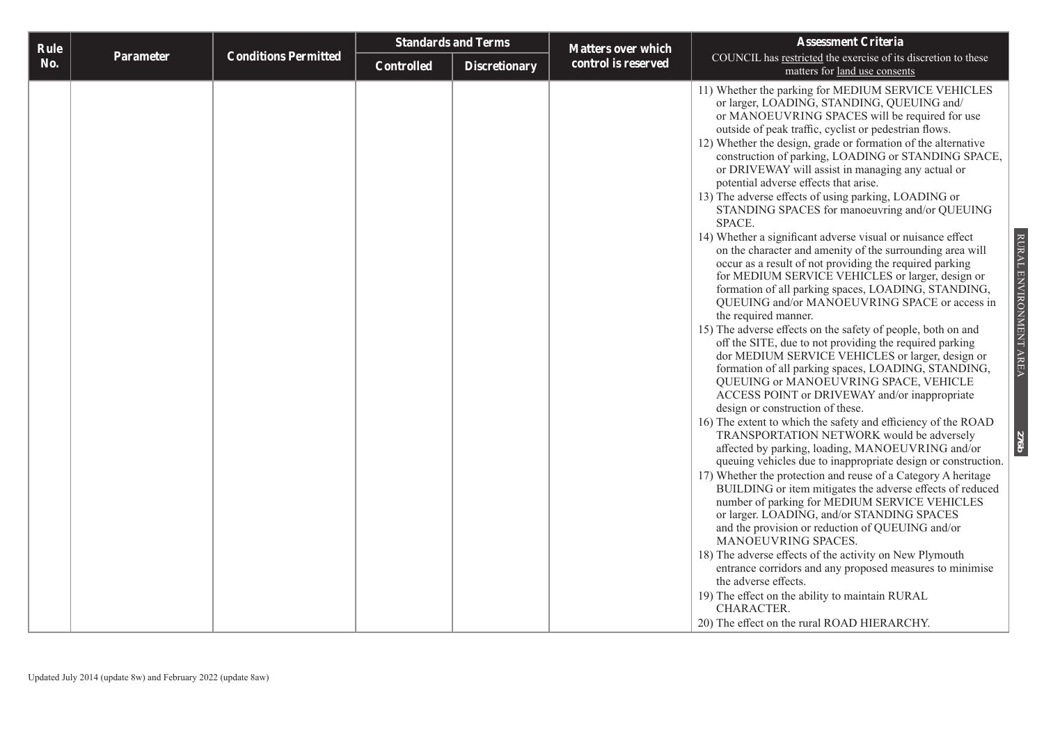| Rule |           |                             |            | <b>Standards and Terms</b> | <b>Matters over which</b> | <b>Assessment Criteria</b>                                                                                                                                                                                                                                                                                                                                                                                                                                                                                                                                                                                                                                                                                                                                                                                                                                                                                                                                                                                                                                                                                                                                                                                                                                                                                                                                                                                                                                                                                                                                                                                                                                                                                                                                                                                                                                                                                                                                                                                                                                                                                                                        |
|------|-----------|-----------------------------|------------|----------------------------|---------------------------|---------------------------------------------------------------------------------------------------------------------------------------------------------------------------------------------------------------------------------------------------------------------------------------------------------------------------------------------------------------------------------------------------------------------------------------------------------------------------------------------------------------------------------------------------------------------------------------------------------------------------------------------------------------------------------------------------------------------------------------------------------------------------------------------------------------------------------------------------------------------------------------------------------------------------------------------------------------------------------------------------------------------------------------------------------------------------------------------------------------------------------------------------------------------------------------------------------------------------------------------------------------------------------------------------------------------------------------------------------------------------------------------------------------------------------------------------------------------------------------------------------------------------------------------------------------------------------------------------------------------------------------------------------------------------------------------------------------------------------------------------------------------------------------------------------------------------------------------------------------------------------------------------------------------------------------------------------------------------------------------------------------------------------------------------------------------------------------------------------------------------------------------------|
| No.  | Parameter | <b>Conditions Permitted</b> | Controlled | <b>Discretionary</b>       | control is reserved       | COUNCIL has restricted the exercise of its discretion to these<br>matters for land use consents                                                                                                                                                                                                                                                                                                                                                                                                                                                                                                                                                                                                                                                                                                                                                                                                                                                                                                                                                                                                                                                                                                                                                                                                                                                                                                                                                                                                                                                                                                                                                                                                                                                                                                                                                                                                                                                                                                                                                                                                                                                   |
|      |           |                             |            |                            |                           | 11) Whether the parking for MEDIUM SERVICE VEHICLES<br>or larger, LOADING, STANDING, QUEUING and/<br>or MANOEUVRING SPACES will be required for use<br>outside of peak traffic, cyclist or pedestrian flows.<br>12) Whether the design, grade or formation of the alternative<br>construction of parking, LOADING or STANDING SPACE,<br>or DRIVEWAY will assist in managing any actual or<br>potential adverse effects that arise.<br>13) The adverse effects of using parking, LOADING or<br>STANDING SPACES for manoeuvring and/or QUEUING<br>SPACE.<br>RURAL ENVIRONMENT AREA<br>14) Whether a significant adverse visual or nuisance effect<br>on the character and amenity of the surrounding area will<br>occur as a result of not providing the required parking<br>for MEDIUM SERVICE VEHICLES or larger, design or<br>formation of all parking spaces, LOADING, STANDING,<br>QUEUING and/or MANOEUVRING SPACE or access in<br>the required manner.<br>15) The adverse effects on the safety of people, both on and<br>off the SITE, due to not providing the required parking<br>dor MEDIUM SERVICE VEHICLES or larger, design or<br>formation of all parking spaces, LOADING, STANDING,<br>QUEUING or MANOEUVRING SPACE, VEHICLE<br>ACCESS POINT or DRIVEWAY and/or inappropriate<br>design or construction of these.<br>16) The extent to which the safety and efficiency of the ROAD<br>TRANSPORTATION NETWORK would be adversely<br>276b<br>affected by parking, loading, MANOEUVRING and/or<br>queuing vehicles due to inappropriate design or construction.<br>17) Whether the protection and reuse of a Category A heritage<br>BUILDING or item mitigates the adverse effects of reduced<br>number of parking for MEDIUM SERVICE VEHICLES<br>or larger. LOADING, and/or STANDING SPACES<br>and the provision or reduction of QUEUING and/or<br>MANOEUVRING SPACES.<br>18) The adverse effects of the activity on New Plymouth<br>entrance corridors and any proposed measures to minimise<br>the adverse effects.<br>19) The effect on the ability to maintain RURAL<br>CHARACTER.<br>20) The effect on the rural ROAD HIERARCHY. |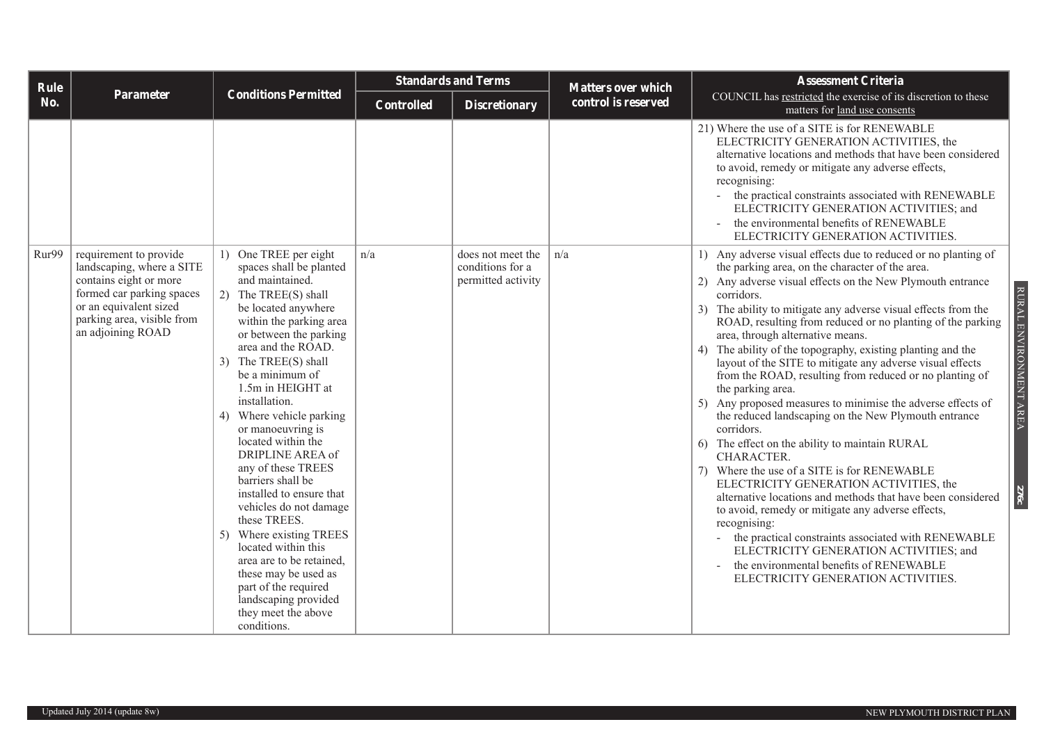| <b>Rule</b> |                                                                                                                                                                                         |                                                                                                                                                                                                                                                                                                                                                                                                                                                                                                                                                                                                                                                                                                     |                   | <b>Standards and Terms</b>                                  | <b>Matters over which</b> | <b>Assessment Criteria</b>                                                                                                                                                                                                                                                                                                                                                                                                                                                                                                                                                                                                                                                                                                                                                                                                                                                                                                                                                                                                                                                                                                                                                                                                                    |
|-------------|-----------------------------------------------------------------------------------------------------------------------------------------------------------------------------------------|-----------------------------------------------------------------------------------------------------------------------------------------------------------------------------------------------------------------------------------------------------------------------------------------------------------------------------------------------------------------------------------------------------------------------------------------------------------------------------------------------------------------------------------------------------------------------------------------------------------------------------------------------------------------------------------------------------|-------------------|-------------------------------------------------------------|---------------------------|-----------------------------------------------------------------------------------------------------------------------------------------------------------------------------------------------------------------------------------------------------------------------------------------------------------------------------------------------------------------------------------------------------------------------------------------------------------------------------------------------------------------------------------------------------------------------------------------------------------------------------------------------------------------------------------------------------------------------------------------------------------------------------------------------------------------------------------------------------------------------------------------------------------------------------------------------------------------------------------------------------------------------------------------------------------------------------------------------------------------------------------------------------------------------------------------------------------------------------------------------|
| No.         | Parameter                                                                                                                                                                               | <b>Conditions Permitted</b>                                                                                                                                                                                                                                                                                                                                                                                                                                                                                                                                                                                                                                                                         | <b>Controlled</b> | <b>Discretionary</b>                                        | control is reserved       | COUNCIL has restricted the exercise of its discretion to these<br>matters for land use consents                                                                                                                                                                                                                                                                                                                                                                                                                                                                                                                                                                                                                                                                                                                                                                                                                                                                                                                                                                                                                                                                                                                                               |
|             |                                                                                                                                                                                         |                                                                                                                                                                                                                                                                                                                                                                                                                                                                                                                                                                                                                                                                                                     |                   |                                                             |                           | 21) Where the use of a SITE is for RENEWABLE<br>ELECTRICITY GENERATION ACTIVITIES, the<br>alternative locations and methods that have been considered<br>to avoid, remedy or mitigate any adverse effects,<br>recognising:<br>the practical constraints associated with RENEWABLE<br>ELECTRICITY GENERATION ACTIVITIES; and<br>the environmental benefits of RENEWABLE<br>ELECTRICITY GENERATION ACTIVITIES.                                                                                                                                                                                                                                                                                                                                                                                                                                                                                                                                                                                                                                                                                                                                                                                                                                  |
| Rur99       | requirement to provide<br>landscaping, where a SITE<br>contains eight or more<br>formed car parking spaces<br>or an equivalent sized<br>parking area, visible from<br>an adjoining ROAD | 1) One TREE per eight<br>spaces shall be planted<br>and maintained.<br>2) The TREE(S) shall<br>be located anywhere<br>within the parking area<br>or between the parking<br>area and the ROAD.<br>The TREE(S) shall<br>3)<br>be a minimum of<br>1.5m in HEIGHT at<br>installation.<br>Where vehicle parking<br>4)<br>or manoeuvring is<br>located within the<br><b>DRIPLINE AREA of</b><br>any of these TREES<br>barriers shall be<br>installed to ensure that<br>vehicles do not damage<br>these TREES.<br>5) Where existing TREES<br>located within this<br>area are to be retained,<br>these may be used as<br>part of the required<br>landscaping provided<br>they meet the above<br>conditions. | n/a               | does not meet the<br>conditions for a<br>permitted activity | n/a                       | 1) Any adverse visual effects due to reduced or no planting of<br>the parking area, on the character of the area.<br>2) Any adverse visual effects on the New Plymouth entrance<br>RURAL ENVIRONMENT AREA<br>corridors.<br>3) The ability to mitigate any adverse visual effects from the<br>ROAD, resulting from reduced or no planting of the parking<br>area, through alternative means.<br>4) The ability of the topography, existing planting and the<br>layout of the SITE to mitigate any adverse visual effects<br>from the ROAD, resulting from reduced or no planting of<br>the parking area.<br>5) Any proposed measures to minimise the adverse effects of<br>the reduced landscaping on the New Plymouth entrance<br>corridors.<br>6) The effect on the ability to maintain RURAL<br>CHARACTER.<br>7) Where the use of a SITE is for RENEWABLE<br>ELECTRICITY GENERATION ACTIVITIES, the<br>276c<br>alternative locations and methods that have been considered<br>to avoid, remedy or mitigate any adverse effects,<br>recognising:<br>the practical constraints associated with RENEWABLE<br>$\sim$<br>ELECTRICITY GENERATION ACTIVITIES; and<br>the environmental benefits of RENEWABLE<br>ELECTRICITY GENERATION ACTIVITIES. |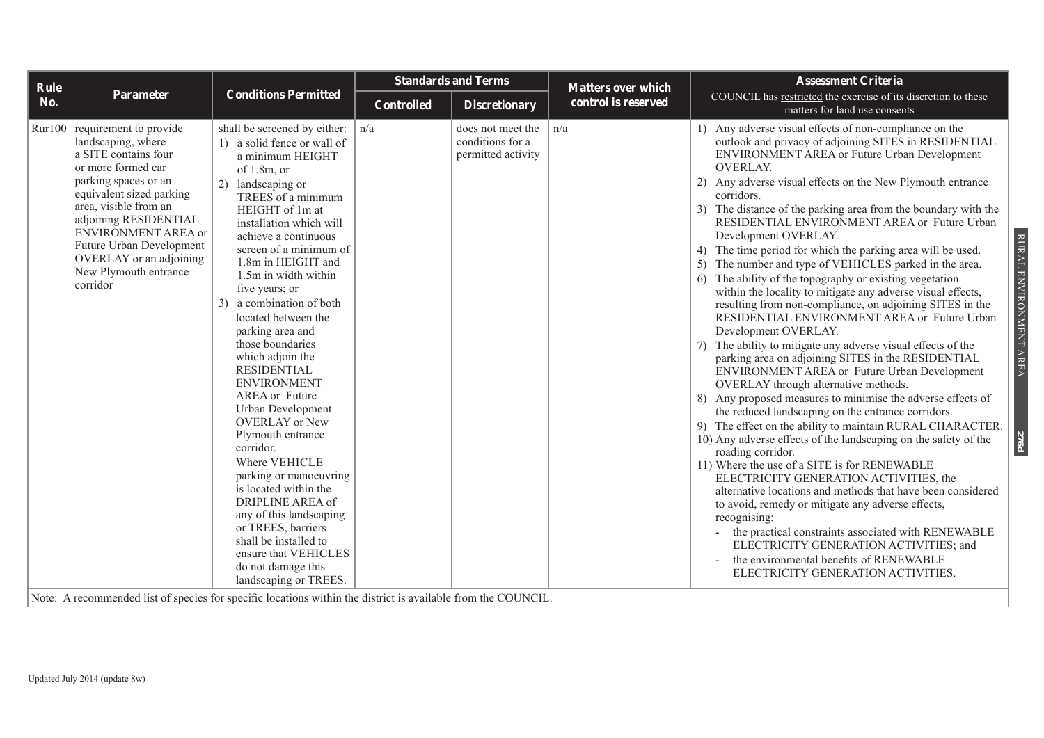| Rule   |                                                                                                                                                                                                                                                                                                                                                                                                                                       |                                                                                                                                                                                                                                                                                                                                                                                                                                                                                                                                                                                                                                                                                                                                                                                                                                              |                   | <b>Standards and Terms</b>                                  | <b>Matters over which</b> | <b>Assessment Criteria</b>                                                                                                                                                                                                                                                                                                                                                                                                                                                                                                                                                                                                                                                                                                                                                                                                                                                                                                                                                                                                                                                                                                                                                                                                                                                                                                                                                                                                                                                                                                                                                                                                                                                                                                                  |
|--------|---------------------------------------------------------------------------------------------------------------------------------------------------------------------------------------------------------------------------------------------------------------------------------------------------------------------------------------------------------------------------------------------------------------------------------------|----------------------------------------------------------------------------------------------------------------------------------------------------------------------------------------------------------------------------------------------------------------------------------------------------------------------------------------------------------------------------------------------------------------------------------------------------------------------------------------------------------------------------------------------------------------------------------------------------------------------------------------------------------------------------------------------------------------------------------------------------------------------------------------------------------------------------------------------|-------------------|-------------------------------------------------------------|---------------------------|---------------------------------------------------------------------------------------------------------------------------------------------------------------------------------------------------------------------------------------------------------------------------------------------------------------------------------------------------------------------------------------------------------------------------------------------------------------------------------------------------------------------------------------------------------------------------------------------------------------------------------------------------------------------------------------------------------------------------------------------------------------------------------------------------------------------------------------------------------------------------------------------------------------------------------------------------------------------------------------------------------------------------------------------------------------------------------------------------------------------------------------------------------------------------------------------------------------------------------------------------------------------------------------------------------------------------------------------------------------------------------------------------------------------------------------------------------------------------------------------------------------------------------------------------------------------------------------------------------------------------------------------------------------------------------------------------------------------------------------------|
| No.    | Parameter                                                                                                                                                                                                                                                                                                                                                                                                                             | <b>Conditions Permitted</b>                                                                                                                                                                                                                                                                                                                                                                                                                                                                                                                                                                                                                                                                                                                                                                                                                  | <b>Controlled</b> | <b>Discretionary</b>                                        | control is reserved       | COUNCIL has restricted the exercise of its discretion to these<br>matters for land use consents                                                                                                                                                                                                                                                                                                                                                                                                                                                                                                                                                                                                                                                                                                                                                                                                                                                                                                                                                                                                                                                                                                                                                                                                                                                                                                                                                                                                                                                                                                                                                                                                                                             |
| Rur100 | requirement to provide<br>landscaping, where<br>a SITE contains four<br>or more formed car<br>parking spaces or an<br>equivalent sized parking<br>area, visible from an<br>adjoining RESIDENTIAL<br>ENVIRONMENT AREA or<br>Future Urban Development<br>OVERLAY or an adjoining<br>New Plymouth entrance<br>corridor<br>Mater A noncurrented list of question for question boastique within the district is excitable from the COUNCIL | shall be screened by either:<br>1) a solid fence or wall of<br>a minimum HEIGHT<br>of $1.8m$ , or<br>landscaping or<br>(2)<br>TREES of a minimum<br>HEIGHT of 1m at<br>installation which will<br>achieve a continuous<br>screen of a minimum of<br>1.8m in HEIGHT and<br>1.5m in width within<br>five years; or<br>a combination of both<br>3 <sup>)</sup><br>located between the<br>parking area and<br>those boundaries<br>which adjoin the<br><b>RESIDENTIAL</b><br><b>ENVIRONMENT</b><br><b>AREA</b> or Future<br>Urban Development<br><b>OVERLAY</b> or New<br>Plymouth entrance<br>corridor.<br>Where VEHICLE<br>parking or manoeuvring<br>is located within the<br>DRIPLINE AREA of<br>any of this landscaping<br>or TREES, barriers<br>shall be installed to<br>ensure that VEHICLES<br>do not damage this<br>landscaping or TREES. | n/a               | does not meet the<br>conditions for a<br>permitted activity | n/a                       | 1) Any adverse visual effects of non-compliance on the<br>outlook and privacy of adjoining SITES in RESIDENTIAL<br>ENVIRONMENT AREA or Future Urban Development<br><b>OVERLAY.</b><br>2) Any adverse visual effects on the New Plymouth entrance<br>corridors.<br>3) The distance of the parking area from the boundary with the<br>RESIDENTIAL ENVIRONMENT AREA or Future Urban<br>Development OVERLAY.<br>RURAL ENVIRONMENT AREA<br>4) The time period for which the parking area will be used.<br>5) The number and type of VEHICLES parked in the area.<br>The ability of the topography or existing vegetation<br>6)<br>within the locality to mitigate any adverse visual effects,<br>resulting from non-compliance, on adjoining SITES in the<br>RESIDENTIAL ENVIRONMENT AREA or Future Urban<br>Development OVERLAY.<br>7) The ability to mitigate any adverse visual effects of the<br>parking area on adjoining SITES in the RESIDENTIAL<br>ENVIRONMENT AREA or Future Urban Development<br>OVERLAY through alternative methods.<br>8) Any proposed measures to minimise the adverse effects of<br>the reduced landscaping on the entrance corridors.<br>9) The effect on the ability to maintain RURAL CHARACTER.<br>10) Any adverse effects of the landscaping on the safety of the<br>P9L<br>roading corridor.<br>11) Where the use of a SITE is for RENEWABLE<br>ELECTRICITY GENERATION ACTIVITIES, the<br>alternative locations and methods that have been considered<br>to avoid, remedy or mitigate any adverse effects,<br>recognising:<br>the practical constraints associated with RENEWABLE<br>ELECTRICITY GENERATION ACTIVITIES; and<br>the environmental benefits of RENEWABLE<br>ELECTRICITY GENERATION ACTIVITIES. |

Note: A recommended list of species for specific locations within the district is available from the COUNCIL.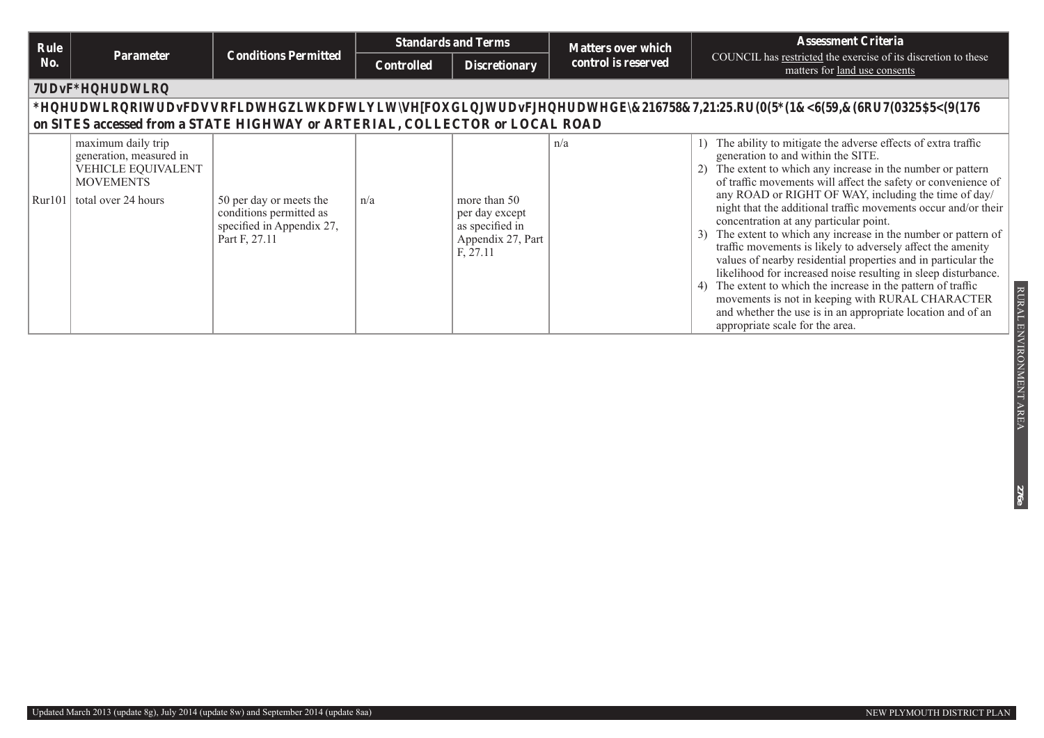| Rule   |                                                                                                                |                                                                                                  |                   | <b>Standards and Terms</b>                                                         | <b>Matters over which</b> | <b>Assessment Criteria</b>                                                                                                                                                                                                                                                                                                                                                                                                                                                                                                                                                                                                                                                                                                                                                                                                                                                                 |
|--------|----------------------------------------------------------------------------------------------------------------|--------------------------------------------------------------------------------------------------|-------------------|------------------------------------------------------------------------------------|---------------------------|--------------------------------------------------------------------------------------------------------------------------------------------------------------------------------------------------------------------------------------------------------------------------------------------------------------------------------------------------------------------------------------------------------------------------------------------------------------------------------------------------------------------------------------------------------------------------------------------------------------------------------------------------------------------------------------------------------------------------------------------------------------------------------------------------------------------------------------------------------------------------------------------|
| No.    | Parameter                                                                                                      | <b>Conditions Permitted</b>                                                                      | <b>Controlled</b> | <b>Discretionary</b>                                                               | control is reserved       | COUNCIL has restricted the exercise of its discretion to these<br>matters for land use consents                                                                                                                                                                                                                                                                                                                                                                                                                                                                                                                                                                                                                                                                                                                                                                                            |
|        | <b>Traffic Generation</b>                                                                                      |                                                                                                  |                   |                                                                                    |                           |                                                                                                                                                                                                                                                                                                                                                                                                                                                                                                                                                                                                                                                                                                                                                                                                                                                                                            |
|        |                                                                                                                | on SITES accessed from a STATE HIGHWAY or ARTERIAL, COLLECTOR or LOCAL ROAD                      |                   |                                                                                    |                           | Generation of traffic associated with activity(s) (excluding traffic generated by CONSTRUCTION WORK or EMERGENCY SERVICES or TEMPORARY EVENTS)                                                                                                                                                                                                                                                                                                                                                                                                                                                                                                                                                                                                                                                                                                                                             |
| Rur101 | maximum daily trip<br>generation, measured in<br>VEHICLE EQUIVALENT<br><b>MOVEMENTS</b><br>total over 24 hours | 50 per day or meets the<br>conditions permitted as<br>specified in Appendix 27,<br>Part F, 27.11 | n/a               | more than 50<br>per day except<br>as specified in<br>Appendix 27, Part<br>F, 27.11 | n/a                       | The ability to mitigate the adverse effects of extra traffic<br>generation to and within the SITE.<br>The extent to which any increase in the number or pattern<br>of traffic movements will affect the safety or convenience of<br>any ROAD or RIGHT OF WAY, including the time of day/<br>night that the additional traffic movements occur and/or their<br>concentration at any particular point.<br>The extent to which any increase in the number or pattern of<br>traffic movements is likely to adversely affect the amenity<br>values of nearby residential properties and in particular the<br>likelihood for increased noise resulting in sleep disturbance.<br>The extent to which the increase in the pattern of traffic<br>movements is not in keeping with RURAL CHARACTER<br>and whether the use is in an appropriate location and of an<br>appropriate scale for the area. |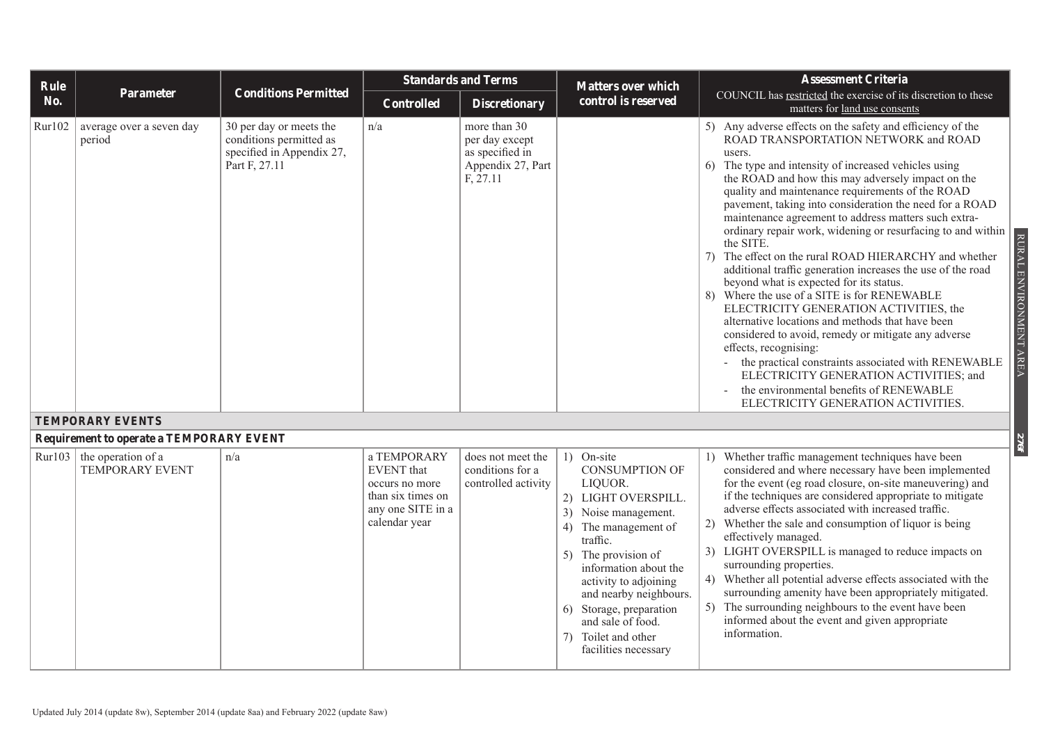| Rule   |                                                 |                                                                                                  |                                                                                                               | <b>Standards and Terms</b>                                                         | <b>Matters over which</b>                                                                                                                                                                                                                                                                                                           | <b>Assessment Criteria</b>                                                                                                                                                                                                                                                                                                                                                                                                                                                                                                                                                                                                                                                                                                                                                                                                                                                                                                                                                                                                                                                                |
|--------|-------------------------------------------------|--------------------------------------------------------------------------------------------------|---------------------------------------------------------------------------------------------------------------|------------------------------------------------------------------------------------|-------------------------------------------------------------------------------------------------------------------------------------------------------------------------------------------------------------------------------------------------------------------------------------------------------------------------------------|-------------------------------------------------------------------------------------------------------------------------------------------------------------------------------------------------------------------------------------------------------------------------------------------------------------------------------------------------------------------------------------------------------------------------------------------------------------------------------------------------------------------------------------------------------------------------------------------------------------------------------------------------------------------------------------------------------------------------------------------------------------------------------------------------------------------------------------------------------------------------------------------------------------------------------------------------------------------------------------------------------------------------------------------------------------------------------------------|
| No.    | Parameter                                       | <b>Conditions Permitted</b>                                                                      | <b>Controlled</b>                                                                                             | <b>Discretionary</b>                                                               | control is reserved                                                                                                                                                                                                                                                                                                                 | COUNCIL has restricted the exercise of its discretion to these<br>matters for land use consents                                                                                                                                                                                                                                                                                                                                                                                                                                                                                                                                                                                                                                                                                                                                                                                                                                                                                                                                                                                           |
| Rur102 | average over a seven day<br>period              | 30 per day or meets the<br>conditions permitted as<br>specified in Appendix 27,<br>Part F, 27.11 | n/a                                                                                                           | more than 30<br>per day except<br>as specified in<br>Appendix 27, Part<br>F, 27.11 |                                                                                                                                                                                                                                                                                                                                     | 5) Any adverse effects on the safety and efficiency of the<br>ROAD TRANSPORTATION NETWORK and ROAD<br>users.<br>6) The type and intensity of increased vehicles using<br>the ROAD and how this may adversely impact on the<br>quality and maintenance requirements of the ROAD<br>pavement, taking into consideration the need for a ROAD<br>maintenance agreement to address matters such extra-<br>ordinary repair work, widening or resurfacing to and within<br>RURAL ENVIRONMENT AREA<br>the SITE.<br>7) The effect on the rural ROAD HIERARCHY and whether<br>additional traffic generation increases the use of the road<br>beyond what is expected for its status.<br>8) Where the use of a SITE is for RENEWABLE<br>ELECTRICITY GENERATION ACTIVITIES, the<br>alternative locations and methods that have been<br>considered to avoid, remedy or mitigate any adverse<br>effects, recognising:<br>the practical constraints associated with RENEWABLE<br>ELECTRICITY GENERATION ACTIVITIES; and<br>the environmental benefits of RENEWABLE<br>ELECTRICITY GENERATION ACTIVITIES. |
|        | <b>TEMPORARY EVENTS</b>                         |                                                                                                  |                                                                                                               |                                                                                    |                                                                                                                                                                                                                                                                                                                                     |                                                                                                                                                                                                                                                                                                                                                                                                                                                                                                                                                                                                                                                                                                                                                                                                                                                                                                                                                                                                                                                                                           |
|        | <b>Requirement to operate a TEMPORARY EVENT</b> |                                                                                                  |                                                                                                               |                                                                                    |                                                                                                                                                                                                                                                                                                                                     | <b>1975</b>                                                                                                                                                                                                                                                                                                                                                                                                                                                                                                                                                                                                                                                                                                                                                                                                                                                                                                                                                                                                                                                                               |
| Rur103 | the operation of a<br><b>TEMPORARY EVENT</b>    | n/a                                                                                              | a TEMPORARY<br><b>EVENT</b> that<br>occurs no more<br>than six times on<br>any one SITE in a<br>calendar year | does not meet the<br>conditions for a<br>controlled activity                       | 1) On-site<br><b>CONSUMPTION OF</b><br>LIQUOR.<br>2) LIGHT OVERSPILL.<br>3) Noise management.<br>4) The management of<br>traffic.<br>5) The provision of<br>information about the<br>activity to adjoining<br>and nearby neighbours.<br>6) Storage, preparation<br>and sale of food.<br>7) Toilet and other<br>facilities necessary | 1) Whether traffic management techniques have been<br>considered and where necessary have been implemented<br>for the event (eg road closure, on-site maneuvering) and<br>if the techniques are considered appropriate to mitigate<br>adverse effects associated with increased traffic.<br>2) Whether the sale and consumption of liquor is being<br>effectively managed.<br>3) LIGHT OVERSPILL is managed to reduce impacts on<br>surrounding properties.<br>4) Whether all potential adverse effects associated with the<br>surrounding amenity have been appropriately mitigated.<br>5) The surrounding neighbours to the event have been<br>informed about the event and given appropriate<br>information.                                                                                                                                                                                                                                                                                                                                                                           |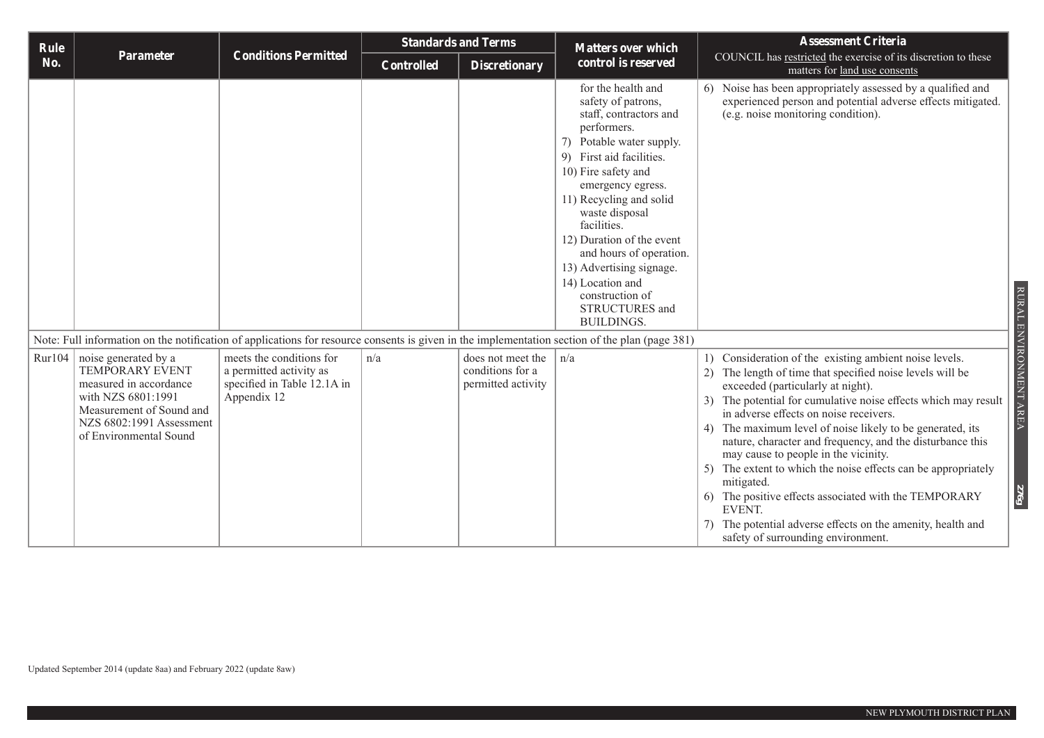| Rule   |                                                                                                                                                                           |                                                                                                   |                   | <b>Standards and Terms</b>                                  | <b>Matters over which</b>                                                                                                                                                                                                                                                                                                                                                                                           | <b>Assessment Criteria</b>                                                                                                                                                                                                                                                                                                                                                                                                                                                                                                                                                                                                                                                                                            |
|--------|---------------------------------------------------------------------------------------------------------------------------------------------------------------------------|---------------------------------------------------------------------------------------------------|-------------------|-------------------------------------------------------------|---------------------------------------------------------------------------------------------------------------------------------------------------------------------------------------------------------------------------------------------------------------------------------------------------------------------------------------------------------------------------------------------------------------------|-----------------------------------------------------------------------------------------------------------------------------------------------------------------------------------------------------------------------------------------------------------------------------------------------------------------------------------------------------------------------------------------------------------------------------------------------------------------------------------------------------------------------------------------------------------------------------------------------------------------------------------------------------------------------------------------------------------------------|
| No.    | <b>Parameter</b>                                                                                                                                                          | <b>Conditions Permitted</b>                                                                       | <b>Controlled</b> | <b>Discretionary</b>                                        | control is reserved                                                                                                                                                                                                                                                                                                                                                                                                 | COUNCIL has restricted the exercise of its discretion to these<br>matters for land use consents                                                                                                                                                                                                                                                                                                                                                                                                                                                                                                                                                                                                                       |
|        |                                                                                                                                                                           |                                                                                                   |                   |                                                             | for the health and<br>safety of patrons,<br>staff, contractors and<br>performers.<br>7) Potable water supply.<br>9) First aid facilities.<br>10) Fire safety and<br>emergency egress.<br>11) Recycling and solid<br>waste disposal<br>facilities.<br>12) Duration of the event<br>and hours of operation.<br>13) Advertising signage.<br>14) Location and<br>construction of<br>STRUCTURES and<br><b>BUILDINGS.</b> | 6) Noise has been appropriately assessed by a qualified and<br>experienced person and potential adverse effects mitigated.<br>(e.g. noise monitoring condition).<br>RURAL                                                                                                                                                                                                                                                                                                                                                                                                                                                                                                                                             |
|        | Note: Full information on the notification of applications for resource consents is given in the implementation section of the plan (page 381)                            |                                                                                                   |                   |                                                             |                                                                                                                                                                                                                                                                                                                                                                                                                     |                                                                                                                                                                                                                                                                                                                                                                                                                                                                                                                                                                                                                                                                                                                       |
| Rur104 | noise generated by a<br>TEMPORARY EVENT<br>measured in accordance<br>with NZS 6801:1991<br>Measurement of Sound and<br>NZS 6802:1991 Assessment<br>of Environmental Sound | meets the conditions for<br>a permitted activity as<br>specified in Table 12.1A in<br>Appendix 12 | n/a               | does not meet the<br>conditions for a<br>permitted activity | n/a                                                                                                                                                                                                                                                                                                                                                                                                                 | ENVIRONMENT AREA<br>1) Consideration of the existing ambient noise levels.<br>2) The length of time that specified noise levels will be<br>exceeded (particularly at night).<br>3) The potential for cumulative noise effects which may result<br>in adverse effects on noise receivers.<br>4) The maximum level of noise likely to be generated, its<br>nature, character and frequency, and the disturbance this<br>may cause to people in the vicinity.<br>5) The extent to which the noise effects can be appropriately<br>mitigated.<br>39L<br>6) The positive effects associated with the TEMPORARY<br>EVENT.<br>The potential adverse effects on the amenity, health and<br>safety of surrounding environment. |

Updated September 2014 (update 8aa) and February 2022 (update 8aw)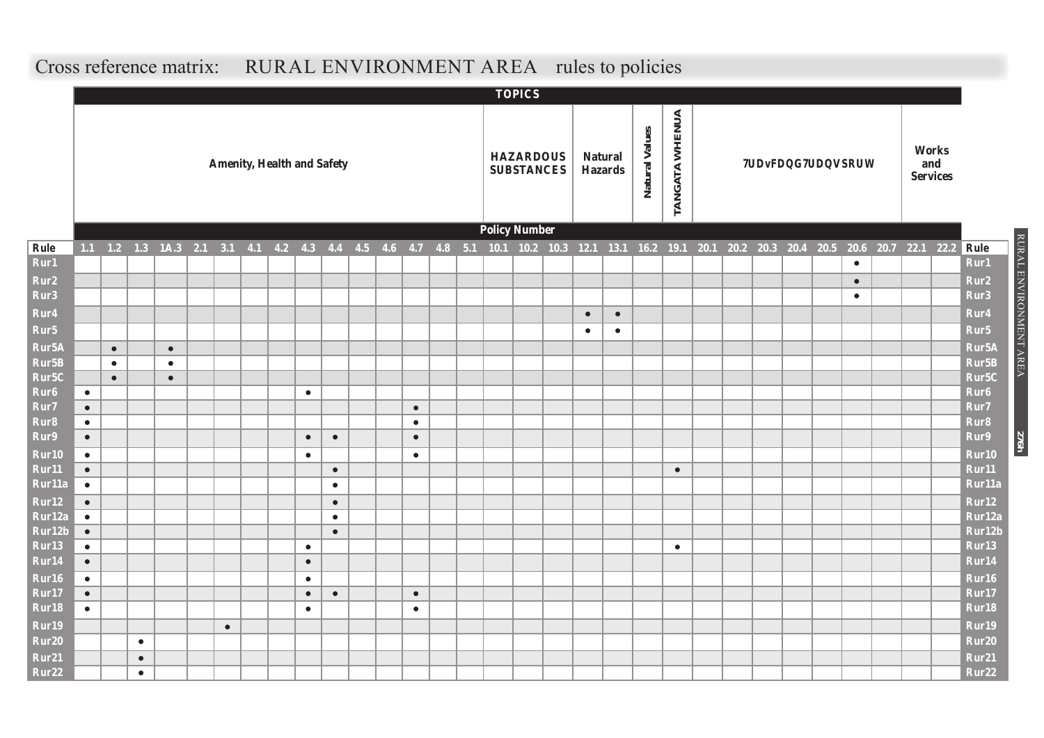#### **TOPICS** TANGATA WHENUA **TANGATA WHENUA** Natural Values **Natural Values Works Amenity, Health and Safety HAZARDOUS Natural Traffic and Transport and SUBSTANCES Hazards Services Policy Number** Rule 1.1 1.2 1.3 1A.3 2.1 3.1 4.1 4.2 4.3 4.4 4.5 4.6 4.7 4.8 5.1 10.1 10.2 10.3 12.1 13.1 16.2 19.1 20.1 20.1 20.2 20.3 20.4 20.5 20.6 20.7 22.1 22.2 Rule **Rur1** ● **Rur1 Rur2** ● **Rur2 Rur3** ● **Rur3 Rur4** ● ● **Rur4 Rur5** ● ● **Rur5 Rur5A** ● ● **Rur5A Rur5B** ● ● **Rur5B Rur5C** ● ● **Rur5C Rur6** ● ● **Rur6 Rur7** ● ● **Rur7 Rur8** ● ● **Rur8 Rur9** ● ● ● ● **Rur9 Rur10** ● ● ● **Rur10 Rur11** ● ● ● **Rur11 Rur11a** ● ● **Rur11a Rur12** ● ● **Rur12 Rur12a** ● ● **Rur12a Rur12b** ● ● **Rur12b Rur13** ● ● ● **Rur13 Rur14** ● ● **Rur14 Rur16** ● ● **Rur16 Rur17** ● ● ● ● **Rur17 Rur18** ● ● ● **Rur18 Rur19** ● **Rur19 Rur20** ● **Rur20 Rur21** ● **Rur21 Rur22** ● **Rur22**

RURAL ENVIRONMENT AREA

RURAL ENVIRONMENT AREA

**276h**

### **Cross reference matrix: RURAL ENVIRONMENT AREA rules to policies**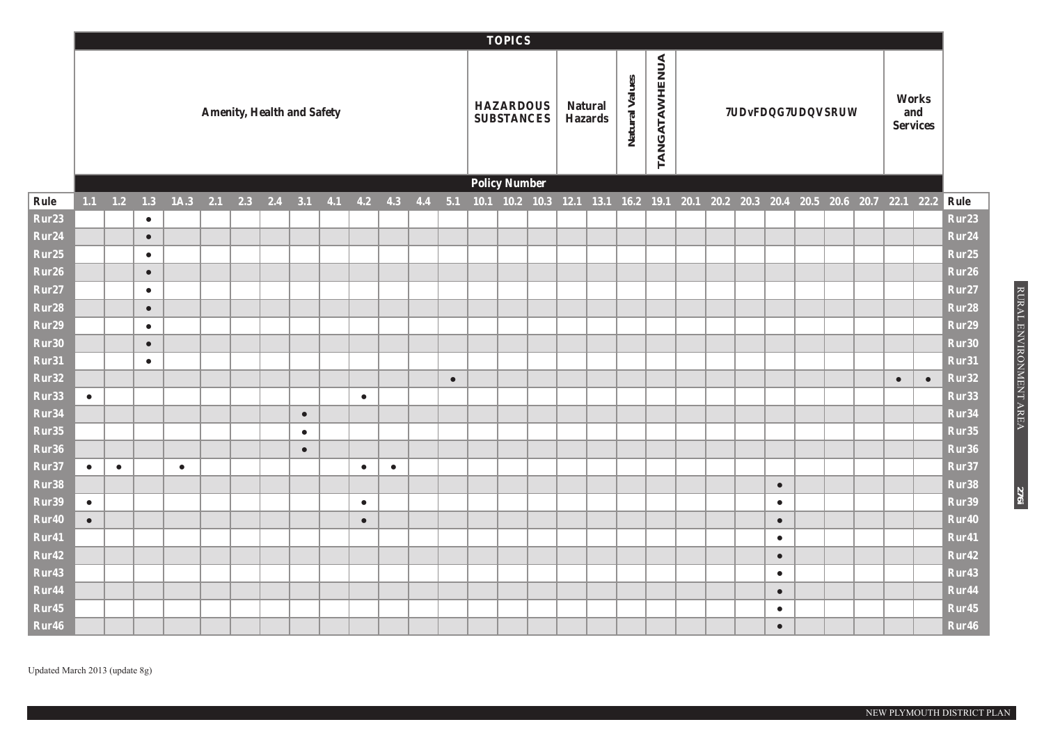|                            |           |              |           |           |           |                                   |                   |           |           |     |           | <b>TOPICS</b>                         |                                                                                 |                |         |                |                      |  |                              |  |           |                                 |                   |
|----------------------------|-----------|--------------|-----------|-----------|-----------|-----------------------------------|-------------------|-----------|-----------|-----|-----------|---------------------------------------|---------------------------------------------------------------------------------|----------------|---------|----------------|----------------------|--|------------------------------|--|-----------|---------------------------------|-------------------|
|                            |           |              |           |           |           | <b>Amenity, Health and Safety</b> |                   |           |           |     |           | <b>HAZARDOUS</b><br><b>SUBSTANCES</b> |                                                                                 | <b>Natural</b> | Hazards | Natural Values | <b>TANGATAWHENUA</b> |  | <b>Traffic and Transport</b> |  |           | Works<br>and<br><b>Services</b> |                   |
|                            |           |              |           |           |           |                                   |                   |           |           |     |           | <b>Policy Number</b>                  |                                                                                 |                |         |                |                      |  |                              |  |           |                                 |                   |
| Rule                       |           | $1.1 \t 1.2$ | 1.3       | 1A.3      | $2.1$ 2.3 |                                   | $2.4$ $3.1$ $4.1$ | $4.2$ 4.3 |           | 4.4 | 5.1       |                                       | 10.1 10.2 10.3 12.1 13.1 16.2 19.1 20.1 20.2 20.3 20.4 20.5 20.6 20.7 22.1 22.2 |                |         |                |                      |  |                              |  |           |                                 | Rule              |
| Rur <sub>23</sub>          |           |              | $\bullet$ |           |           |                                   |                   |           |           |     |           |                                       |                                                                                 |                |         |                |                      |  |                              |  |           |                                 | Rur23             |
| Rur24                      |           |              | $\bullet$ |           |           |                                   |                   |           |           |     |           |                                       |                                                                                 |                |         |                |                      |  |                              |  |           |                                 | Rur24             |
| Rur25                      |           |              | $\bullet$ |           |           |                                   |                   |           |           |     |           |                                       |                                                                                 |                |         |                |                      |  |                              |  |           |                                 | Rur25             |
| Rur26                      |           |              | $\bullet$ |           |           |                                   |                   |           |           |     |           |                                       |                                                                                 |                |         |                |                      |  |                              |  |           |                                 | Rur26             |
| Rur27                      |           |              | $\bullet$ |           |           |                                   |                   |           |           |     |           |                                       |                                                                                 |                |         |                |                      |  |                              |  |           |                                 | Rur27             |
| Rur <sub>28</sub>          |           |              | $\bullet$ |           |           |                                   |                   |           |           |     |           |                                       |                                                                                 |                |         |                |                      |  |                              |  |           |                                 | Rur28             |
| Rur29                      |           |              | $\bullet$ |           |           |                                   |                   |           |           |     |           |                                       |                                                                                 |                |         |                |                      |  |                              |  |           |                                 | Rur29             |
| Rur30                      |           |              | $\bullet$ |           |           |                                   |                   |           |           |     |           |                                       |                                                                                 |                |         |                |                      |  |                              |  |           |                                 | Rur30             |
| Rur31                      |           |              | $\bullet$ |           |           |                                   |                   |           |           |     |           |                                       |                                                                                 |                |         |                |                      |  |                              |  |           |                                 | Rur31             |
| Rur32                      |           |              |           |           |           |                                   |                   |           |           |     | $\bullet$ |                                       |                                                                                 |                |         |                |                      |  |                              |  | $\bullet$ | $\bullet$                       | Rur32             |
| Rur33                      | $\bullet$ |              |           |           |           |                                   |                   | $\bullet$ |           |     |           |                                       |                                                                                 |                |         |                |                      |  |                              |  |           |                                 | Rur33             |
| Rur34                      |           |              |           |           |           |                                   | $\bullet$         |           |           |     |           |                                       |                                                                                 |                |         |                |                      |  |                              |  |           |                                 | Rur34             |
| Rur35                      |           |              |           |           |           |                                   | $\bullet$         |           |           |     |           |                                       |                                                                                 |                |         |                |                      |  |                              |  |           |                                 | Rur35             |
| Rur36                      |           |              |           |           |           |                                   | $\bullet$         |           |           |     |           |                                       |                                                                                 |                |         |                |                      |  |                              |  |           |                                 | Rur36             |
| Rur37                      | $\bullet$ | $\bullet$    |           | $\bullet$ |           |                                   |                   | $\bullet$ | $\bullet$ |     |           |                                       |                                                                                 |                |         |                |                      |  |                              |  |           |                                 | Rur37             |
| Rur38                      |           |              |           |           |           |                                   |                   |           |           |     |           |                                       |                                                                                 |                |         |                |                      |  | $\bullet$                    |  |           |                                 | Rur38<br>Rur39    |
| Rur39<br>Rur <sub>40</sub> | $\bullet$ |              |           |           |           |                                   |                   | $\bullet$ |           |     |           |                                       |                                                                                 |                |         |                |                      |  | $\bullet$                    |  |           |                                 | Rur40             |
| Rur41                      | $\bullet$ |              |           |           |           |                                   |                   | $\bullet$ |           |     |           |                                       |                                                                                 |                |         |                |                      |  | $\bullet$<br>$\bullet$       |  |           |                                 | Rur41             |
| Rur <sub>42</sub>          |           |              |           |           |           |                                   |                   |           |           |     |           |                                       |                                                                                 |                |         |                |                      |  | $\bullet$                    |  |           |                                 | Rur42             |
| Rur <sub>43</sub>          |           |              |           |           |           |                                   |                   |           |           |     |           |                                       |                                                                                 |                |         |                |                      |  | $\bullet$                    |  |           |                                 | Rur <sub>43</sub> |
| Rur <sub>44</sub>          |           |              |           |           |           |                                   |                   |           |           |     |           |                                       |                                                                                 |                |         |                |                      |  | $\bullet$                    |  |           |                                 | Rur44             |
| Rur <sub>45</sub>          |           |              |           |           |           |                                   |                   |           |           |     |           |                                       |                                                                                 |                |         |                |                      |  | $\bullet$                    |  |           |                                 | Rur45             |
| Rur46                      |           |              |           |           |           |                                   |                   |           |           |     |           |                                       |                                                                                 |                |         |                |                      |  | $\bullet$                    |  |           |                                 | Rur <sub>46</sub> |

RURAL ENVIRONMENT AREA RURAL ENVIRONMENT AREA

**276i**

Updated March 2013 (update 8g)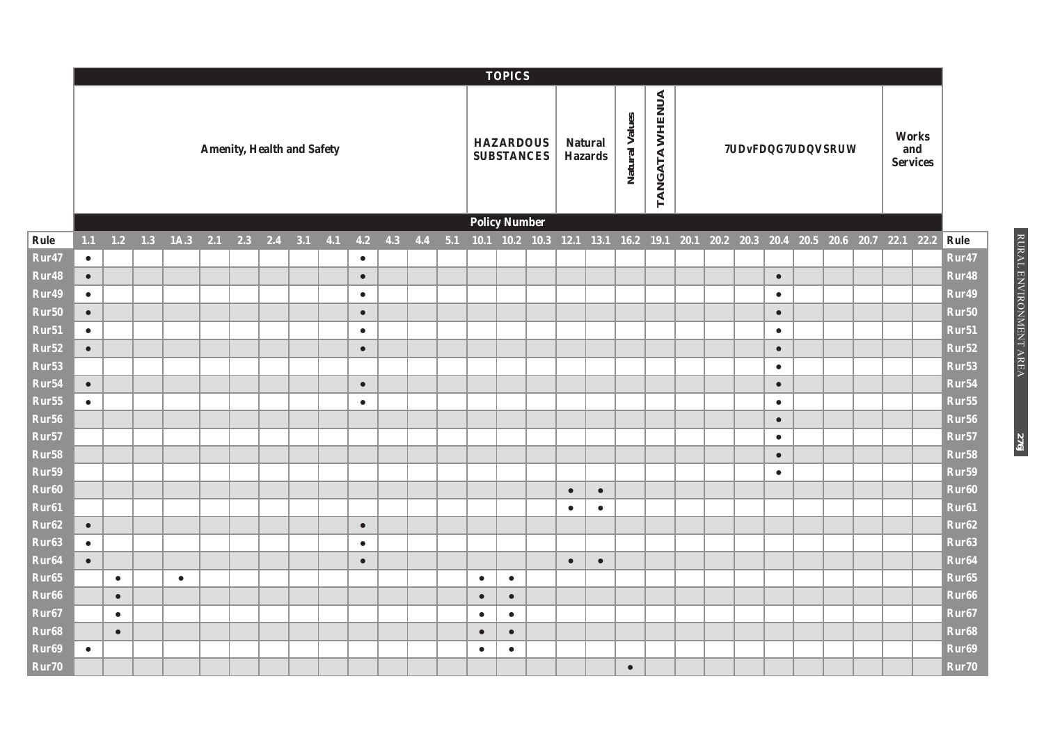|                           |           |           |           |           |     |                                   |  |     |           |             |           |           | <b>TOPICS</b>                         |           |                                                                  |                |                |  |           |                              |  |                                 |                   |
|---------------------------|-----------|-----------|-----------|-----------|-----|-----------------------------------|--|-----|-----------|-------------|-----------|-----------|---------------------------------------|-----------|------------------------------------------------------------------|----------------|----------------|--|-----------|------------------------------|--|---------------------------------|-------------------|
|                           |           |           |           |           |     | <b>Amenity, Health and Safety</b> |  |     |           |             |           |           | <b>HAZARDOUS</b><br><b>SUBSTANCES</b> |           | <b>Natural</b><br><b>Hazards</b>                                 | Natural Values | TANGATA WHENUA |  |           | <b>Traffic and Transport</b> |  | Works<br>and<br><b>Services</b> |                   |
|                           |           |           |           |           |     |                                   |  |     |           |             |           |           | <b>Policy Number</b>                  |           |                                                                  |                |                |  |           |                              |  |                                 |                   |
| Rule                      | 1.1       |           | $1.2$ 1.3 | 1A.3      | 2.1 | $2.3$ $2.4$ $3.1$                 |  | 4.1 |           | $4.2$ $4.3$ | $4.4$ 5.1 |           | $10.1$ 10.2 10.3                      |           | 12.1 13.1 16.2 19.1 20.1 20.2 20.3 20.4 20.5 20.6 20.7 22.1 22.2 |                |                |  |           |                              |  |                                 | Rule              |
| Rur47                     | $\bullet$ |           |           |           |     |                                   |  |     | $\bullet$ |             |           |           |                                       |           |                                                                  |                |                |  |           |                              |  |                                 | Rur47             |
| Rur48                     | $\bullet$ |           |           |           |     |                                   |  |     | $\bullet$ |             |           |           |                                       |           |                                                                  |                |                |  | $\bullet$ |                              |  |                                 | Rur48             |
| Rur49                     | $\bullet$ |           |           |           |     |                                   |  |     | $\bullet$ |             |           |           |                                       |           |                                                                  |                |                |  | $\bullet$ |                              |  |                                 | Rur49             |
| Rur <sub>50</sub>         | $\bullet$ |           |           |           |     |                                   |  |     | $\bullet$ |             |           |           |                                       |           |                                                                  |                |                |  | $\bullet$ |                              |  |                                 | Rur <sub>50</sub> |
| Rur51                     | $\bullet$ |           |           |           |     |                                   |  |     | $\bullet$ |             |           |           |                                       |           |                                                                  |                |                |  | $\bullet$ |                              |  |                                 | Rur51             |
| Rur <sub>52</sub>         | $\bullet$ |           |           |           |     |                                   |  |     | $\bullet$ |             |           |           |                                       |           |                                                                  |                |                |  | $\bullet$ |                              |  |                                 | Rur <sub>52</sub> |
| Rur <sub>53</sub>         |           |           |           |           |     |                                   |  |     |           |             |           |           |                                       |           |                                                                  |                |                |  | $\bullet$ |                              |  |                                 | Rur <sub>53</sub> |
| Rur <sub>54</sub>         | $\bullet$ |           |           |           |     |                                   |  |     | $\bullet$ |             |           |           |                                       |           |                                                                  |                |                |  | $\bullet$ |                              |  |                                 | Rur <sub>54</sub> |
| Rur <sub>55</sub>         | $\bullet$ |           |           |           |     |                                   |  |     | $\bullet$ |             |           |           |                                       |           |                                                                  |                |                |  | $\bullet$ |                              |  |                                 | Rur <sub>55</sub> |
| $\overline{\text{Rur56}}$ |           |           |           |           |     |                                   |  |     |           |             |           |           |                                       |           |                                                                  |                |                |  | $\bullet$ |                              |  |                                 | Rur <sub>56</sub> |
| Rur57                     |           |           |           |           |     |                                   |  |     |           |             |           |           |                                       |           |                                                                  |                |                |  | $\bullet$ |                              |  |                                 | Rur57             |
| Rur58                     |           |           |           |           |     |                                   |  |     |           |             |           |           |                                       |           |                                                                  |                |                |  | $\bullet$ |                              |  |                                 | Rur <sub>58</sub> |
| Rur59                     |           |           |           |           |     |                                   |  |     |           |             |           |           |                                       |           |                                                                  |                |                |  | $\bullet$ |                              |  |                                 | Rur <sub>59</sub> |
| Rur60                     |           |           |           |           |     |                                   |  |     |           |             |           |           |                                       | $\bullet$ | $\bullet$                                                        |                |                |  |           |                              |  |                                 | Rur <sub>60</sub> |
| Rur61                     |           |           |           |           |     |                                   |  |     |           |             |           |           |                                       | $\bullet$ | $\bullet$                                                        |                |                |  |           |                              |  |                                 | Rur <sub>61</sub> |
| Rur62                     | $\bullet$ |           |           |           |     |                                   |  |     | $\bullet$ |             |           |           |                                       |           |                                                                  |                |                |  |           |                              |  |                                 | Rur <sub>62</sub> |
| Rur <sub>63</sub>         | $\bullet$ |           |           |           |     |                                   |  |     | $\bullet$ |             |           |           |                                       |           |                                                                  |                |                |  |           |                              |  |                                 | Rur <sub>63</sub> |
| Rur64                     | $\bullet$ |           |           |           |     |                                   |  |     | $\bullet$ |             |           |           |                                       | $\bullet$ | $\bullet$                                                        |                |                |  |           |                              |  |                                 | Rur <sub>64</sub> |
| Rur65                     |           | $\bullet$ |           | $\bullet$ |     |                                   |  |     |           |             |           | $\bullet$ | $\bullet$                             |           |                                                                  |                |                |  |           |                              |  |                                 | Rur <sub>65</sub> |
| Rur66                     |           | $\bullet$ |           |           |     |                                   |  |     |           |             |           | $\bullet$ | $\bullet$                             |           |                                                                  |                |                |  |           |                              |  |                                 | Rur <sub>66</sub> |
| Rur67                     |           | $\bullet$ |           |           |     |                                   |  |     |           |             |           | $\bullet$ | $\bullet$                             |           |                                                                  |                |                |  |           |                              |  |                                 | Rur <sub>67</sub> |
| Rur68                     |           | $\bullet$ |           |           |     |                                   |  |     |           |             |           | $\bullet$ | $\bullet$                             |           |                                                                  |                |                |  |           |                              |  |                                 | Rur <sub>68</sub> |
| Rur69                     | $\bullet$ |           |           |           |     |                                   |  |     |           |             |           | $\bullet$ | $\bullet$                             |           |                                                                  |                |                |  |           |                              |  |                                 | Rur <sub>69</sub> |
| Rur70                     |           |           |           |           |     |                                   |  |     |           |             |           |           |                                       |           |                                                                  | $\bullet$      |                |  |           |                              |  |                                 | Rur70             |

**276j**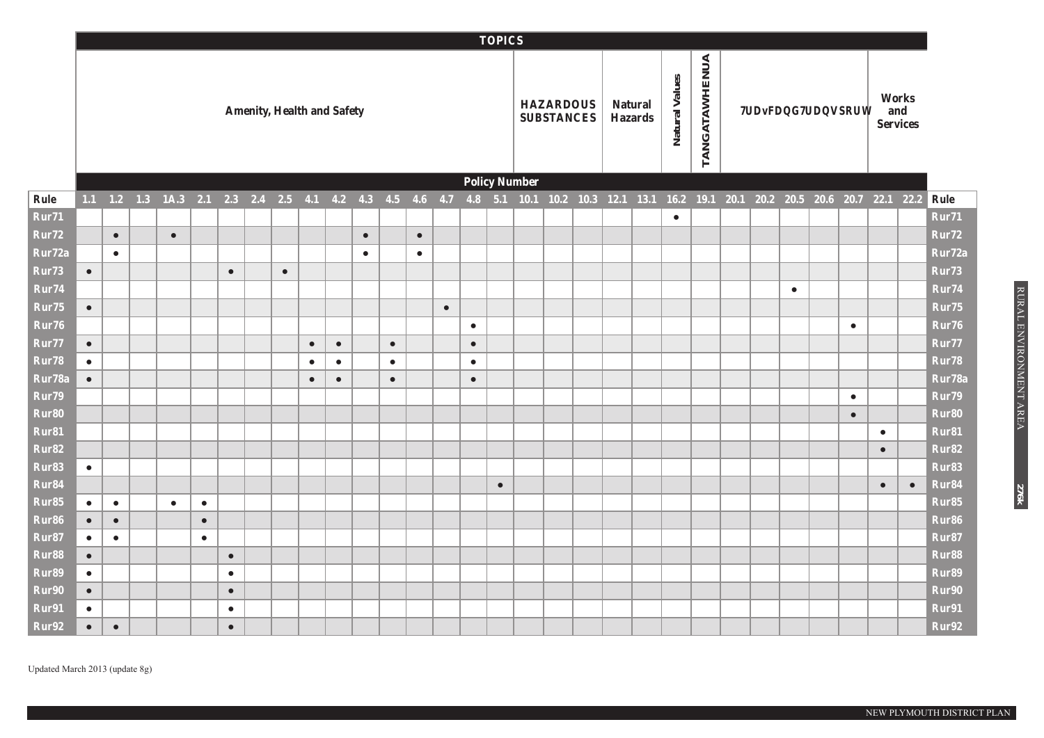|                   |           |                        |                                                                                                                                        |           |           |                                   |           |           |           |           |           |           |           |           | <b>TOPICS</b> |                      |                                       |  |                                  |                |                      |                              |           |           |           |                                 |                   |
|-------------------|-----------|------------------------|----------------------------------------------------------------------------------------------------------------------------------------|-----------|-----------|-----------------------------------|-----------|-----------|-----------|-----------|-----------|-----------|-----------|-----------|---------------|----------------------|---------------------------------------|--|----------------------------------|----------------|----------------------|------------------------------|-----------|-----------|-----------|---------------------------------|-------------------|
|                   |           |                        |                                                                                                                                        |           |           | <b>Amenity, Health and Safety</b> |           |           |           |           |           |           |           |           |               |                      | <b>HAZARDOUS</b><br><b>SUBSTANCES</b> |  | <b>Natural</b><br><b>Hazards</b> | Natural Values | <b>TANGATAWHENUA</b> | <b>Traffic and Transport</b> |           |           |           | Works<br>and<br><b>Services</b> |                   |
|                   |           |                        |                                                                                                                                        |           |           |                                   |           |           |           |           |           |           |           |           |               | <b>Policy Number</b> |                                       |  |                                  |                |                      |                              |           |           |           |                                 |                   |
| Rule              |           |                        | 1.1 1.2 1.3 1A.3 2.1 2.3 2.4 2.5 4.1 4.2 4.3 4.5 4.6 4.7 4.8 5.1 10.1 10.2 10.3 12.1 13.1 16.2 19.1 20.1 20.2 20.5 20.6 20.7 22.1 22.2 |           |           |                                   |           |           |           |           |           |           |           |           |               |                      |                                       |  |                                  |                |                      |                              |           |           |           |                                 | Rule              |
| Rur71             |           |                        |                                                                                                                                        |           |           |                                   |           |           |           |           |           |           |           |           |               |                      |                                       |  |                                  | $\bullet$      |                      |                              |           |           |           |                                 | Rur71             |
| Rur72             |           | $\bullet$              | $\bullet$                                                                                                                              |           |           |                                   |           |           |           | $\bullet$ |           | $\bullet$ |           |           |               |                      |                                       |  |                                  |                |                      |                              |           |           |           |                                 | Rur72             |
| Rur72a            |           | $\bullet$              |                                                                                                                                        |           |           |                                   |           |           |           | $\bullet$ |           | $\bullet$ |           |           |               |                      |                                       |  |                                  |                |                      |                              |           |           |           |                                 | Rur72a            |
| Rur <sub>73</sub> | $\bullet$ |                        |                                                                                                                                        |           | $\bullet$ |                                   | $\bullet$ |           |           |           |           |           |           |           |               |                      |                                       |  |                                  |                |                      |                              |           |           |           |                                 | Rur73             |
| Rur74             |           |                        |                                                                                                                                        |           |           |                                   |           |           |           |           |           |           |           |           |               |                      |                                       |  |                                  |                |                      |                              | $\bullet$ |           |           |                                 | Rur74             |
| Rur <sub>75</sub> | $\bullet$ |                        |                                                                                                                                        |           |           |                                   |           |           |           |           |           |           | $\bullet$ |           |               |                      |                                       |  |                                  |                |                      |                              |           |           |           |                                 | Rur75             |
| Rur76             |           |                        |                                                                                                                                        |           |           |                                   |           |           |           |           |           |           |           | $\bullet$ |               |                      |                                       |  |                                  |                |                      |                              |           | $\bullet$ |           |                                 | Rur76             |
| Rur77             | $\bullet$ |                        |                                                                                                                                        |           |           |                                   |           | $\bullet$ | $\bullet$ |           | $\bullet$ |           |           | $\bullet$ |               |                      |                                       |  |                                  |                |                      |                              |           |           |           |                                 | Rur77             |
| Rur78             | $\bullet$ |                        |                                                                                                                                        |           |           |                                   |           | $\bullet$ | $\bullet$ |           | $\bullet$ |           |           | $\bullet$ |               |                      |                                       |  |                                  |                |                      |                              |           |           |           |                                 | Rur78             |
| Rur78a            | $\bullet$ |                        |                                                                                                                                        |           |           |                                   |           | $\bullet$ | $\bullet$ |           | $\bullet$ |           |           | $\bullet$ |               |                      |                                       |  |                                  |                |                      |                              |           |           |           |                                 | Rur78a            |
| Rur79             |           |                        |                                                                                                                                        |           |           |                                   |           |           |           |           |           |           |           |           |               |                      |                                       |  |                                  |                |                      |                              |           | $\bullet$ |           |                                 | Rur79             |
| Rur80             |           |                        |                                                                                                                                        |           |           |                                   |           |           |           |           |           |           |           |           |               |                      |                                       |  |                                  |                |                      |                              |           | $\bullet$ |           |                                 | Rur80             |
| Rur81             |           |                        |                                                                                                                                        |           |           |                                   |           |           |           |           |           |           |           |           |               |                      |                                       |  |                                  |                |                      |                              |           |           | $\bullet$ |                                 | Rur81             |
| Rur82             |           |                        |                                                                                                                                        |           |           |                                   |           |           |           |           |           |           |           |           |               |                      |                                       |  |                                  |                |                      |                              |           |           | $\bullet$ |                                 | Rur82             |
| Rur83<br>Rur84    | $\bullet$ |                        |                                                                                                                                        |           |           |                                   |           |           |           |           |           |           |           |           |               |                      |                                       |  |                                  |                |                      |                              |           |           |           |                                 | Rur83<br>Rur84    |
| Rur85             | $\bullet$ |                        | $\bullet$                                                                                                                              | $\bullet$ |           |                                   |           |           |           |           |           |           |           |           | $\bullet$     |                      |                                       |  |                                  |                |                      |                              |           |           | $\bullet$ | $\bullet$                       | Rur85             |
| Rur <sub>86</sub> | $\bullet$ | $\bullet$<br>$\bullet$ |                                                                                                                                        | $\bullet$ |           |                                   |           |           |           |           |           |           |           |           |               |                      |                                       |  |                                  |                |                      |                              |           |           |           |                                 | Rur <sub>86</sub> |
| Rur87             | $\bullet$ | $\bullet$              |                                                                                                                                        | $\bullet$ |           |                                   |           |           |           |           |           |           |           |           |               |                      |                                       |  |                                  |                |                      |                              |           |           |           |                                 | Rur87             |
| Rur88             | $\bullet$ |                        |                                                                                                                                        |           | $\bullet$ |                                   |           |           |           |           |           |           |           |           |               |                      |                                       |  |                                  |                |                      |                              |           |           |           |                                 | Rur88             |
| Rur89             | $\bullet$ |                        |                                                                                                                                        |           | $\bullet$ |                                   |           |           |           |           |           |           |           |           |               |                      |                                       |  |                                  |                |                      |                              |           |           |           |                                 | Rur89             |
| Rur90             | $\bullet$ |                        |                                                                                                                                        |           | $\bullet$ |                                   |           |           |           |           |           |           |           |           |               |                      |                                       |  |                                  |                |                      |                              |           |           |           |                                 | Rur90             |
| Rur91             | $\bullet$ |                        |                                                                                                                                        |           | $\bullet$ |                                   |           |           |           |           |           |           |           |           |               |                      |                                       |  |                                  |                |                      |                              |           |           |           |                                 | Rur91             |
| Rur92             | $\bullet$ | $\bullet$              |                                                                                                                                        |           | $\bullet$ |                                   |           |           |           |           |           |           |           |           |               |                      |                                       |  |                                  |                |                      |                              |           |           |           |                                 | Rur92             |

**276k**

NEW PLYMOUTH DISTRICT PLAN

Updated March 2013 (update 8g)